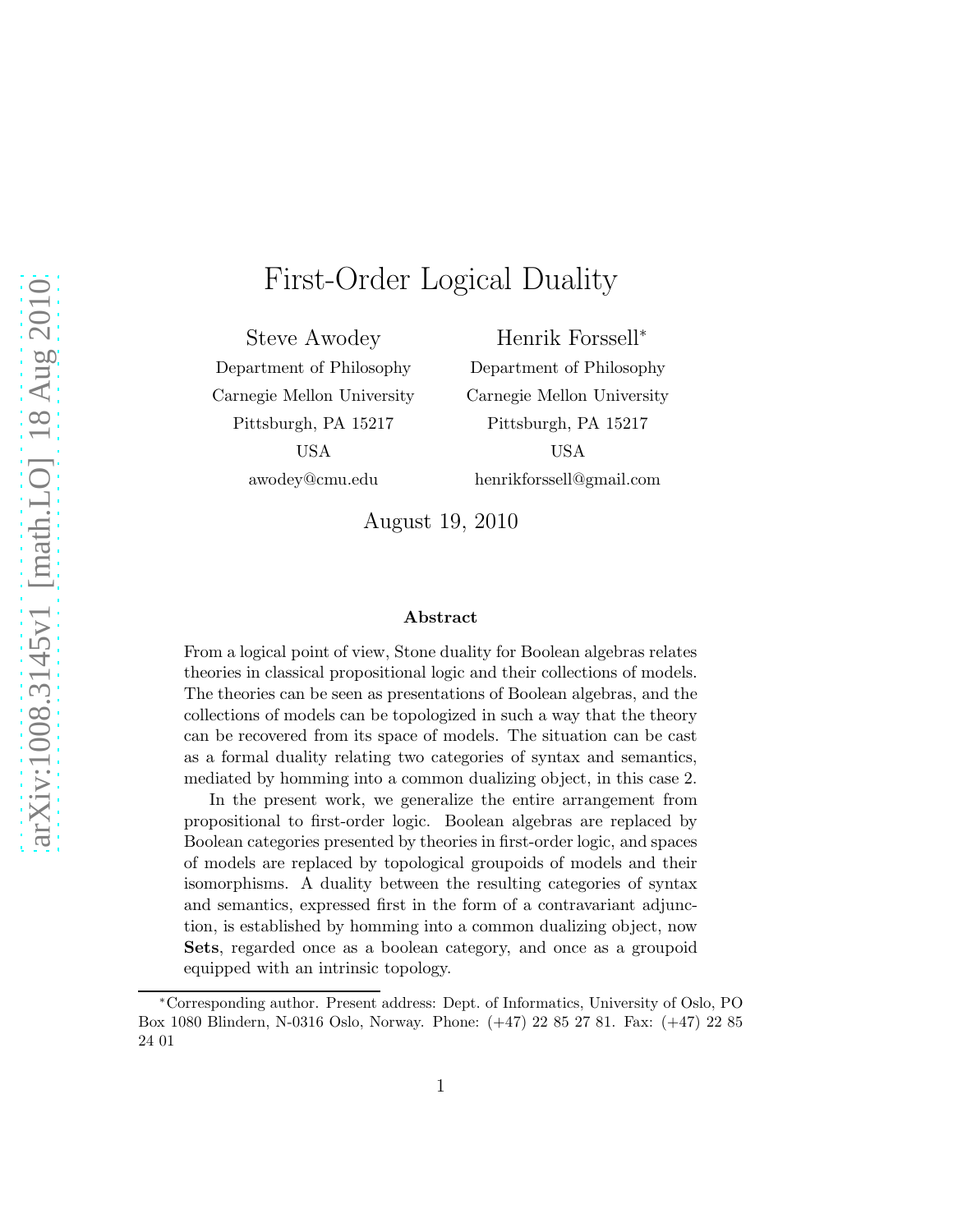# First-Order Logical Duality

Steve Awodey Department of Philosophy Carnegie Mellon University Pittsburgh, PA 15217 USA awodey@cmu.edu

Henrik Forssell<sup>∗</sup> Department of Philosophy Carnegie Mellon University Pittsburgh, PA 15217 USA henrikforssell@gmail.com

August 19, 2010

#### Abstract

From a logical point of view, Stone duality for Boolean algebras relates theories in classical propositional logic and their collections of models. The theories can be seen as presentations of Boolean algebras, and the collections of models can be topologized in such a way that the theory can be recovered from its space of models. The situation can be cast as a formal duality relating two categories of syntax and semantics, mediated by homming into a common dualizing object, in this case 2.

In the present work, we generalize the entire arrangement from propositional to first-order logic. Boolean algebras are replaced by Boolean categories presented by theories in first-order logic, and spaces of models are replaced by topological groupoids of models and their isomorphisms. A duality between the resulting categories of syntax and semantics, expressed first in the form of a contravariant adjunction, is established by homming into a common dualizing object, now Sets, regarded once as a boolean category, and once as a groupoid equipped with an intrinsic topology.

<sup>∗</sup>Corresponding author. Present address: Dept. of Informatics, University of Oslo, PO Box 1080 Blindern, N-0316 Oslo, Norway. Phone: (+47) 22 85 27 81. Fax: (+47) 22 85 24 01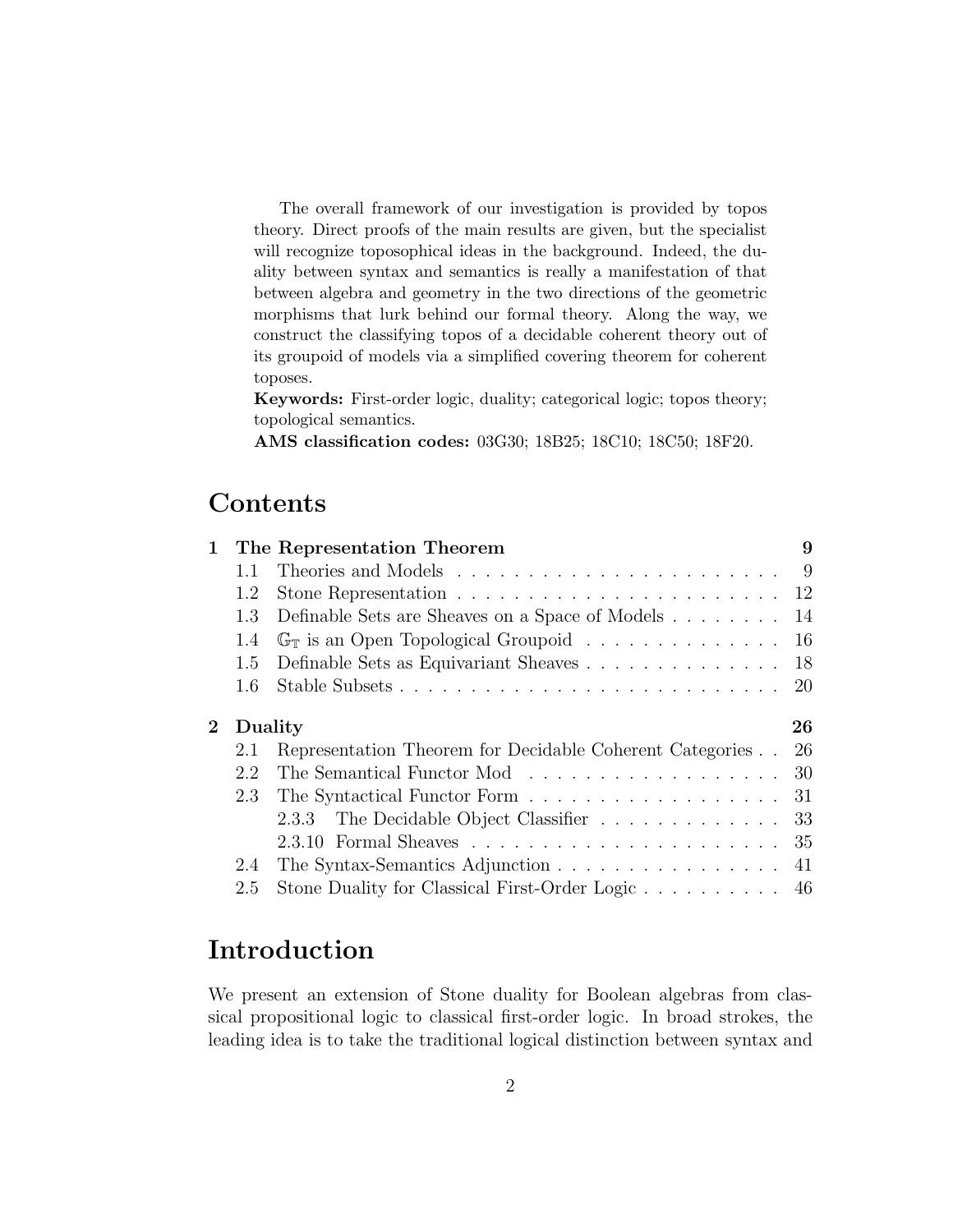The overall framework of our investigation is provided by topos theory. Direct proofs of the main results are given, but the specialist will recognize toposophical ideas in the background. Indeed, the duality between syntax and semantics is really a manifestation of that between algebra and geometry in the two directions of the geometric morphisms that lurk behind our formal theory. Along the way, we construct the classifying topos of a decidable coherent theory out of its groupoid of models via a simplified covering theorem for coherent toposes.

Keywords: First-order logic, duality; categorical logic; topos theory; topological semantics.

AMS classification codes: 03G30; 18B25; 18C10; 18C50; 18F20.

## Contents

| $\mathbf 1$ |         | The Representation Theorem                                              | 9   |
|-------------|---------|-------------------------------------------------------------------------|-----|
|             | 1.1     |                                                                         | - 9 |
|             | 1.2     | Stone Representation $\ldots \ldots \ldots \ldots \ldots \ldots \ldots$ | 12  |
|             | 1.3     | Definable Sets are Sheaves on a Space of Models                         | 14  |
|             | 1.4     |                                                                         |     |
|             | 1.5     | Definable Sets as Equivariant Sheaves 18                                |     |
|             | 1.6     |                                                                         | 20  |
| $\bf{2}^-$  | Duality |                                                                         | 26  |
|             | 2.1     | Representation Theorem for Decidable Coherent Categories                | 26  |
|             | 2.2     |                                                                         | 30  |
|             | 2.3     | The Syntactical Functor Form 31                                         |     |
|             |         | 2.3.3 The Decidable Object Classifier 33                                |     |
|             |         |                                                                         |     |
|             | 2.4     | The Syntax-Semantics Adjunction 41                                      |     |
|             | 2.5     | Stone Duality for Classical First-Order Logic 46                        |     |
|             |         |                                                                         |     |

## Introduction

We present an extension of Stone duality for Boolean algebras from classical propositional logic to classical first-order logic. In broad strokes, the leading idea is to take the traditional logical distinction between syntax and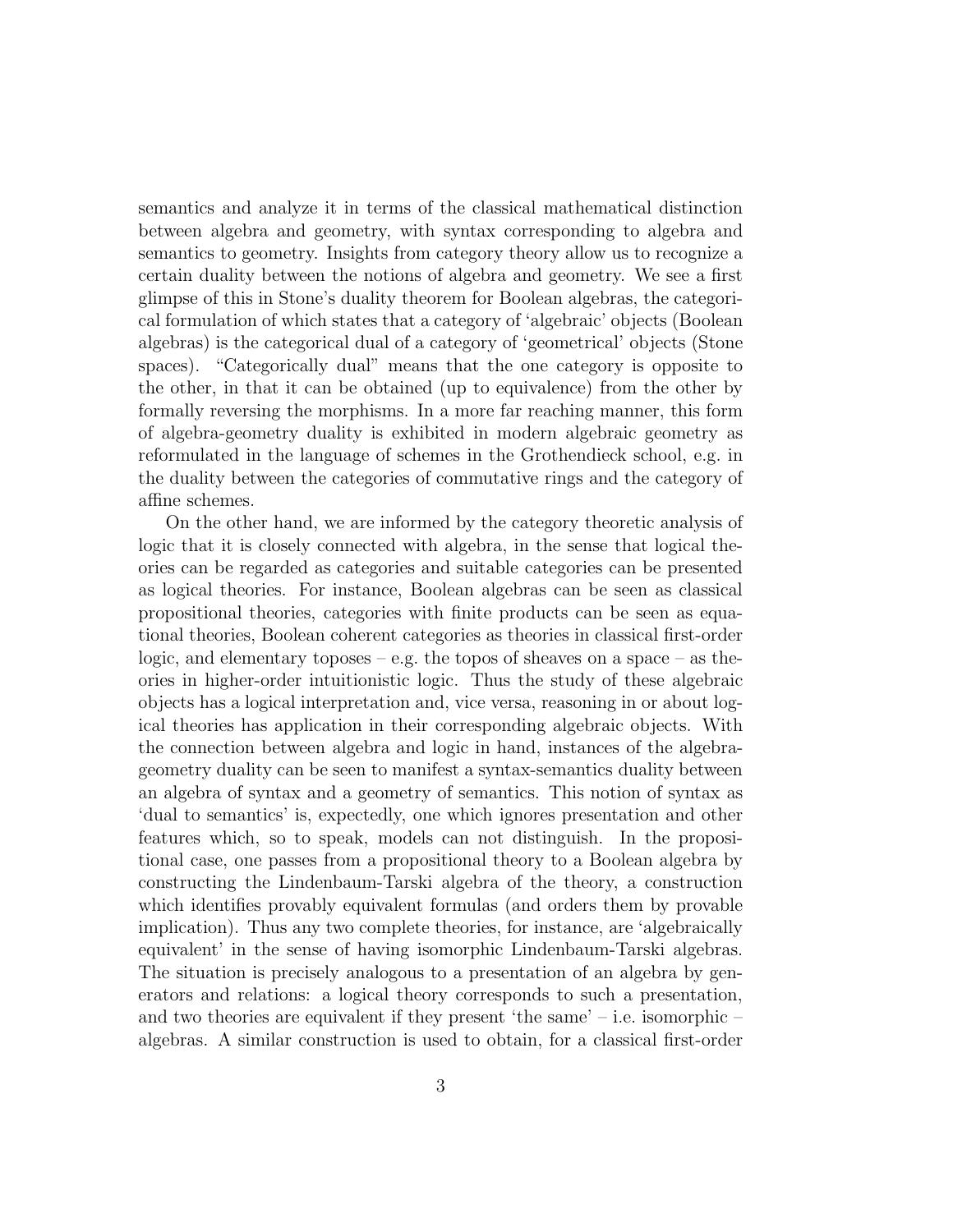semantics and analyze it in terms of the classical mathematical distinction between algebra and geometry, with syntax corresponding to algebra and semantics to geometry. Insights from category theory allow us to recognize a certain duality between the notions of algebra and geometry. We see a first glimpse of this in Stone's duality theorem for Boolean algebras, the categorical formulation of which states that a category of 'algebraic' objects (Boolean algebras) is the categorical dual of a category of 'geometrical' objects (Stone spaces). "Categorically dual" means that the one category is opposite to the other, in that it can be obtained (up to equivalence) from the other by formally reversing the morphisms. In a more far reaching manner, this form of algebra-geometry duality is exhibited in modern algebraic geometry as reformulated in the language of schemes in the Grothendieck school, e.g. in the duality between the categories of commutative rings and the category of affine schemes.

On the other hand, we are informed by the category theoretic analysis of logic that it is closely connected with algebra, in the sense that logical theories can be regarded as categories and suitable categories can be presented as logical theories. For instance, Boolean algebras can be seen as classical propositional theories, categories with finite products can be seen as equational theories, Boolean coherent categories as theories in classical first-order logic, and elementary toposes – e.g. the topos of sheaves on a space – as theories in higher-order intuitionistic logic. Thus the study of these algebraic objects has a logical interpretation and, vice versa, reasoning in or about logical theories has application in their corresponding algebraic objects. With the connection between algebra and logic in hand, instances of the algebrageometry duality can be seen to manifest a syntax-semantics duality between an algebra of syntax and a geometry of semantics. This notion of syntax as 'dual to semantics' is, expectedly, one which ignores presentation and other features which, so to speak, models can not distinguish. In the propositional case, one passes from a propositional theory to a Boolean algebra by constructing the Lindenbaum-Tarski algebra of the theory, a construction which identifies provably equivalent formulas (and orders them by provable implication). Thus any two complete theories, for instance, are 'algebraically equivalent' in the sense of having isomorphic Lindenbaum-Tarski algebras. The situation is precisely analogous to a presentation of an algebra by generators and relations: a logical theory corresponds to such a presentation, and two theories are equivalent if they present 'the same' – i.e. isomorphic – algebras. A similar construction is used to obtain, for a classical first-order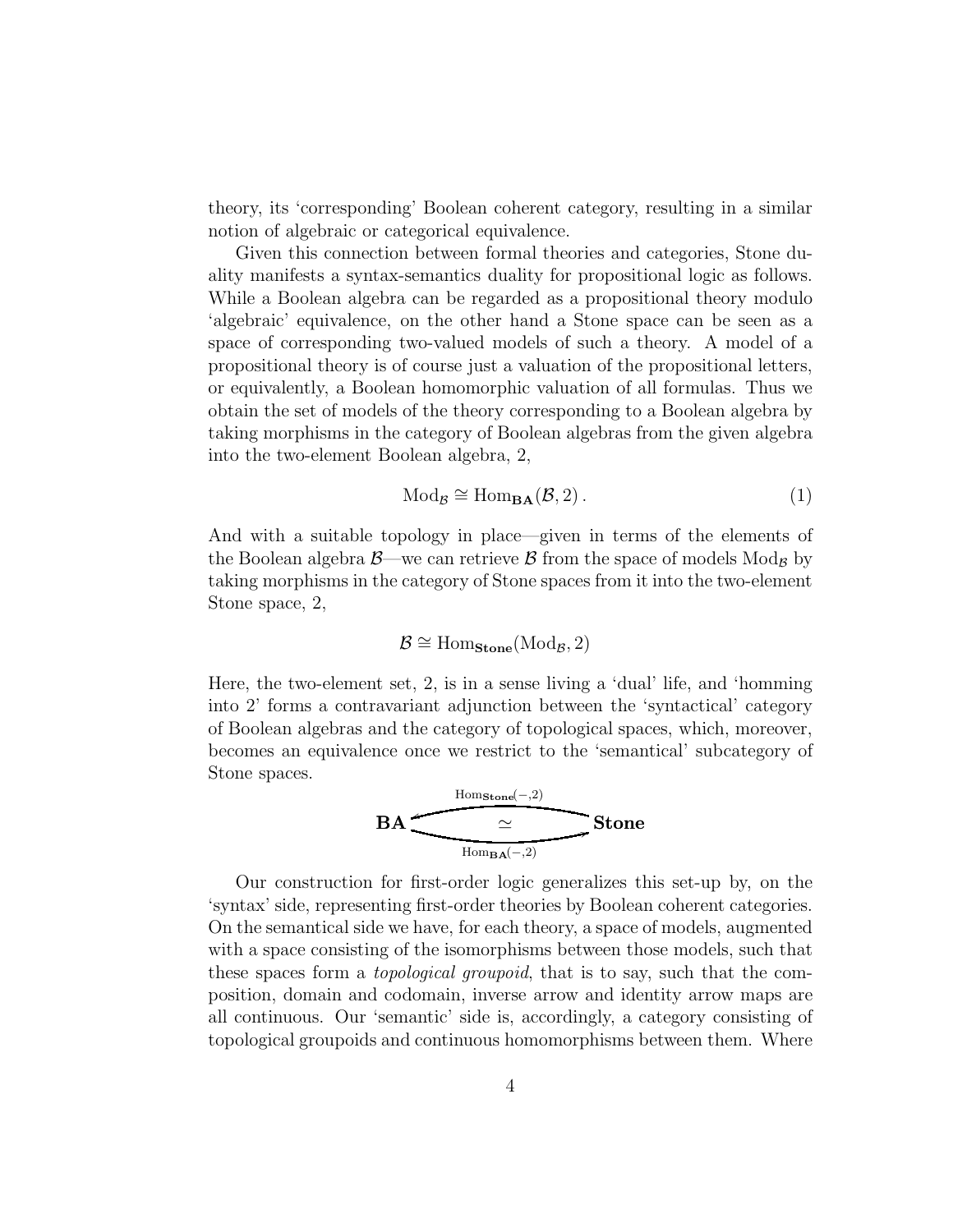theory, its 'corresponding' Boolean coherent category, resulting in a similar notion of algebraic or categorical equivalence.

Given this connection between formal theories and categories, Stone duality manifests a syntax-semantics duality for propositional logic as follows. While a Boolean algebra can be regarded as a propositional theory modulo 'algebraic' equivalence, on the other hand a Stone space can be seen as a space of corresponding two-valued models of such a theory. A model of a propositional theory is of course just a valuation of the propositional letters, or equivalently, a Boolean homomorphic valuation of all formulas. Thus we obtain the set of models of the theory corresponding to a Boolean algebra by taking morphisms in the category of Boolean algebras from the given algebra into the two-element Boolean algebra, 2,

$$
Mod_{\mathcal{B}} \cong Hom_{\mathbf{BA}}(\mathcal{B}, 2).
$$
 (1)

And with a suitable topology in place—given in terms of the elements of the Boolean algebra  $\beta$ —we can retrieve  $\beta$  from the space of models Mod<sub>B</sub> by taking morphisms in the category of Stone spaces from it into the two-element Stone space, 2,

$$
\mathcal{B} \cong \mathrm{Hom}_{\mathbf{Stone}}(\mathrm{Mod}_{\mathcal{B}}, 2)
$$

Here, the two-element set, 2, is in a sense living a 'dual' life, and 'homming into 2' forms a contravariant adjunction between the 'syntactical' category of Boolean algebras and the category of topological spaces, which, moreover, becomes an equivalence once we restrict to the 'semantical' subcategory of Stone spaces.

$$
\mathbf{BA} \xrightarrow{\text{Hom}_{\mathbf{Stone}(-,2)}} \mathbf{Stone}
$$

Our construction for first-order logic generalizes this set-up by, on the 'syntax' side, representing first-order theories by Boolean coherent categories. On the semantical side we have, for each theory, a space of models, augmented with a space consisting of the isomorphisms between those models, such that these spaces form a *topological groupoid*, that is to say, such that the composition, domain and codomain, inverse arrow and identity arrow maps are all continuous. Our 'semantic' side is, accordingly, a category consisting of topological groupoids and continuous homomorphisms between them. Where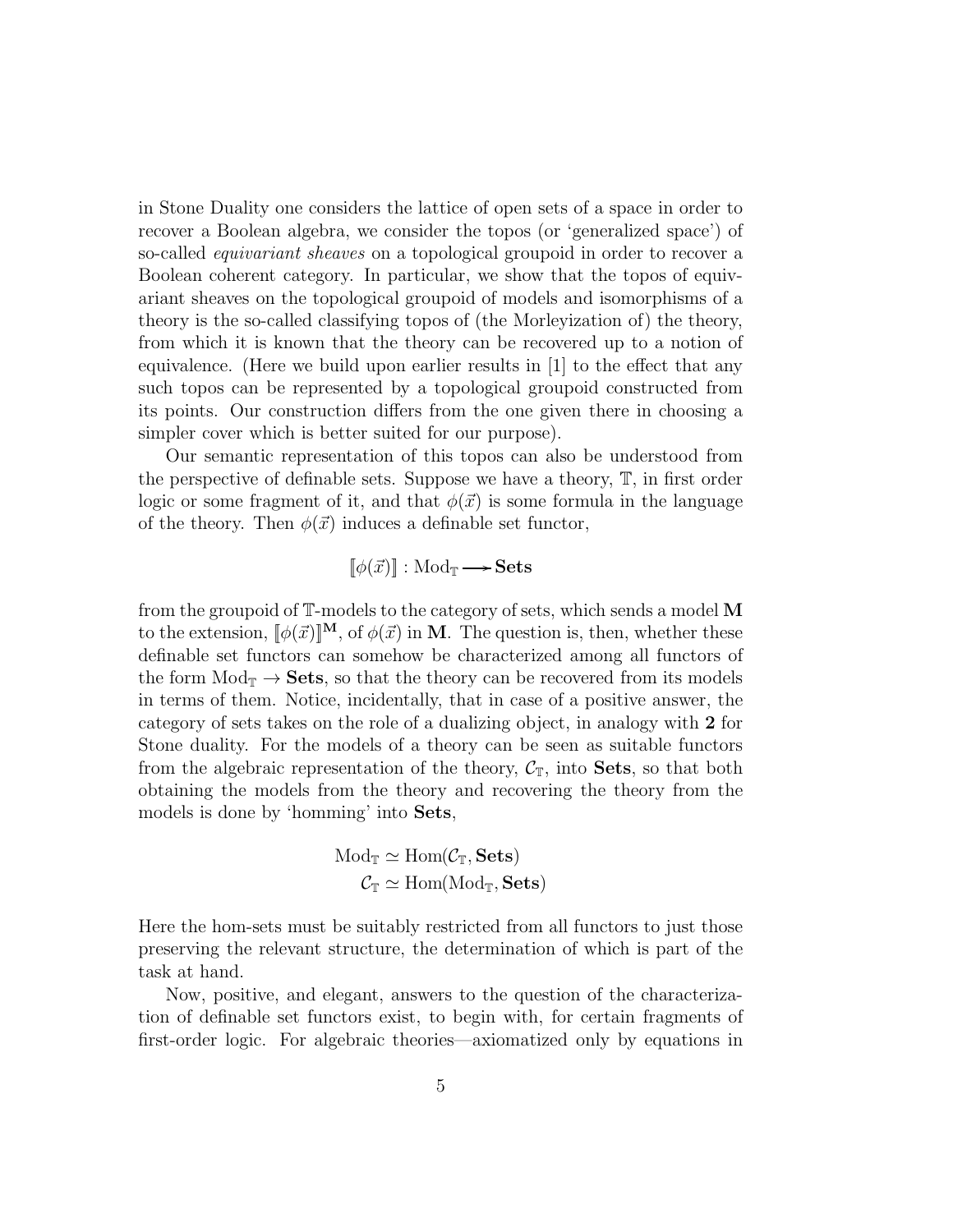in Stone Duality one considers the lattice of open sets of a space in order to recover a Boolean algebra, we consider the topos (or 'generalized space') of so-called equivariant sheaves on a topological groupoid in order to recover a Boolean coherent category. In particular, we show that the topos of equivariant sheaves on the topological groupoid of models and isomorphisms of a theory is the so-called classifying topos of (the Morleyization of) the theory, from which it is known that the theory can be recovered up to a notion of equivalence. (Here we build upon earlier results in [1] to the effect that any such topos can be represented by a topological groupoid constructed from its points. Our construction differs from the one given there in choosing a simpler cover which is better suited for our purpose).

Our semantic representation of this topos can also be understood from the perspective of definable sets. Suppose we have a theory, T, in first order logic or some fragment of it, and that  $\phi(\vec{x})$  is some formula in the language of the theory. Then  $\phi(\vec{x})$  induces a definable set functor,

### $[\![\phi(\vec{x})]\!] : \text{Mod}_{\mathbb{T}} \longrightarrow \textbf{Sets}$

from the groupoid of T-models to the category of sets, which sends a model M to the extension,  $[\![\phi(\vec{x})]\!]^{\mathbf{M}}$ , of  $\phi(\vec{x})$  in **M**. The question is, then, whether these definable set functors can somehow be characterized among all functors of the form  $Mod_{\mathbb{T}} \to \mathbf{Sets}$ , so that the theory can be recovered from its models in terms of them. Notice, incidentally, that in case of a positive answer, the category of sets takes on the role of a dualizing object, in analogy with 2 for Stone duality. For the models of a theory can be seen as suitable functors from the algebraic representation of the theory,  $\mathcal{C}_{\mathbb{T}}$ , into **Sets**, so that both obtaining the models from the theory and recovering the theory from the models is done by 'homming' into Sets,

$$
\begin{aligned} \mathrm{Mod}_{\mathbb{T}}&\simeq \mathrm{Hom}(\mathcal{C}_{\mathbb{T}},\mathbf{Sets})\\ \mathcal{C}_{\mathbb{T}}&\simeq \mathrm{Hom}(\mathrm{Mod}_{\mathbb{T}},\mathbf{Sets})\end{aligned}
$$

Here the hom-sets must be suitably restricted from all functors to just those preserving the relevant structure, the determination of which is part of the task at hand.

Now, positive, and elegant, answers to the question of the characterization of definable set functors exist, to begin with, for certain fragments of first-order logic. For algebraic theories—axiomatized only by equations in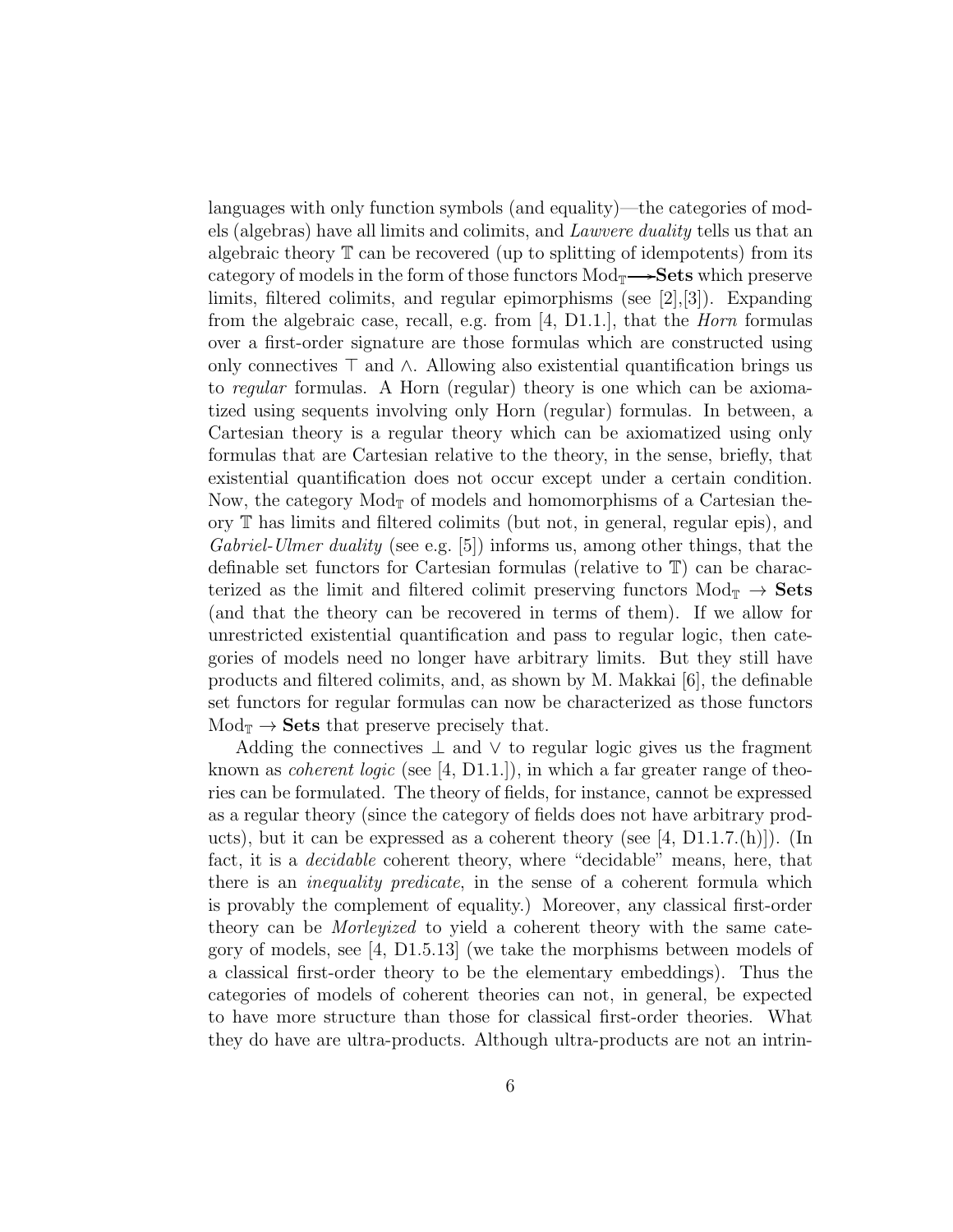languages with only function symbols (and equality)—the categories of models (algebras) have all limits and colimits, and Lawvere duality tells us that an algebraic theory  $\mathbb T$  can be recovered (up to splitting of idempotents) from its category of models in the form of those functors  $Mod_{\mathbb{T}} \longrightarrow$ **Sets** which preserve limits, filtered colimits, and regular epimorphisms (see [2],[3]). Expanding from the algebraic case, recall, e.g. from [4, D1.1.], that the *Horn* formulas over a first-order signature are those formulas which are constructed using only connectives  $\top$  and  $\wedge$ . Allowing also existential quantification brings us to regular formulas. A Horn (regular) theory is one which can be axiomatized using sequents involving only Horn (regular) formulas. In between, a Cartesian theory is a regular theory which can be axiomatized using only formulas that are Cartesian relative to the theory, in the sense, briefly, that existential quantification does not occur except under a certain condition. Now, the category  $Mod_{\mathbb{T}}$  of models and homomorphisms of a Cartesian theory T has limits and filtered colimits (but not, in general, regular epis), and Gabriel-Ulmer duality (see e.g. [5]) informs us, among other things, that the definable set functors for Cartesian formulas (relative to T) can be characterized as the limit and filtered colimit preserving functors  $Mod_{\mathbb{T}} \to Sets$ (and that the theory can be recovered in terms of them). If we allow for unrestricted existential quantification and pass to regular logic, then categories of models need no longer have arbitrary limits. But they still have products and filtered colimits, and, as shown by M. Makkai [6], the definable set functors for regular formulas can now be characterized as those functors  $\text{Mod}_{\mathbb{T}} \to \textbf{Sets}$  that preserve precisely that.

Adding the connectives  $\perp$  and  $\vee$  to regular logic gives us the fragment known as *coherent logic* (see [4,  $D1.1$ .]), in which a far greater range of theories can be formulated. The theory of fields, for instance, cannot be expressed as a regular theory (since the category of fields does not have arbitrary products), but it can be expressed as a coherent theory (see [4,  $D1.1.7.(h)$ ]). (In fact, it is a decidable coherent theory, where "decidable" means, here, that there is an inequality predicate, in the sense of a coherent formula which is provably the complement of equality.) Moreover, any classical first-order theory can be Morleyized to yield a coherent theory with the same category of models, see [4, D1.5.13] (we take the morphisms between models of a classical first-order theory to be the elementary embeddings). Thus the categories of models of coherent theories can not, in general, be expected to have more structure than those for classical first-order theories. What they do have are ultra-products. Although ultra-products are not an intrin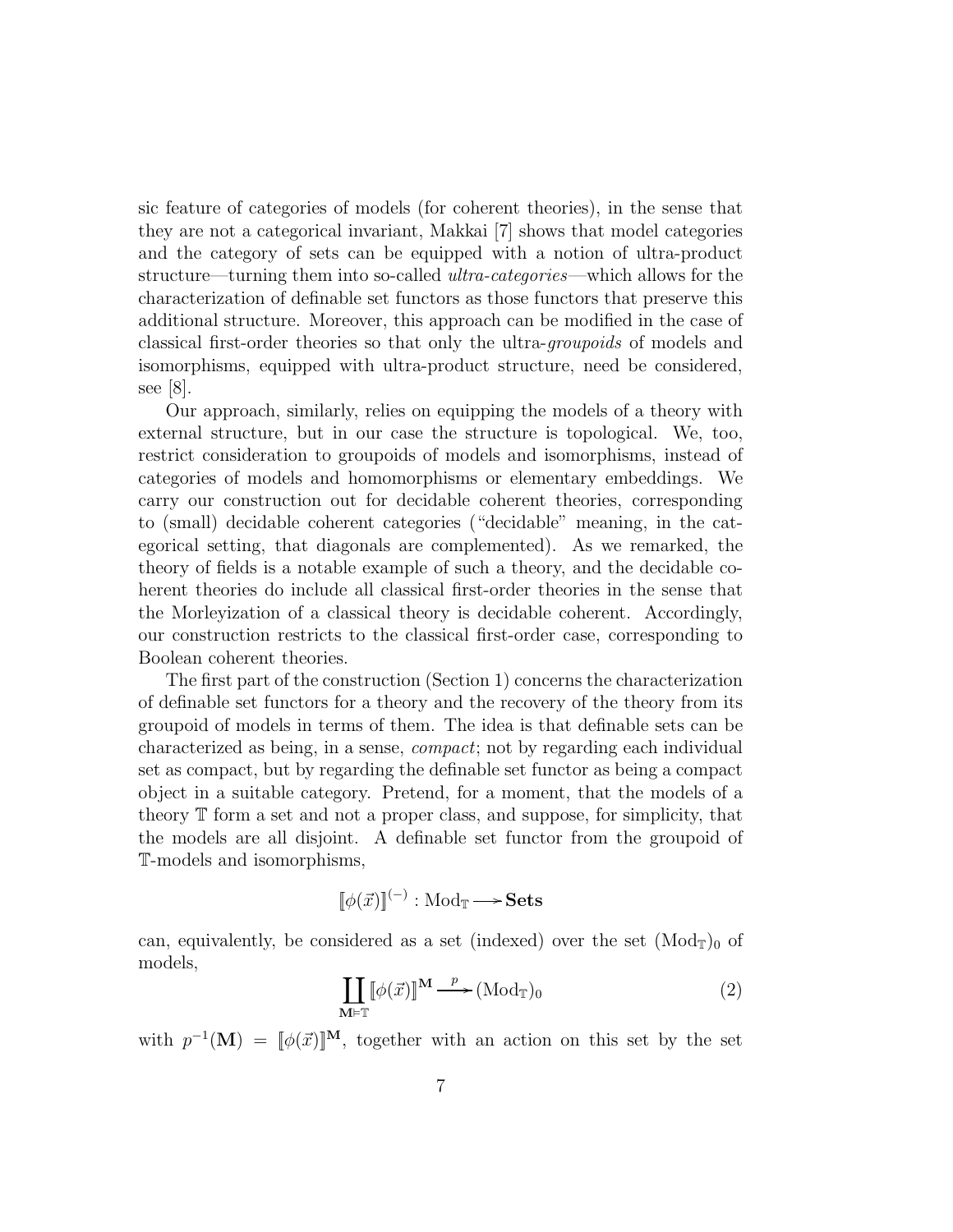sic feature of categories of models (for coherent theories), in the sense that they are not a categorical invariant, Makkai [7] shows that model categories and the category of sets can be equipped with a notion of ultra-product structure—turning them into so-called ultra-categories—which allows for the characterization of definable set functors as those functors that preserve this additional structure. Moreover, this approach can be modified in the case of classical first-order theories so that only the ultra-groupoids of models and isomorphisms, equipped with ultra-product structure, need be considered, see [8].

Our approach, similarly, relies on equipping the models of a theory with external structure, but in our case the structure is topological. We, too, restrict consideration to groupoids of models and isomorphisms, instead of categories of models and homomorphisms or elementary embeddings. We carry our construction out for decidable coherent theories, corresponding to (small) decidable coherent categories ("decidable" meaning, in the categorical setting, that diagonals are complemented). As we remarked, the theory of fields is a notable example of such a theory, and the decidable coherent theories do include all classical first-order theories in the sense that the Morleyization of a classical theory is decidable coherent. Accordingly, our construction restricts to the classical first-order case, corresponding to Boolean coherent theories.

The first part of the construction (Section 1) concerns the characterization of definable set functors for a theory and the recovery of the theory from its groupoid of models in terms of them. The idea is that definable sets can be characterized as being, in a sense, compact; not by regarding each individual set as compact, but by regarding the definable set functor as being a compact object in a suitable category. Pretend, for a moment, that the models of a theory T form a set and not a proper class, and suppose, for simplicity, that the models are all disjoint. A definable set functor from the groupoid of T-models and isomorphisms,

$$
[\![\phi(\vec{x})]\!]^{(-)} : \text{Mod}_{\mathbb{T}} \longrightarrow \textbf{Sets}
$$

can, equivalently, be considered as a set (indexed) over the set  $(Mod_{\mathbb{T}})_0$  of models,

$$
\underset{\mathbf{M}\models\mathbb{T}}{\coprod} \left[\phi(\vec{x})\right]^{\mathbf{M}} \xrightarrow{p} (\text{Mod}_{\mathbb{T}})_0
$$
\n(2)

with  $p^{-1}(\mathbf{M}) = [p(\vec{x})]^{\mathbf{M}}$ , together with an action on this set by the set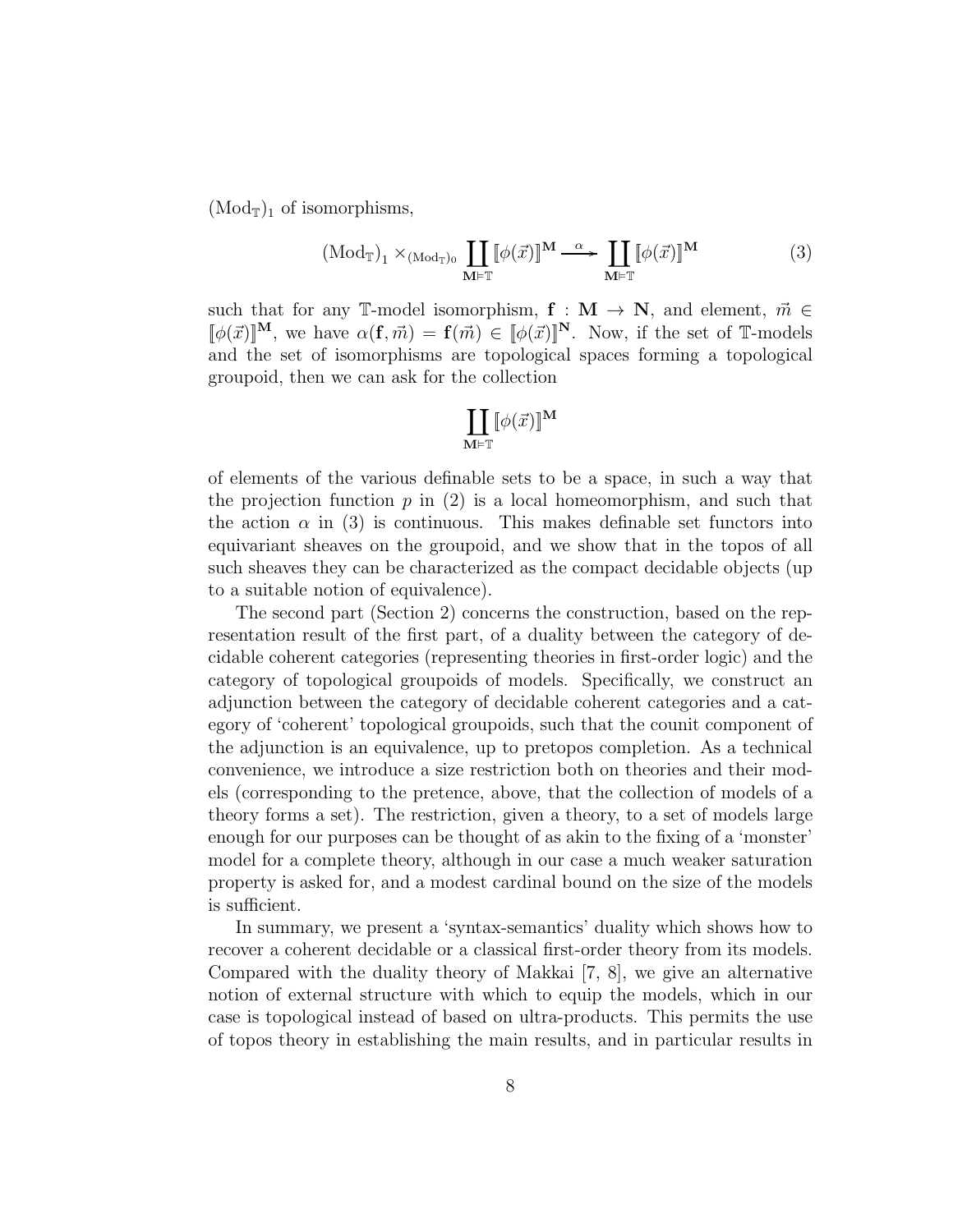$(\text{Mod}_{\mathbb{T}})_1$  of isomorphisms,

$$
(\text{Mod}_{\mathbb{T}})_{1} \times_{(\text{Mod}_{\mathbb{T}})_{0}} \coprod_{\mathbf{M} \models \mathbb{T}} [\![\phi(\vec{x})\!]^{\mathbf{M}} \xrightarrow{\alpha} \coprod_{\mathbf{M} \models \mathbb{T}} [\![\phi(\vec{x})\!]^{\mathbf{M}}
$$
(3)

such that for any T-model isomorphism,  $f : M \to N$ , and element,  $\vec{m} \in$  $[\![\phi(\vec{x})\!]^{\mathbf{M}},$  we have  $\alpha(\mathbf{f}, \vec{m}) = \mathbf{f}(\vec{m}) \in [\![\phi(\vec{x})\!]^{\mathbf{N}}$ . Now, if the set of T-models and the set of isomorphisms are topological spaces forming a topological groupoid, then we can ask for the collection

$$
\coprod_{{\mathbf{M}}\vDash {\mathbb{T}}}{[\![\phi({\vec{x}})]\!]^{\mathbf{M}}}
$$

of elements of the various definable sets to be a space, in such a way that the projection function  $p$  in (2) is a local homeomorphism, and such that the action  $\alpha$  in (3) is continuous. This makes definable set functors into equivariant sheaves on the groupoid, and we show that in the topos of all such sheaves they can be characterized as the compact decidable objects (up to a suitable notion of equivalence).

The second part (Section 2) concerns the construction, based on the representation result of the first part, of a duality between the category of decidable coherent categories (representing theories in first-order logic) and the category of topological groupoids of models. Specifically, we construct an adjunction between the category of decidable coherent categories and a category of 'coherent' topological groupoids, such that the counit component of the adjunction is an equivalence, up to pretopos completion. As a technical convenience, we introduce a size restriction both on theories and their models (corresponding to the pretence, above, that the collection of models of a theory forms a set). The restriction, given a theory, to a set of models large enough for our purposes can be thought of as akin to the fixing of a 'monster' model for a complete theory, although in our case a much weaker saturation property is asked for, and a modest cardinal bound on the size of the models is sufficient.

In summary, we present a 'syntax-semantics' duality which shows how to recover a coherent decidable or a classical first-order theory from its models. Compared with the duality theory of Makkai [7, 8], we give an alternative notion of external structure with which to equip the models, which in our case is topological instead of based on ultra-products. This permits the use of topos theory in establishing the main results, and in particular results in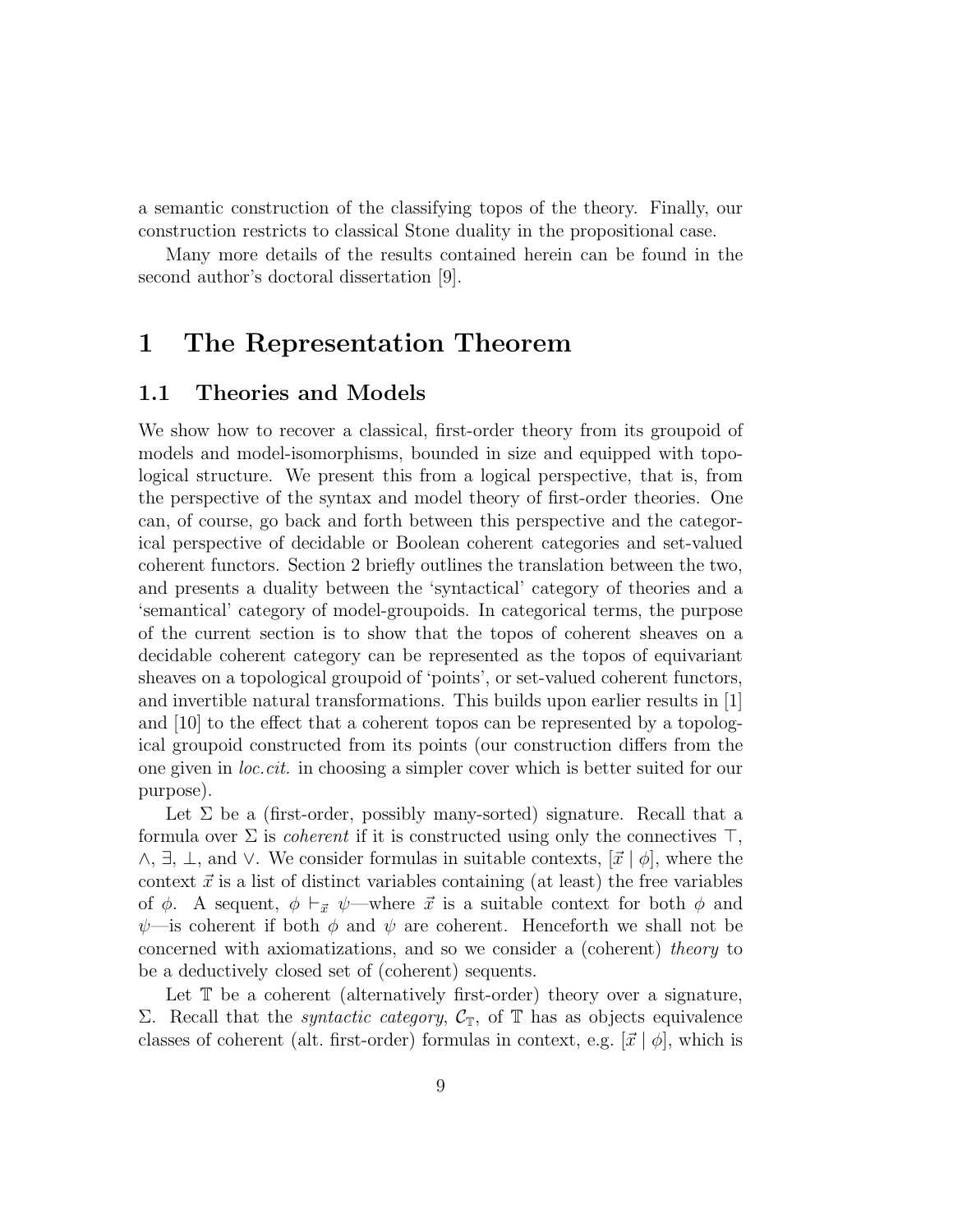a semantic construction of the classifying topos of the theory. Finally, our construction restricts to classical Stone duality in the propositional case.

Many more details of the results contained herein can be found in the second author's doctoral dissertation [9].

## 1 The Representation Theorem

### 1.1 Theories and Models

We show how to recover a classical, first-order theory from its groupoid of models and model-isomorphisms, bounded in size and equipped with topological structure. We present this from a logical perspective, that is, from the perspective of the syntax and model theory of first-order theories. One can, of course, go back and forth between this perspective and the categorical perspective of decidable or Boolean coherent categories and set-valued coherent functors. Section 2 briefly outlines the translation between the two, and presents a duality between the 'syntactical' category of theories and a 'semantical' category of model-groupoids. In categorical terms, the purpose of the current section is to show that the topos of coherent sheaves on a decidable coherent category can be represented as the topos of equivariant sheaves on a topological groupoid of 'points', or set-valued coherent functors, and invertible natural transformations. This builds upon earlier results in [1] and [10] to the effect that a coherent topos can be represented by a topological groupoid constructed from its points (our construction differs from the one given in loc.cit. in choosing a simpler cover which is better suited for our purpose).

Let  $\Sigma$  be a (first-order, possibly many-sorted) signature. Recall that a formula over  $\Sigma$  is *coherent* if it is constructed using only the connectives  $\top$ ,  $\wedge$ ,  $\exists$ ,  $\bot$ , and  $\vee$ . We consider formulas in suitable contexts,  $[\vec{x} \mid \phi]$ , where the context  $\vec{x}$  is a list of distinct variables containing (at least) the free variables of  $\phi$ . A sequent,  $\phi \vdash_{\vec{x}} \psi$ —where  $\vec{x}$  is a suitable context for both  $\phi$  and  $\psi$ —is coherent if both  $\phi$  and  $\psi$  are coherent. Henceforth we shall not be concerned with axiomatizations, and so we consider a (coherent) theory to be a deductively closed set of (coherent) sequents.

Let  $\mathbb T$  be a coherent (alternatively first-order) theory over a signature, Σ. Recall that the *syntactic category*,  $\mathcal{C}_{\mathbb{T}}$ , of  $\mathbb{T}$  has as objects equivalence classes of coherent (alt. first-order) formulas in context, e.g.  $[\vec{x} | \phi]$ , which is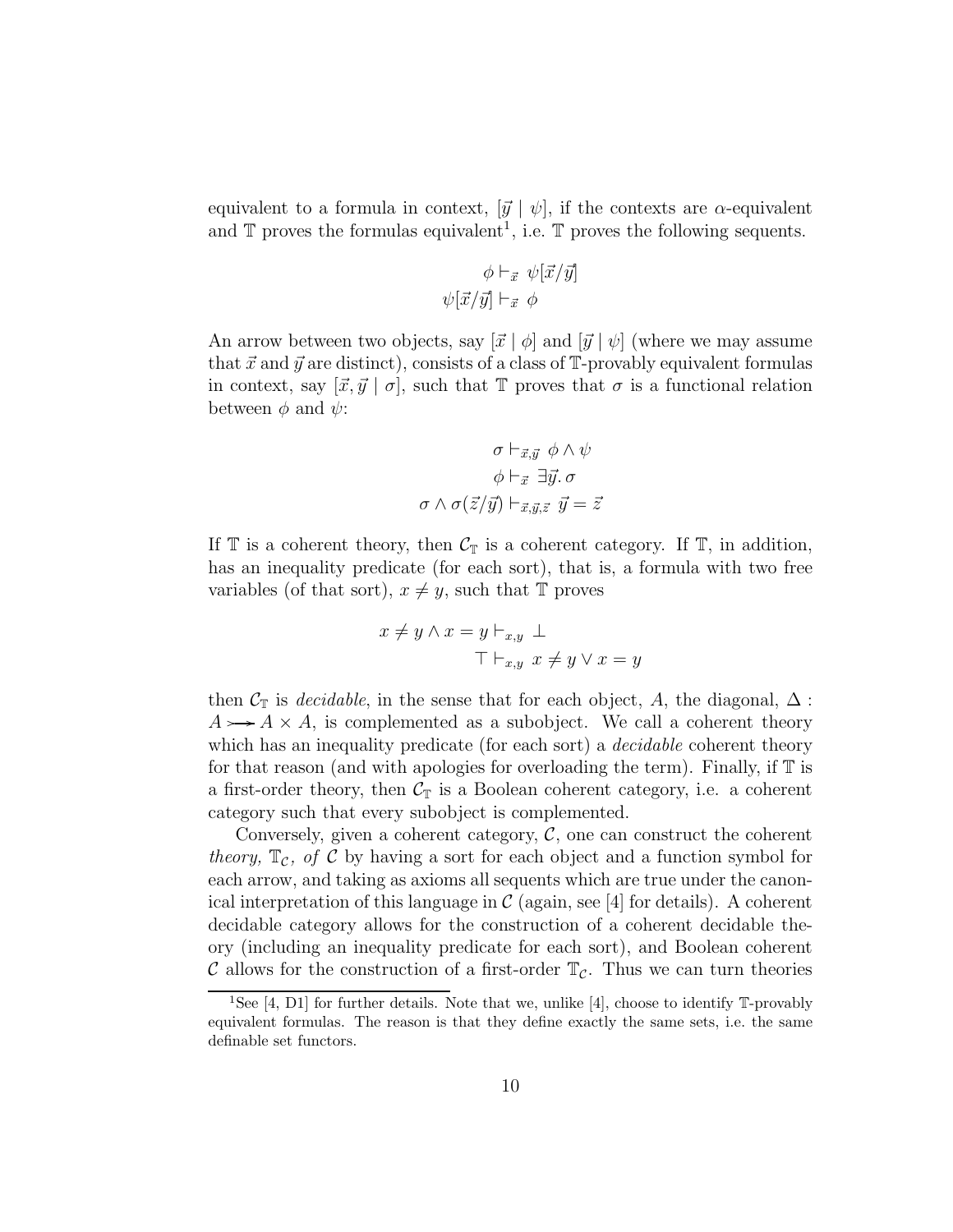equivalent to a formula in context,  $[\vec{y} | \psi]$ , if the contexts are  $\alpha$ -equivalent and  $\mathbb T$  proves the formulas equivalent<sup>1</sup>, i.e.  $\mathbb T$  proves the following sequents.

$$
\phi \vdash_{\vec{x}} \psi[\vec{x}/\vec{y}]
$$
  

$$
\psi[\vec{x}/\vec{y}] \vdash_{\vec{x}} \phi
$$

An arrow between two objects, say  $[\vec{x} | \phi]$  and  $[\vec{y} | \psi]$  (where we may assume that  $\vec{x}$  and  $\vec{y}$  are distinct), consists of a class of T-provably equivalent formulas in context, say  $[\vec{x}, \vec{y} \mid \sigma]$ , such that T proves that  $\sigma$  is a functional relation between  $\phi$  and  $\psi$ :

$$
\sigma \vdash_{\vec{x}, \vec{y}} \phi \land \psi
$$

$$
\phi \vdash_{\vec{x}} \exists \vec{y}. \sigma
$$

$$
\sigma \land \sigma(\vec{z}/\vec{y}) \vdash_{\vec{x}, \vec{y}, \vec{z}} \vec{y} = \vec{z}
$$

If  $\mathbb T$  is a coherent theory, then  $\mathcal{C}_{\mathbb T}$  is a coherent category. If  $\mathbb T$ , in addition, has an inequality predicate (for each sort), that is, a formula with two free variables (of that sort),  $x \neq y$ , such that T proves

$$
x \neq y \land x = y \vdash_{x,y} \bot
$$
  

$$
\top \vdash_{x,y} x \neq y \lor x = y
$$

then  $\mathcal{C}_{\mathbb{T}}$  is *decidable*, in the sense that for each object, A, the diagonal,  $\Delta$ :  $A \rightarrow A \times A$ , is complemented as a subobject. We call a coherent theory which has an inequality predicate (for each sort) a *decidable* coherent theory for that reason (and with apologies for overloading the term). Finally, if  $\mathbb T$  is a first-order theory, then  $\mathcal{C}_{\mathbb{T}}$  is a Boolean coherent category, i.e. a coherent category such that every subobject is complemented.

Conversely, given a coherent category,  $\mathcal{C}$ , one can construct the coherent theory,  $\mathbb{T}_{\mathcal{C}}$ , of C by having a sort for each object and a function symbol for each arrow, and taking as axioms all sequents which are true under the canonical interpretation of this language in  $\mathcal C$  (again, see [4] for details). A coherent decidable category allows for the construction of a coherent decidable theory (including an inequality predicate for each sort), and Boolean coherent C allows for the construction of a first-order  $\mathbb{T}_{\mathcal{C}}$ . Thus we can turn theories

<sup>&</sup>lt;sup>1</sup>See [4, D1] for further details. Note that we, unlike [4], choose to identify  $\mathbb{T}$ -provably equivalent formulas. The reason is that they define exactly the same sets, i.e. the same definable set functors.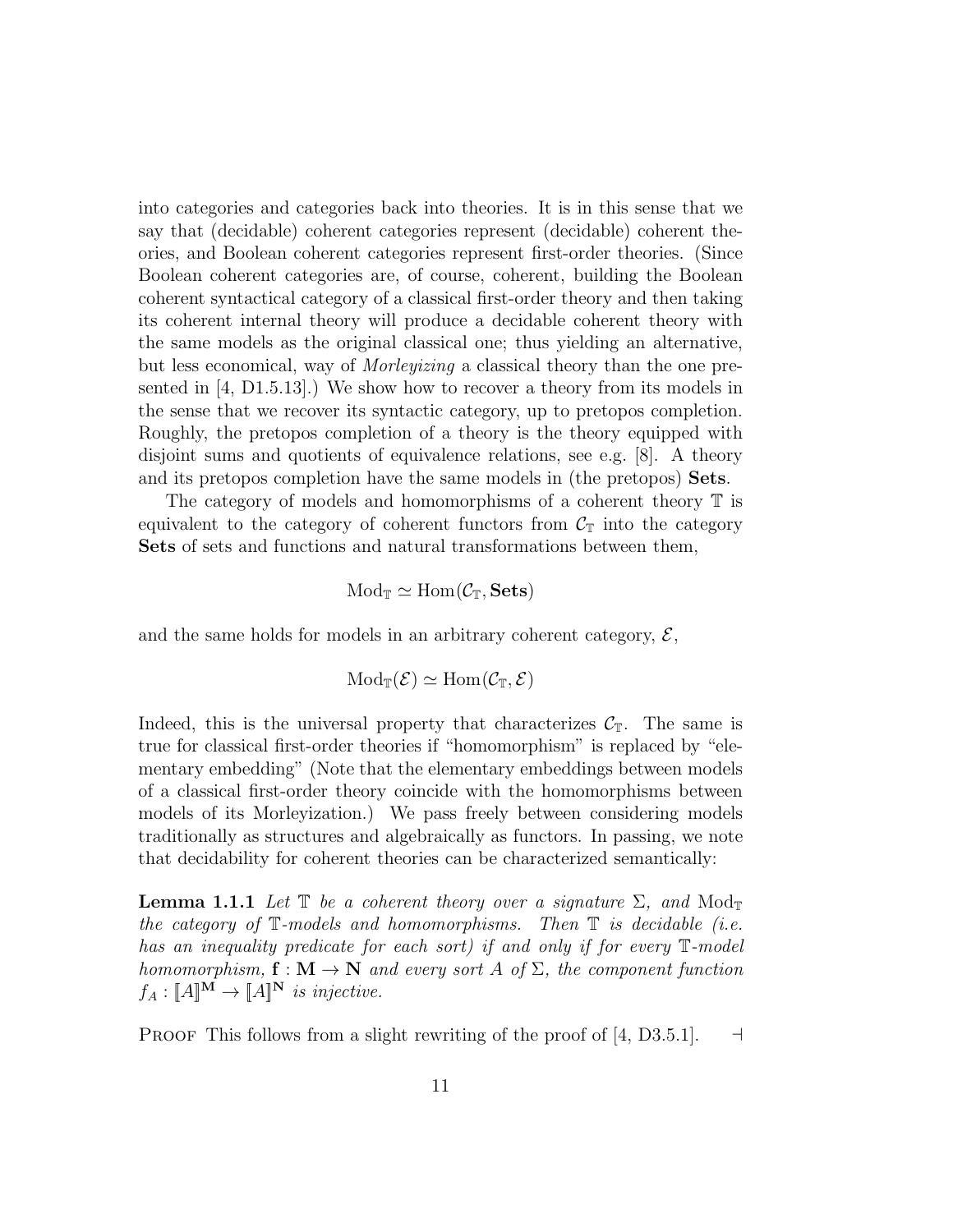into categories and categories back into theories. It is in this sense that we say that (decidable) coherent categories represent (decidable) coherent theories, and Boolean coherent categories represent first-order theories. (Since Boolean coherent categories are, of course, coherent, building the Boolean coherent syntactical category of a classical first-order theory and then taking its coherent internal theory will produce a decidable coherent theory with the same models as the original classical one; thus yielding an alternative, but less economical, way of Morleyizing a classical theory than the one presented in [4, D1.5.13].) We show how to recover a theory from its models in the sense that we recover its syntactic category, up to pretopos completion. Roughly, the pretopos completion of a theory is the theory equipped with disjoint sums and quotients of equivalence relations, see e.g. [8]. A theory and its pretopos completion have the same models in (the pretopos) Sets.

The category of models and homomorphisms of a coherent theory  $\mathbb T$  is equivalent to the category of coherent functors from  $\mathcal{C}_{\mathbb{T}}$  into the category Sets of sets and functions and natural transformations between them,

$$
\mathrm{Mod}_{\mathbb{T}} \simeq \mathrm{Hom}(\mathcal{C}_{\mathbb{T}},\mathbf{Sets})
$$

and the same holds for models in an arbitrary coherent category,  $\mathcal{E}$ ,

$$
\mathrm{Mod}_{\mathbb{T}}(\mathcal{E}) \simeq \mathrm{Hom}(\mathcal{C}_{\mathbb{T}}, \mathcal{E})
$$

Indeed, this is the universal property that characterizes  $\mathcal{C}_{\mathbb{T}}$ . The same is true for classical first-order theories if "homomorphism" is replaced by "elementary embedding" (Note that the elementary embeddings between models of a classical first-order theory coincide with the homomorphisms between models of its Morleyization.) We pass freely between considering models traditionally as structures and algebraically as functors. In passing, we note that decidability for coherent theories can be characterized semantically:

**Lemma 1.1.1** Let  $\mathbb{T}$  be a coherent theory over a signature  $\Sigma$ , and Mod<sub>T</sub> the category of  $\mathbb{T}$ -models and homomorphisms. Then  $\mathbb{T}$  is decidable (i.e. has an inequality predicate for each sort) if and only if for every T-model homomorphism,  $f : M \to N$  and every sort A of  $\Sigma$ , the component function  $f_A: [\![A]\!]^{\mathbf{M}} \to [\![\AA]\!]^{\mathbf{N}}$  is injective.

PROOF This follows from a slight rewriting of the proof of [4, D3.5.1].  $\Box$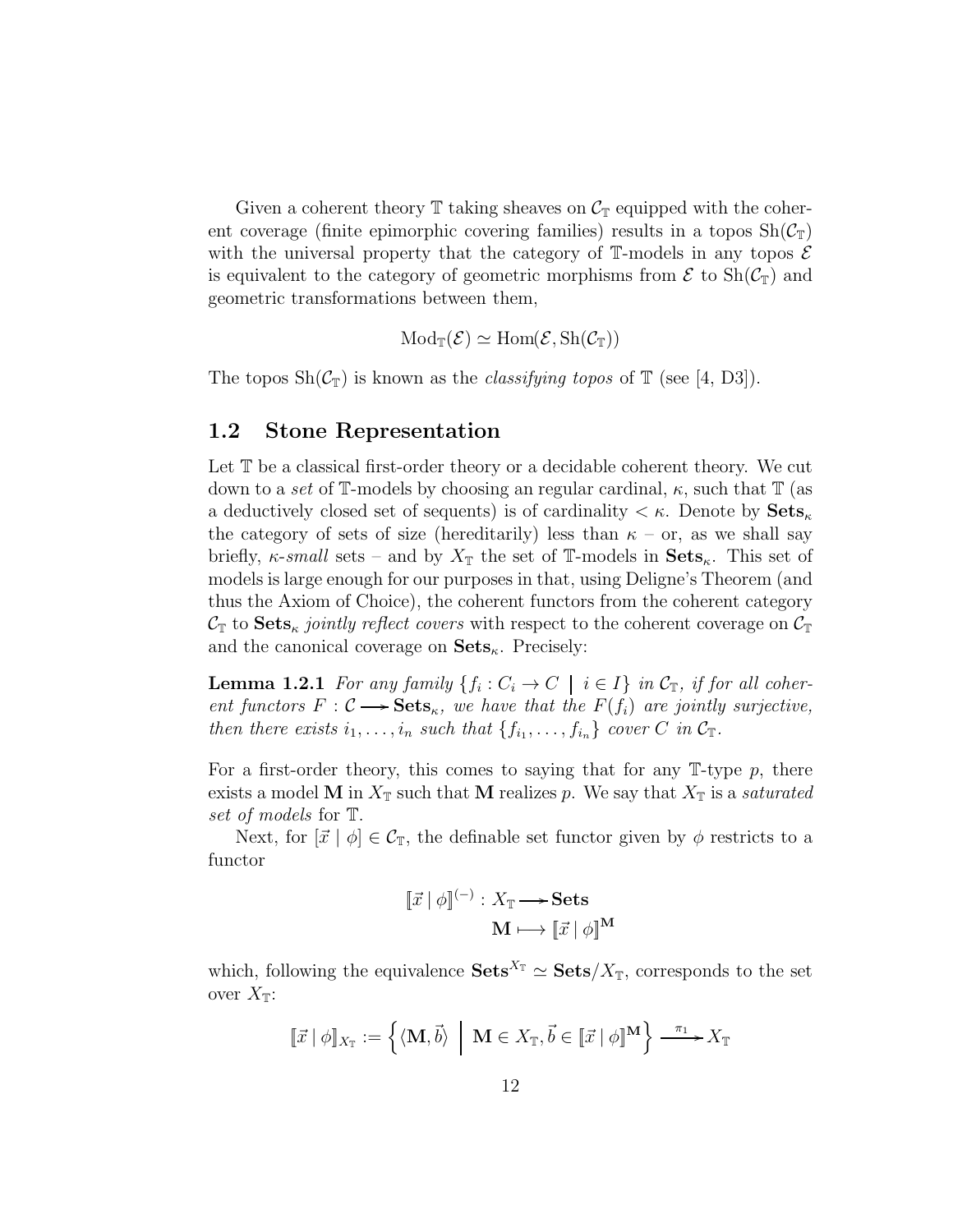Given a coherent theory  $\mathbb T$  taking sheaves on  $\mathcal C_{\mathbb T}$  equipped with the coherent coverage (finite epimorphic covering families) results in a topos  $\text{Sh}(\mathcal{C}_{\mathbb{T}})$ with the universal property that the category of  $\mathbb{F}$ -models in any topos  $\mathcal E$ is equivalent to the category of geometric morphisms from  $\mathcal E$  to  $\text{Sh}(\mathcal C_\mathbb T)$  and geometric transformations between them,

$$
\mathrm{Mod}_{\mathbb{T}}(\mathcal{E}) \simeq \mathrm{Hom}(\mathcal{E}, \mathrm{Sh}(\mathcal{C}_{\mathbb{T}}))
$$

The topos  $\text{Sh}(\mathcal{C}_{\mathbb{T}})$  is known as the *classifying topos* of  $\mathbb{T}$  (see [4, D3]).

### 1.2 Stone Representation

Let T be a classical first-order theory or a decidable coherent theory. We cut down to a set of T-models by choosing an regular cardinal,  $\kappa$ , such that T (as a deductively closed set of sequents) is of cardinality  $\lt \kappa$ . Denote by  $\textbf{Sets}_{\kappa}$ the category of sets of size (hereditarily) less than  $\kappa$  – or, as we shall say briefly,  $\kappa$ -small sets – and by  $X_{\mathbb{T}}$  the set of  $\mathbb{T}$ -models in  $\mathbf{Sets}_{\kappa}$ . This set of models is large enough for our purposes in that, using Deligne's Theorem (and thus the Axiom of Choice), the coherent functors from the coherent category  $\mathcal{C}_{\mathbb{T}}$  to  $\mathbf{Sets}_{\kappa}$  *jointly reflect covers* with respect to the coherent coverage on  $\mathcal{C}_{\mathbb{T}}$ and the canonical coverage on  $\textbf{Sets}_{\kappa}$ . Precisely:

**Lemma 1.2.1** For any family  $\{f_i : C_i \to C \mid i \in I\}$  in  $C_T$ , if for all coherent functors  $F: \mathcal{C} \longrightarrow \mathbf{Sets}_{\kappa}$ , we have that the  $F(f_i)$  are jointly surjective, then there exists  $i_1, \ldots, i_n$  such that  $\{f_{i_1}, \ldots, f_{i_n}\}$  cover C in  $\mathcal{C}_{\mathbb{T}}$ .

For a first-order theory, this comes to saying that for any  $\mathbb{T}$ -type p, there exists a model M in  $X_{\mathbb{T}}$  such that M realizes p. We say that  $X_{\mathbb{T}}$  is a saturated set of models for T.

Next, for  $[\vec{x} \mid \phi] \in C_{\mathbb{T}}$ , the definable set functor given by  $\phi$  restricts to a functor

$$
[\![\vec{x}\! \mid \phi\!]^{(-)} : X_{\mathbb{T}} \longrightarrow \mathbf{Sets}
$$

$$
\mathbf{M} \longmapsto [\![\vec{x}\! \mid \phi\!]^{\mathbf{M}}
$$

which, following the equivalence  $\mathbf{Sets}^{X_T} \simeq \mathbf{Sets}/X_T$ , corresponds to the set over  $X_{\mathbb{T}}$ :

$$
[\![\vec{x}\! \mid \phi]\!]_{X_{\mathbb{T}}} := \left\{ \langle \mathbf{M}, \vec{b} \rangle \; \middle| \; \mathbf{M} \in X_{\mathbb{T}}, \vec{b} \in [\![\vec{x}\! \mid \phi]\!]^{\mathbf{M}} \right\} \xrightarrow{\pi_1} X_{\mathbb{T}}
$$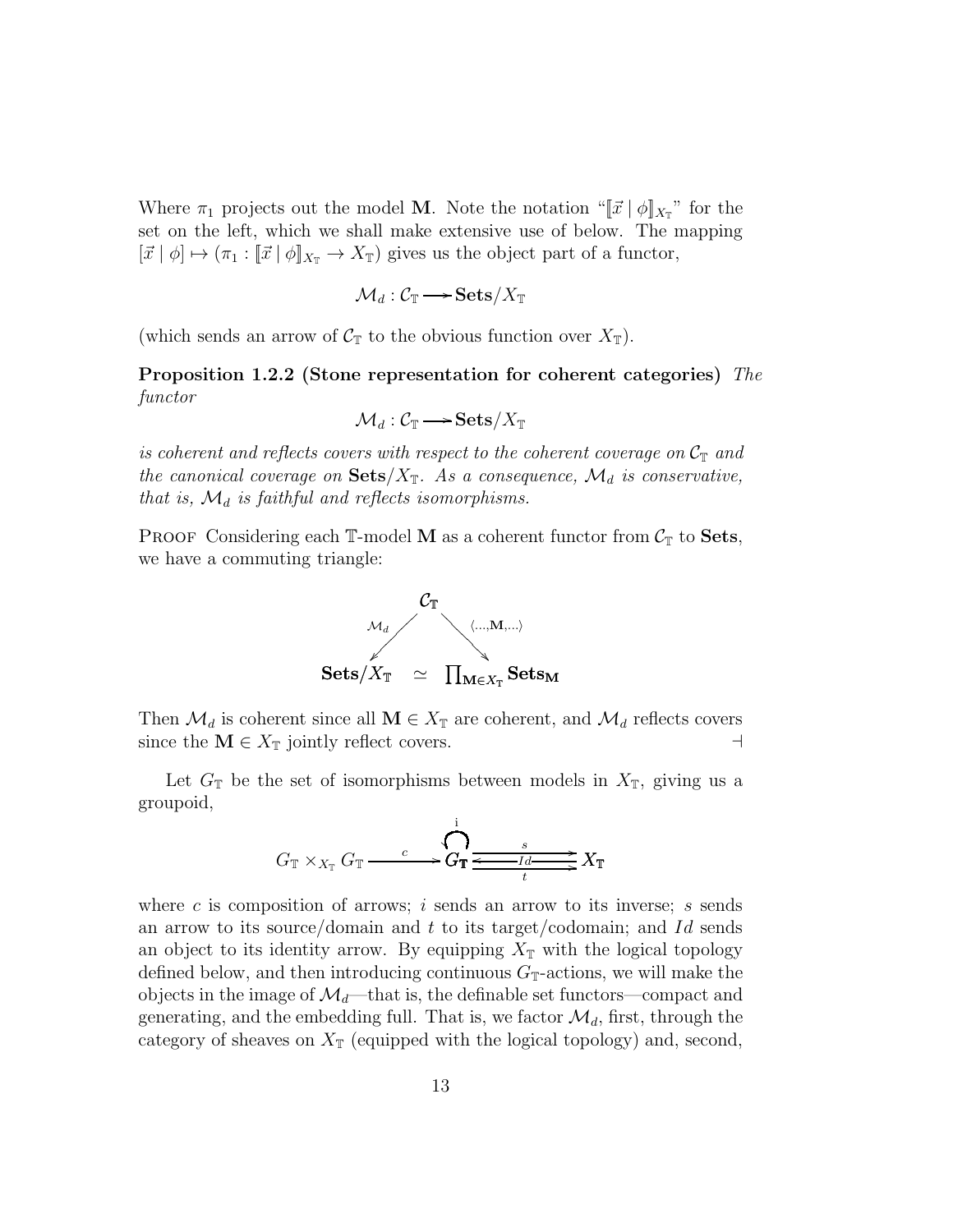Where  $\pi_1$  projects out the model **M**. Note the notation " $[\![\vec{x}\!]\!] \phi \Vert_{X_T}$ " for the set on the left, which we shall make extensive use of below. The mapping  $[\vec{x} | \phi] \mapsto (\pi_1 : [\vec{x} | \phi]_{X_{\mathbb{T}}} \to X_{\mathbb{T}})$  gives us the object part of a functor,

$$
\mathcal{M}_d:\mathcal{C}_\mathbb{T}\mathchoice{\longrightarrow}{\rightarrow}{\rightarrow}{\rightarrow} \mathbf{Sets}/X_\mathbb{T}
$$

(which sends an arrow of  $C_{\mathbb{T}}$  to the obvious function over  $X_{\mathbb{T}}$ ).

Proposition 1.2.2 (Stone representation for coherent categories) The functor

$$
\mathcal{M}_d: \mathcal{C}_\mathbb{T} \longrightarrow \mathbf{Sets}/X_\mathbb{T}
$$

is coherent and reflects covers with respect to the coherent coverage on  $\mathcal{C}_{\mathbb{T}}$  and the canonical coverage on Sets/ $X_{\mathbb{T}}$ . As a consequence,  $\mathcal{M}_d$  is conservative, that is,  $\mathcal{M}_d$  is faithful and reflects isomorphisms.

PROOF Considering each  $\mathbb{T}$ -model M as a coherent functor from  $\mathcal{C}_{\mathbb{T}}$  to **Sets**, we have a commuting triangle:



Then  $\mathcal{M}_d$  is coherent since all  $\mathbf{M} \in X_{\mathbb{T}}$  are coherent, and  $\mathcal{M}_d$  reflects covers since the  $\mathbf{M} \in X_{\mathbb{T}}$  jointly reflect covers.

Let  $G_{\mathbb{T}}$  be the set of isomorphisms between models in  $X_{\mathbb{T}}$ , giving us a groupoid,

$$
G_{\mathbb{T}} \times_{X_{\mathbb{T}}} G_{\mathbb{T}} \xrightarrow{c} G_{\mathbb{T}} \xrightarrow{\qquad \qquad \downarrow \qquad } G_{\mathbb{T}} \xrightarrow{\qquad \qquad s \qquad } X_{\mathbb{T}}
$$

where c is composition of arrows; i sends an arrow to its inverse; s sends an arrow to its source/domain and t to its target/codomain; and Id sends an object to its identity arrow. By equipping  $X_{\mathbb{T}}$  with the logical topology defined below, and then introducing continuous  $G_{\mathbb{T}}$ -actions, we will make the objects in the image of  $\mathcal{M}_d$ —that is, the definable set functors—compact and generating, and the embedding full. That is, we factor  $\mathcal{M}_d$ , first, through the category of sheaves on  $X_{\mathbb{T}}$  (equipped with the logical topology) and, second,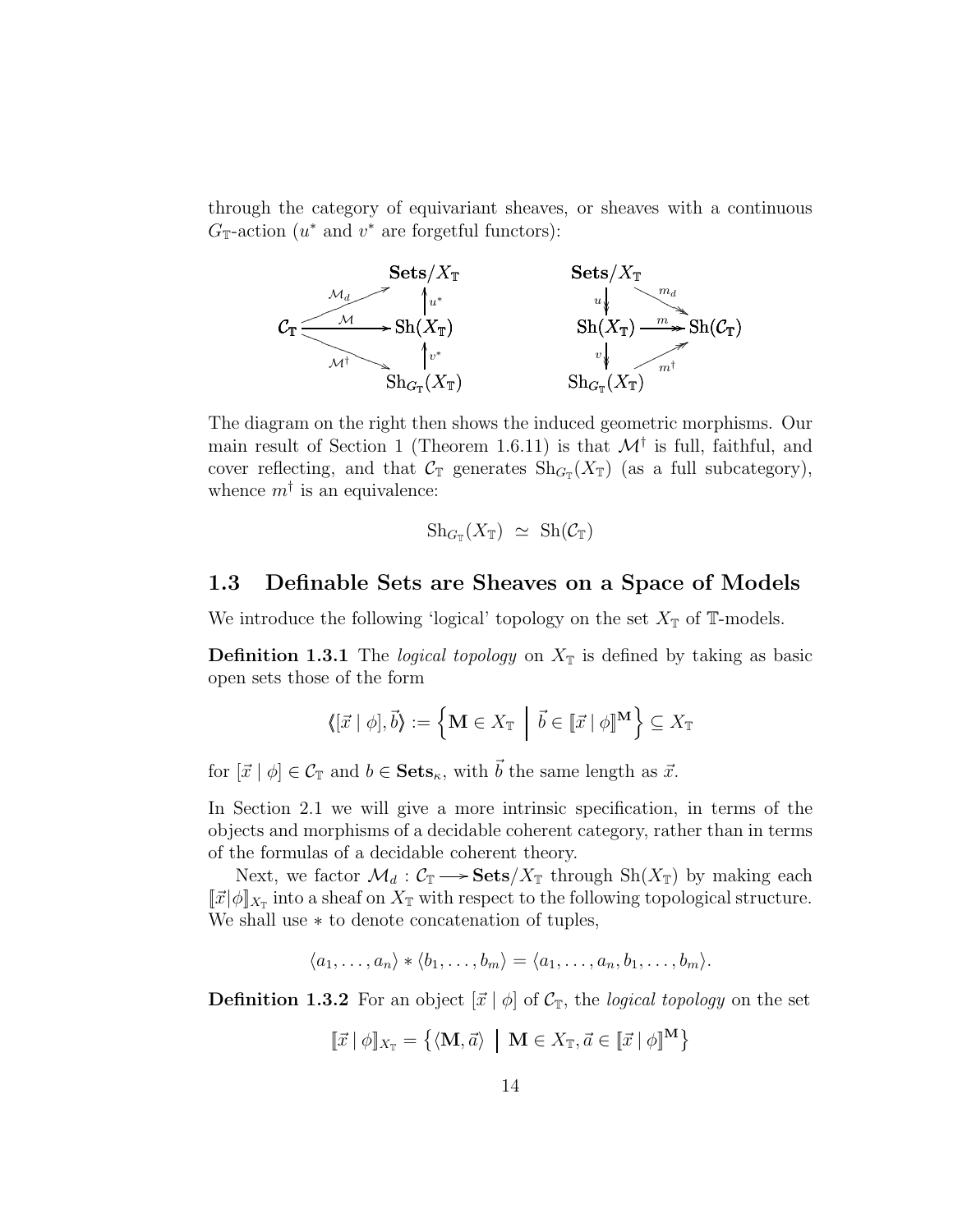through the category of equivariant sheaves, or sheaves with a continuous  $G_{\mathbb{T}}$ -action  $(u^*$  and  $v^*$  are forgetful functors):



The diagram on the right then shows the induced geometric morphisms. Our main result of Section 1 (Theorem 1.6.11) is that  $\mathcal{M}^{\dagger}$  is full, faithful, and cover reflecting, and that  $\mathcal{C}_{\mathbb{T}}$  generates  $\text{Sh}_{G_{\mathbb{T}}}(X_{\mathbb{T}})$  (as a full subcategory), whence  $m^{\dagger}$  is an equivalence:

$$
Sh_{G_{\mathbb{T}}}(X_{\mathbb{T}}) \simeq Sh(\mathcal{C}_{\mathbb{T}})
$$

### 1.3 Definable Sets are Sheaves on a Space of Models

We introduce the following 'logical' topology on the set  $X_{\mathbb{T}}$  of  $\mathbb{T}$ -models.

**Definition 1.3.1** The *logical topology* on  $X_{\mathbb{T}}$  is defined by taking as basic open sets those of the form

$$
\left\langle [\vec{x} \mid \phi], \vec{b} \right\rangle := \left\{ \mathbf{M} \in X_{\mathbb{T}} \middle| \vec{b} \in [\![\vec{x} \mid \phi]\!]^{\mathbf{M}} \right\} \subseteq X_{\mathbb{T}}
$$

for  $[\vec{x} \mid \phi] \in C_{\mathbb{T}}$  and  $b \in \mathbf{Sets}_{\kappa}$ , with  $\vec{b}$  the same length as  $\vec{x}$ .

In Section 2.1 we will give a more intrinsic specification, in terms of the objects and morphisms of a decidable coherent category, rather than in terms of the formulas of a decidable coherent theory.

Next, we factor  $\mathcal{M}_d : \mathcal{C}_{\mathbb{T}} \longrightarrow \mathbf{Sets}/X_{\mathbb{T}}$  through  $\mathrm{Sh}(X_{\mathbb{T}})$  by making each  $[\![\vec{x}]\phi]\!]_{X_{\mathbb{T}}}$  into a sheaf on  $X_{\mathbb{T}}$  with respect to the following topological structure. We shall use ∗ to denote concatenation of tuples,

$$
\langle a_1,\ldots,a_n\rangle * \langle b_1,\ldots,b_m\rangle = \langle a_1,\ldots,a_n,b_1,\ldots,b_m\rangle.
$$

**Definition 1.3.2** For an object  $[\vec{x} | \phi]$  of  $\mathcal{C}_{\mathbb{T}}$ , the *logical topology* on the set

$$
[\![\vec{x}\!~|~\phi]\!]_{X_{\mathbb{T}}} = \left\{ \langle \mathbf{M}, \vec{a} \rangle \; \middle| \; \mathbf{M} \in X_{\mathbb{T}}, \vec{a} \in [\![\vec{x}\!~|~\phi]\!]^{\mathbf{M}} \right\}
$$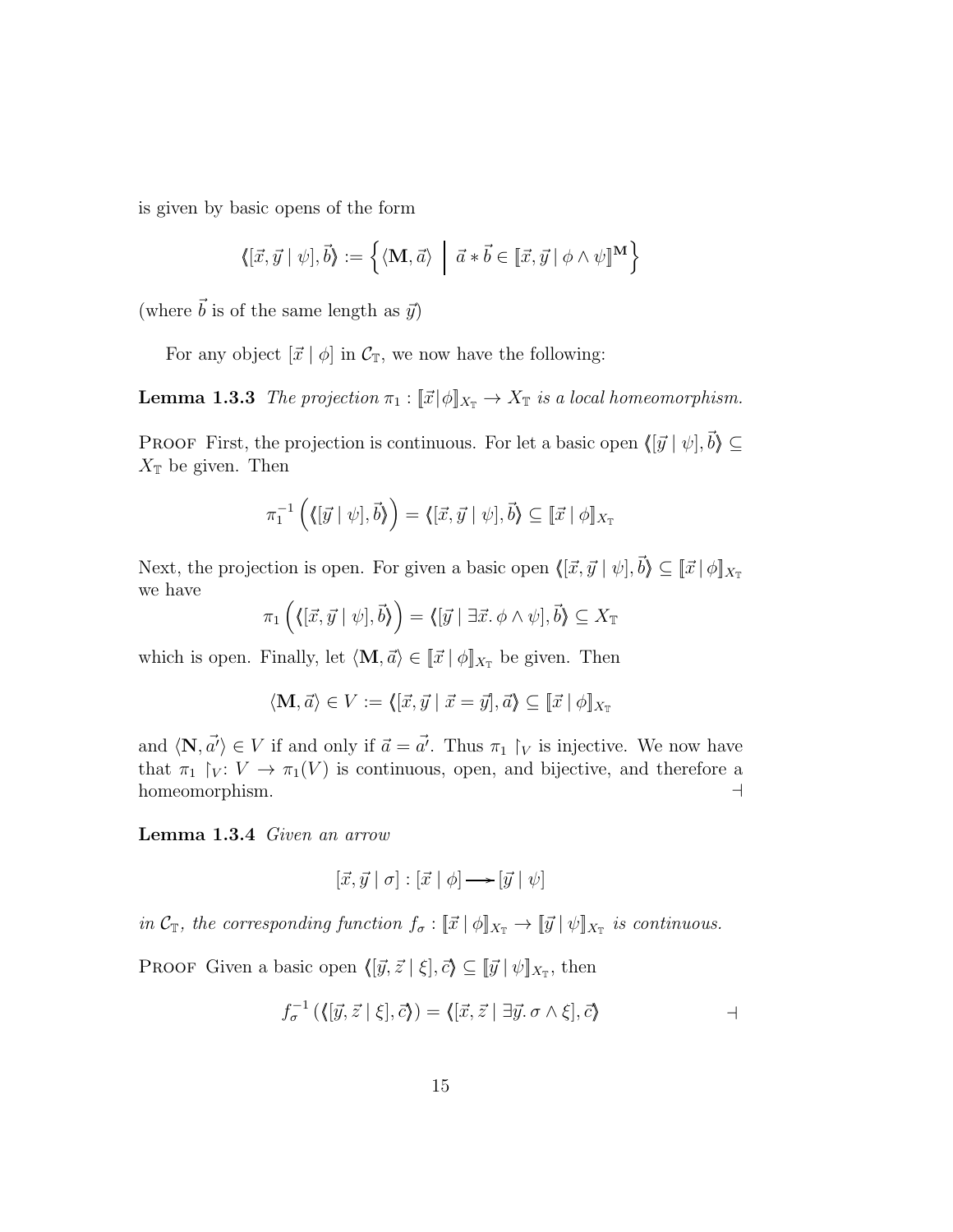is given by basic opens of the form

$$
\langle [\vec{x}, \vec{y} | \psi], \vec{b} \rangle := \left\{ \langle \mathbf{M}, \vec{a} \rangle \middle| \vec{a} * \vec{b} \in [\![\vec{x}, \vec{y} | \phi \wedge \psi]\!]^{\mathbf{M}} \right\}
$$

(where  $\vec{b}$  is of the same length as  $\vec{y}$ )

For any object  $[\vec{x} | \phi]$  in  $\mathcal{C}_{\mathbb{T}}$ , we now have the following:

**Lemma 1.3.3** The projection  $\pi_1 : [\![\vec{x}]\!] \phi \mathbb{I}_{X_{\mathbb{T}}} \to X_{\mathbb{T}}$  is a local homeomorphism.

PROOF First, the projection is continuous. For let a basic open  $\langle [\vec{y} | \psi], \vec{b} \rangle \subseteq$  $X_{\mathbb{T}}$  be given. Then

$$
\pi_1^{-1} \left( \langle [\vec{y} \mid \psi], \vec{b} \rangle \right) = \langle [\vec{x}, \vec{y} \mid \psi], \vec{b} \rangle \subseteq [\![\vec{x} \mid \phi]\!]_{X_{\mathbb{T}}}
$$

Next, the projection is open. For given a basic open  $\langle [ \vec{x}, \vec{y} \mid \psi], \vec{b} \rangle \subseteq [ \vec{x} \mid \phi] \rangle_{X_T}$ we have

$$
\pi_1\left(\left\langle [\vec{x}, \vec{y} \mid \psi], \vec{b}\right\rangle\right) = \left\langle [\vec{y} \mid \exists \vec{x}. \phi \land \psi], \vec{b}\right\rangle \subseteq X_{\mathbb{T}}
$$

which is open. Finally, let  $\langle \mathbf{M}, \vec{a} \rangle \in [\![\vec{x} \mid \phi]\!]_{X_T}$  be given. Then

$$
\langle \mathbf{M}, \vec{a} \rangle \in V := \langle [\vec{x}, \vec{y} \mid \vec{x} = \vec{y}], \vec{a} \rangle \subseteq [\![\vec{x} \mid \phi]\!]_{X_{\mathbb{T}}}
$$

and  $\langle \mathbf{N}, \vec{a'} \rangle \in V$  if and only if  $\vec{a} = \vec{a'}$ . Thus  $\pi_1 \upharpoonright_V$  is injective. We now have that  $\pi_1 \restriction_V: V \to \pi_1(V)$  is continuous, open, and bijective, and therefore a homeomorphism. ⊣

Lemma 1.3.4 Given an arrow

 $[\vec{x}, \vec{y} | \sigma] : [\vec{x} | \phi] \longrightarrow [\vec{y} | \psi]$ 

in  $\mathcal{C}_{\mathbb{T}}$ , the corresponding function  $f_{\sigma} : [\![\vec{x} \, | \, \phi]\!]_{X_{\mathbb{T}}} \to [\![\vec{y} \, | \, \psi]\!]_{X_{\mathbb{T}}}$  is continuous.

PROOF Given a basic open  $\langle [\vec{y}, \vec{z}] | \xi |, \vec{c} \rangle \subseteq [\vec{y} | \psi]_{X_{\mathbb{T}}}$ , then

$$
f_{\sigma}^{-1}(\langle [\vec{y}, \vec{z} \mid \xi], \vec{c} \rangle) = \langle [\vec{x}, \vec{z} \mid \exists \vec{y}. \sigma \wedge \xi], \vec{c} \rangle
$$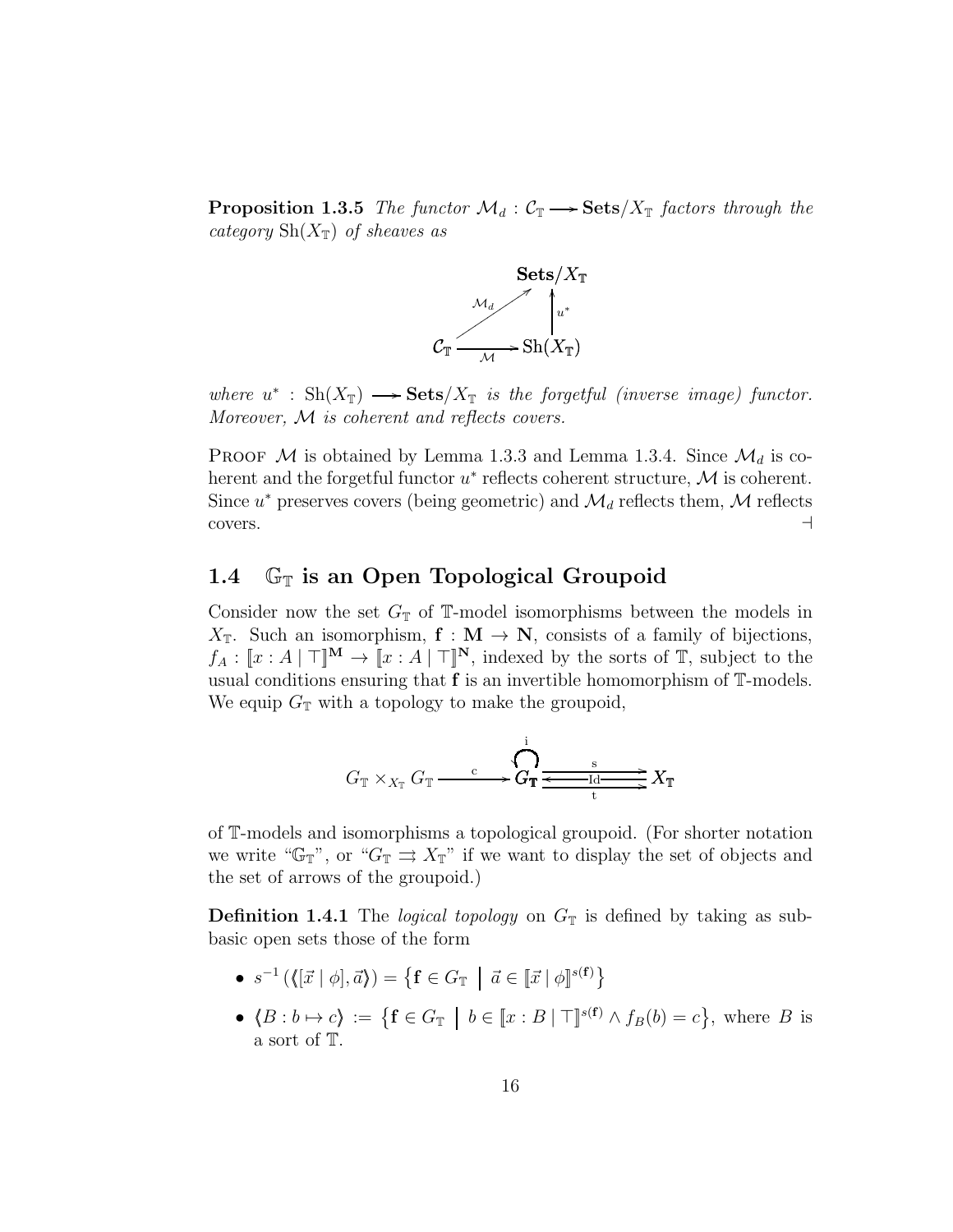**Proposition 1.3.5** The functor  $\mathcal{M}_d : \mathcal{C}_\mathbb{T} \longrightarrow \textbf{Sets}/X_\mathbb{T}$  factors through the category  $\text{Sh}(X_{\mathbb{T}})$  of sheaves as



where  $u^*$ : Sh $(X_{\mathbb{T}}) \longrightarrow$  Sets/ $X_{\mathbb{T}}$  is the forgetful (inverse image) functor. Moreover, M is coherent and reflects covers.

**PROOF** M is obtained by Lemma 1.3.3 and Lemma 1.3.4. Since  $\mathcal{M}_d$  is coherent and the forgetful functor  $u^*$  reflects coherent structure,  $\mathcal M$  is coherent. Since  $u^*$  preserves covers (being geometric) and  $\mathcal{M}_d$  reflects them,  $\mathcal M$  reflects  $\alpha$  covers.

## 1.4  $\mathbb{G}_{\mathbb{T}}$  is an Open Topological Groupoid

Consider now the set  $G_{\mathbb{T}}$  of  $\mathbb{T}$ -model isomorphisms between the models in  $X_{\mathbb{T}}$ . Such an isomorphism,  $f : M \to N$ , consists of a family of bijections,  $f_A: [x : A | \top]^M \to [x : A | \top]^N$ , indexed by the sorts of T, subject to the usual conditions ensuring that f is an invertible homomorphism of T-models. We equip  $G_{\mathbb{T}}$  with a topology to make the groupoid,

$$
G_{\mathbb{T}} \times_{X_{\mathbb{T}}} G_{\mathbb{T}} \xrightarrow{c} G_{\mathbb{T}} \xrightarrow{\iota} G_{\mathbb{T}} \xrightarrow{\mathbf{s}} X_{\mathbb{T}}
$$

of T-models and isomorphisms a topological groupoid. (For shorter notation we write " $\mathbb{G}_{\mathbb{T}}$ ", or " $G_{\mathbb{T}} \rightrightarrows X_{\mathbb{T}}$ " if we want to display the set of objects and the set of arrows of the groupoid.)

**Definition 1.4.1** The *logical topology* on  $G<sub>T</sub>$  is defined by taking as subbasic open sets those of the form

- $\bullet~~ s^{-1}\left( \left\langle [\vec{x} \mid \phi], \vec{a} \right\rangle \right) = \left\{ \mathbf{f} \in G_\mathbb{T}~~ \middle|~~ \vec{a} \in [\![\vec{x} \mid \phi]\!]^{s(\mathbf{f})} \right\}$
- $\langle B : b \mapsto c \rangle := \{ \mathbf{f} \in G_{\mathbb{T}} \mid b \in [x : B | \top]^{s(\mathbf{f})} \wedge f_B(b) = c \},$  where B is a sort of T.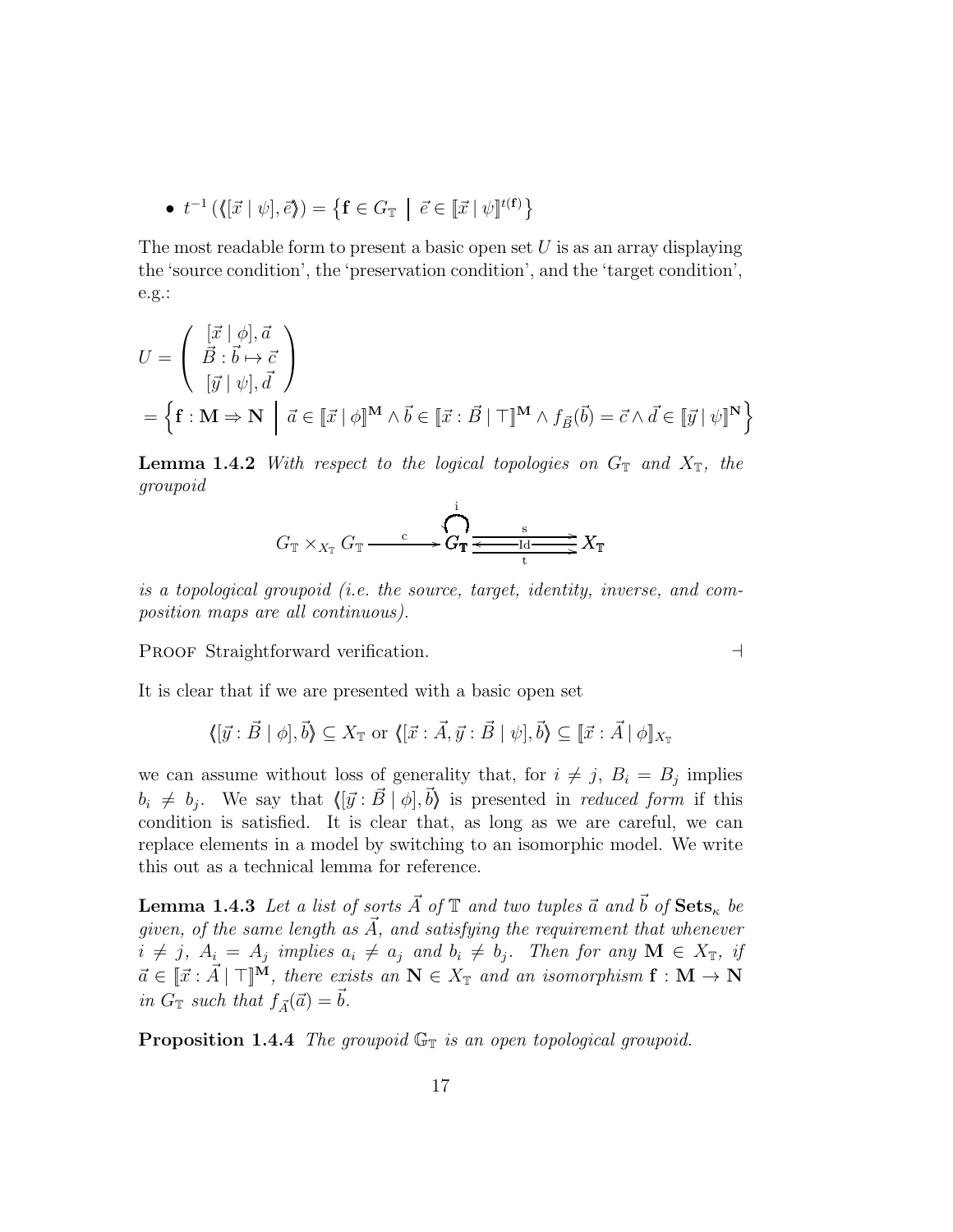• 
$$
t^{-1}(\langle [\vec{x} | \psi], \vec{e} \rangle) = \{ \mathbf{f} \in G_{\mathbb{T}} | \vec{e} \in [\vec{x} | \psi]^{\mathsf{t}(\mathbf{f})} \}
$$

The most readable form to present a basic open set  $U$  is as an array displaying the 'source condition', the 'preservation condition', and the 'target condition', e.g.:

$$
U = \begin{pmatrix} \begin{bmatrix} \vec{x} & \phi \end{bmatrix}, \vec{a} \\ \vec{B} & \vec{b} \mapsto \vec{c} \\ \begin{bmatrix} \vec{y} & \psi \end{bmatrix}, \vec{d} \end{pmatrix}
$$
  
= 
$$
\left\{ \mathbf{f} : \mathbf{M} \Rightarrow \mathbf{N} \middle| \vec{a} \in [\![\vec{x}\mid \phi\!]^{\mathbf{M}} \land \vec{b} \in [\![\vec{x} : \vec{B} \mid \top\!]^{\mathbf{M}} \land f_{\vec{B}}(\vec{b}) = \vec{c} \land \vec{d} \in [\![\vec{y} \mid \psi\!]^{\mathbf{N}} \right\}
$$

**Lemma 1.4.2** With respect to the logical topologies on  $G_{\mathbb{T}}$  and  $X_{\mathbb{T}}$ , the groupoid

$$
G_{\mathbb{T}} \times_{X_{\mathbb{T}}} G_{\mathbb{T}} \xrightarrow{c} G_{\mathbb{T}} \xrightarrow{\iint_{t}^{S} X_{\mathbb{T}}}{X}
$$

is a topological groupoid (i.e. the source, target, identity, inverse, and composition maps are all continuous).

PROOF Straightforward verification. ⊣

It is clear that if we are presented with a basic open set

$$
\langle [\vec{y} : \vec{B} | \phi], \vec{b} \rangle \subseteq X_{\mathbb{T}}
$$
 or  $\langle [\vec{x} : \vec{A}, \vec{y} : \vec{B} | \psi], \vec{b} \rangle \subseteq [\![\vec{x} : \vec{A} | \phi]\!]_{X_{\mathbb{T}}}$ 

we can assume without loss of generality that, for  $i \neq j$ ,  $B_i = B_j$  implies  $b_i \neq b_j$ . We say that  $\langle [\vec{y} : \vec{B} \mid \phi], \vec{b} \rangle$  is presented in reduced form if this condition is satisfied. It is clear that, as long as we are careful, we can replace elements in a model by switching to an isomorphic model. We write this out as a technical lemma for reference.

**Lemma 1.4.3** Let a list of sorts  $\vec{A}$  of  $\mathbb T$  and two tuples  $\vec{a}$  and  $\vec{b}$  of  $\textbf{Sets}_{\kappa}$  be given, of the same length as  $\vec{A}$ , and satisfying the requirement that whenever  $i \neq j$ ,  $A_i = A_j$  implies  $a_i \neq a_j$  and  $b_i \neq b_j$ . Then for any  $\mathbf{M} \in X_{\mathbb{T}}$ , if  $\vec{a} \in [\vec{x} : \vec{A}] \top M$ , there exists an  $N \in X_{\mathbb{T}}$  and an isomorphism  $f : M \to N$ in  $G_{\mathbb{T}}$  such that  $f_{\vec{A}}(\vec{a}) = \vec{b}$ .

**Proposition 1.4.4** The groupoid  $\mathbb{G}_{\mathbb{T}}$  is an open topological groupoid.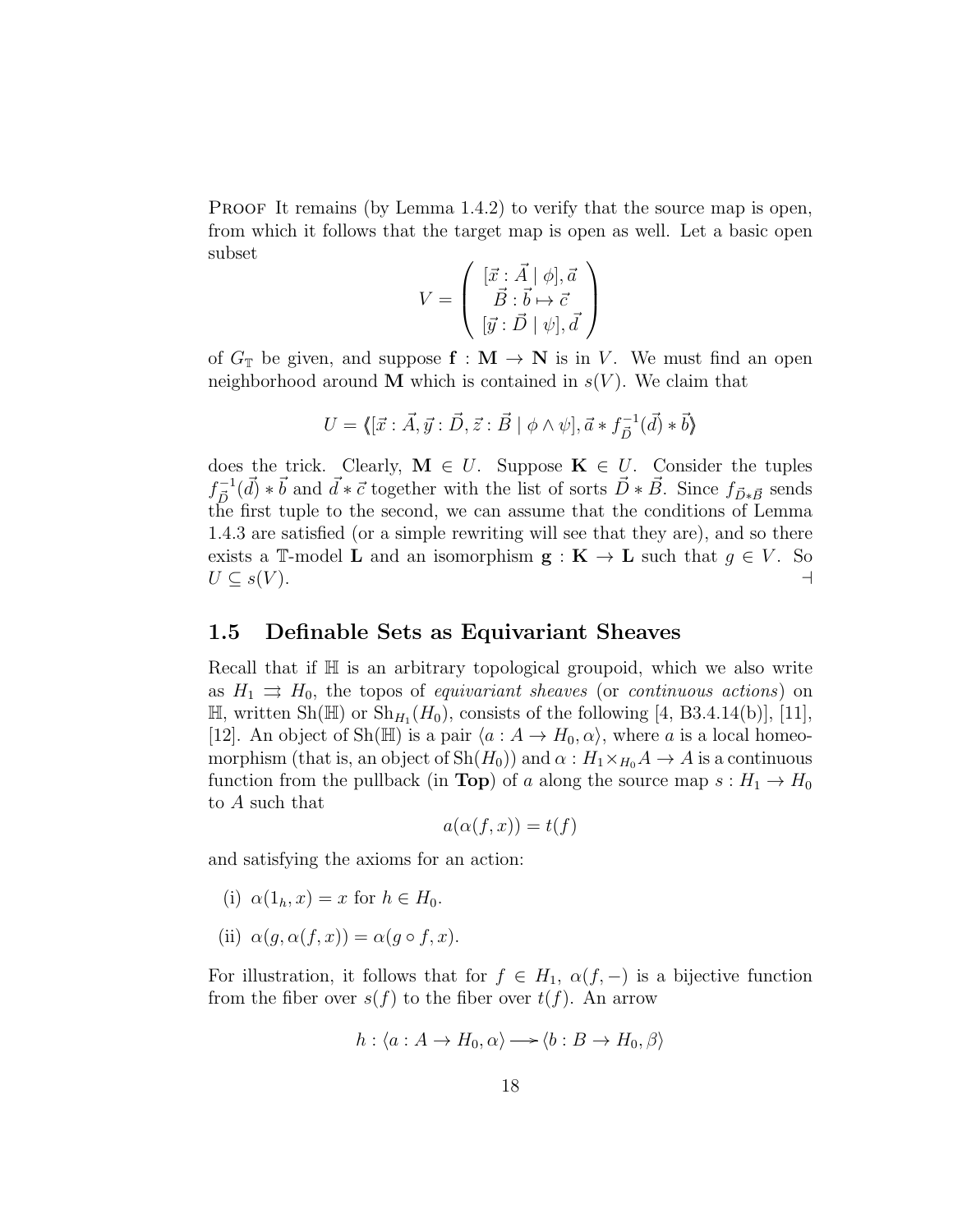PROOF It remains (by Lemma 1.4.2) to verify that the source map is open, from which it follows that the target map is open as well. Let a basic open subset

$$
V = \begin{pmatrix} [\vec{x} : \vec{A} | \phi], \vec{a} \\ \vec{B} : \vec{b} \mapsto \vec{c} \\ [\vec{y} : \vec{D} | \psi], \vec{d} \end{pmatrix}
$$

of  $G_{\mathbb{T}}$  be given, and suppose  $f : M \to N$  is in V. We must find an open neighborhood around M which is contained in  $s(V)$ . We claim that

$$
U = \langle [\vec{x} : \vec{A}, \vec{y} : \vec{D}, \vec{z} : \vec{B} \mid \phi \wedge \psi], \vec{a} * f_{\vec{D}}^{-1}(\vec{d}) * \vec{b} \rangle
$$

does the trick. Clearly,  $\mathbf{M} \in U$ . Suppose  $\mathbf{K} \in U$ . Consider the tuples  $f_{\vec{D}}^{-1}$  $\vec{D}^{-1}(\vec{d}) * \vec{b}$  and  $\vec{d} * \vec{c}$  together with the list of sorts  $\vec{D} * \vec{B}$ . Since  $f_{\vec{D} * \vec{B}}$  sends the first tuple to the second, we can assume that the conditions of Lemma 1.4.3 are satisfied (or a simple rewriting will see that they are), and so there exists a T-model **L** and an isomorphism  $g : K \to L$  such that  $g \in V$ . So  $U \subseteq s(V)$ .

### 1.5 Definable Sets as Equivariant Sheaves

Recall that if  $\mathbb H$  is an arbitrary topological groupoid, which we also write as  $H_1 \Rightarrow H_0$ , the topos of *equivariant sheaves* (or *continuous actions*) on  $\mathbb{H}$ , written Sh( $\mathbb{H}$ ) or Sh<sub>H<sub>1</sub></sub>( $H_0$ ), consists of the following [4, B3.4.14(b)], [11], [12]. An object of Sh( $\mathbb{H}$ ) is a pair  $\langle a : A \to H_0, \alpha \rangle$ , where a is a local homeomorphism (that is, an object of  $\text{Sh}(H_0)$ ) and  $\alpha: H_1 \times_{H_0} A \to A$  is a continuous function from the pullback (in **Top**) of a along the source map  $s : H_1 \to H_0$ to A such that

$$
a(\alpha(f, x)) = t(f)
$$

and satisfying the axioms for an action:

- (i)  $\alpha(1_h, x) = x$  for  $h \in H_0$ .
- (ii)  $\alpha(q, \alpha(f, x)) = \alpha(q \circ f, x).$

For illustration, it follows that for  $f \in H_1$ ,  $\alpha(f, -)$  is a bijective function from the fiber over  $s(f)$  to the fiber over  $t(f)$ . An arrow

$$
h: \langle a: A \to H_0, \alpha \rangle \longrightarrow \langle b: B \to H_0, \beta \rangle
$$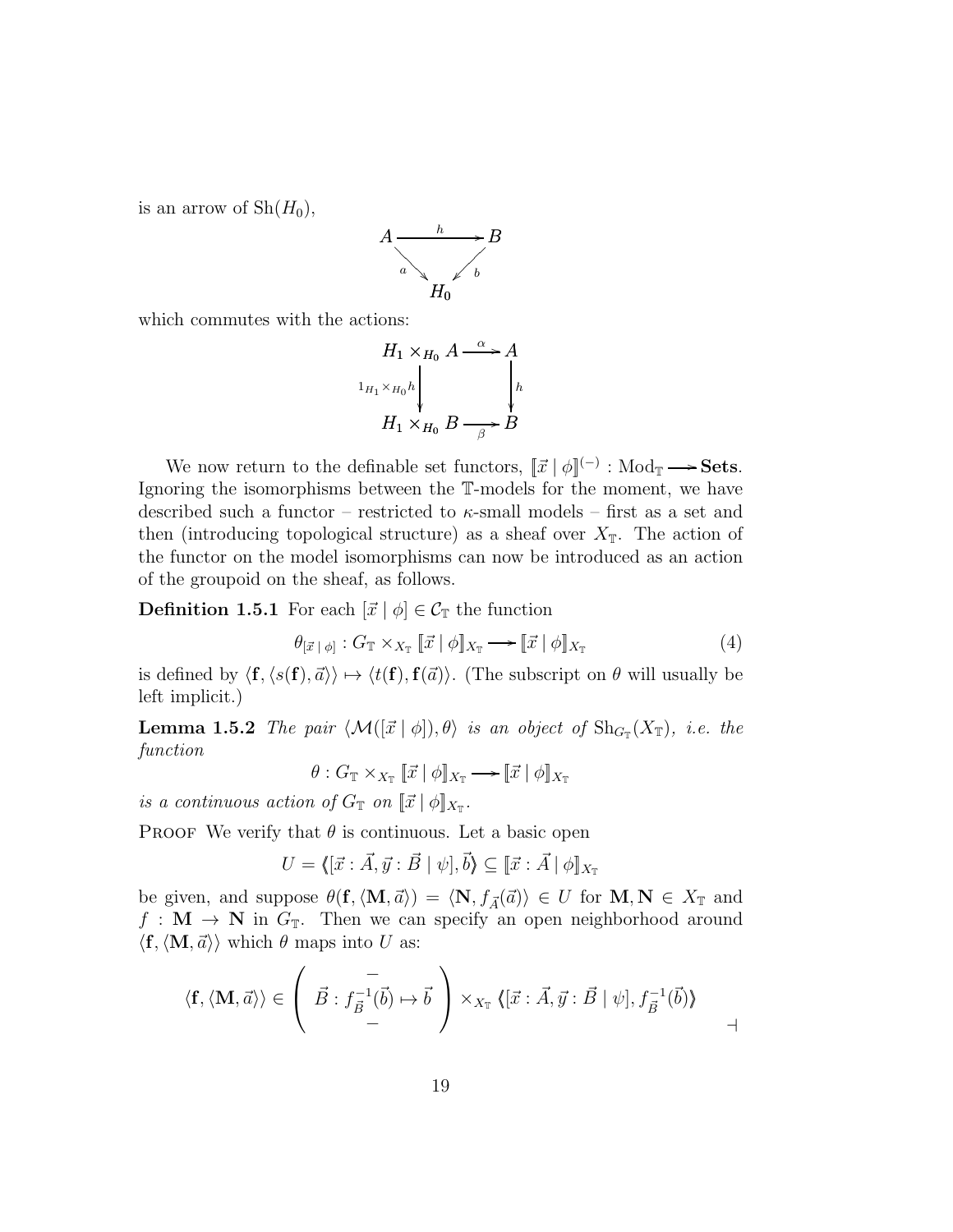is an arrow of  $\mathrm{Sh}(H_0)$ ,



which commutes with the actions:

$$
H_1 \times_{H_0} A \xrightarrow{\alpha} A
$$
  
\n
$$
H_1 \times_{H_0} h \downarrow \qquad \qquad \downarrow h
$$
  
\n
$$
H_1 \times_{H_0} B \xrightarrow{\beta} B
$$

We now return to the definable set functors,  $[\vec{x} | \phi]^{(-)} : \text{Mod}_{\mathbb{T}} \longrightarrow \textbf{Sets}.$ Ignoring the isomorphisms between the T-models for the moment, we have described such a functor – restricted to  $\kappa$ -small models – first as a set and then (introducing topological structure) as a sheaf over  $X_{\mathbb{T}}$ . The action of the functor on the model isomorphisms can now be introduced as an action of the groupoid on the sheaf, as follows.

**Definition 1.5.1** For each  $[\vec{x} | \phi] \in C_{\mathbb{T}}$  the function

$$
\theta_{[\vec{x} \mid \phi]} : G_{\mathbb{T}} \times_{X_{\mathbb{T}}} [\vec{x} \mid \phi]_{X_{\mathbb{T}}} \longrightarrow [\vec{x} \mid \phi]_{X_{\mathbb{T}}} \tag{4}
$$

is defined by  $\langle f,\langle s(f),\vec{a}\rangle\rangle \mapsto \langle t(f),f(\vec{a})\rangle$ . (The subscript on  $\theta$  will usually be left implicit.)

**Lemma 1.5.2** The pair  $\langle \mathcal{M}([\vec{x} \mid \phi]), \theta \rangle$  is an object of  $\text{Sh}_{G_{\mathbb{T}}}(X_{\mathbb{T}})$ , i.e. the function

$$
\theta: G_{\mathbb{T}} \times_{X_{\mathbb{T}}} [\![\vec{x} \!]\phi]\!]_{X_{\mathbb{T}}} \longrightarrow [\![\vec{x} \!]\phi]\!]_{X_{\mathbb{T}}}
$$

is a continuous action of  $G_{\mathbb{T}}$  on  $\llbracket \vec{x} \mid \phi \rrbracket_{X_{\mathbb{T}}}.$ 

PROOF We verify that  $\theta$  is continuous. Let a basic open

$$
U = \langle [\vec{x} : \vec{A}, \vec{y} : \vec{B} \mid \psi], \vec{b} \rangle \subseteq [\![ \vec{x} : \vec{A} \mid \phi ]\!]_{X_{\mathbb{T}}}
$$

be given, and suppose  $\theta(\mathbf{f},\langle \mathbf{M},\vec{a}\rangle) = \langle \mathbf{N}, f_{\vec{A}}(\vec{a})\rangle \in U$  for  $\mathbf{M}, \mathbf{N} \in X_{\mathbb{T}}$  and  $f : M \to N$  in  $G_{\mathbb{T}}$ . Then we can specify an open neighborhood around  $\langle \mathbf{f}, \langle \mathbf{M}, \vec{a} \rangle \rangle$  which  $\theta$  maps into U as:

$$
\langle \mathbf{f}, \langle \mathbf{M}, \vec{a} \rangle \rangle \in \left( \begin{array}{c} - \\ \vec{B} : f_{\vec{B}}^{-1}(\vec{b}) \mapsto \vec{b} \\ - \end{array} \right) \times_{X_{\mathbb{T}}} \left\langle [\vec{x} : \vec{A}, \vec{y} : \vec{B} \mid \psi], f_{\vec{B}}^{-1}(\vec{b}) \right\rangle
$$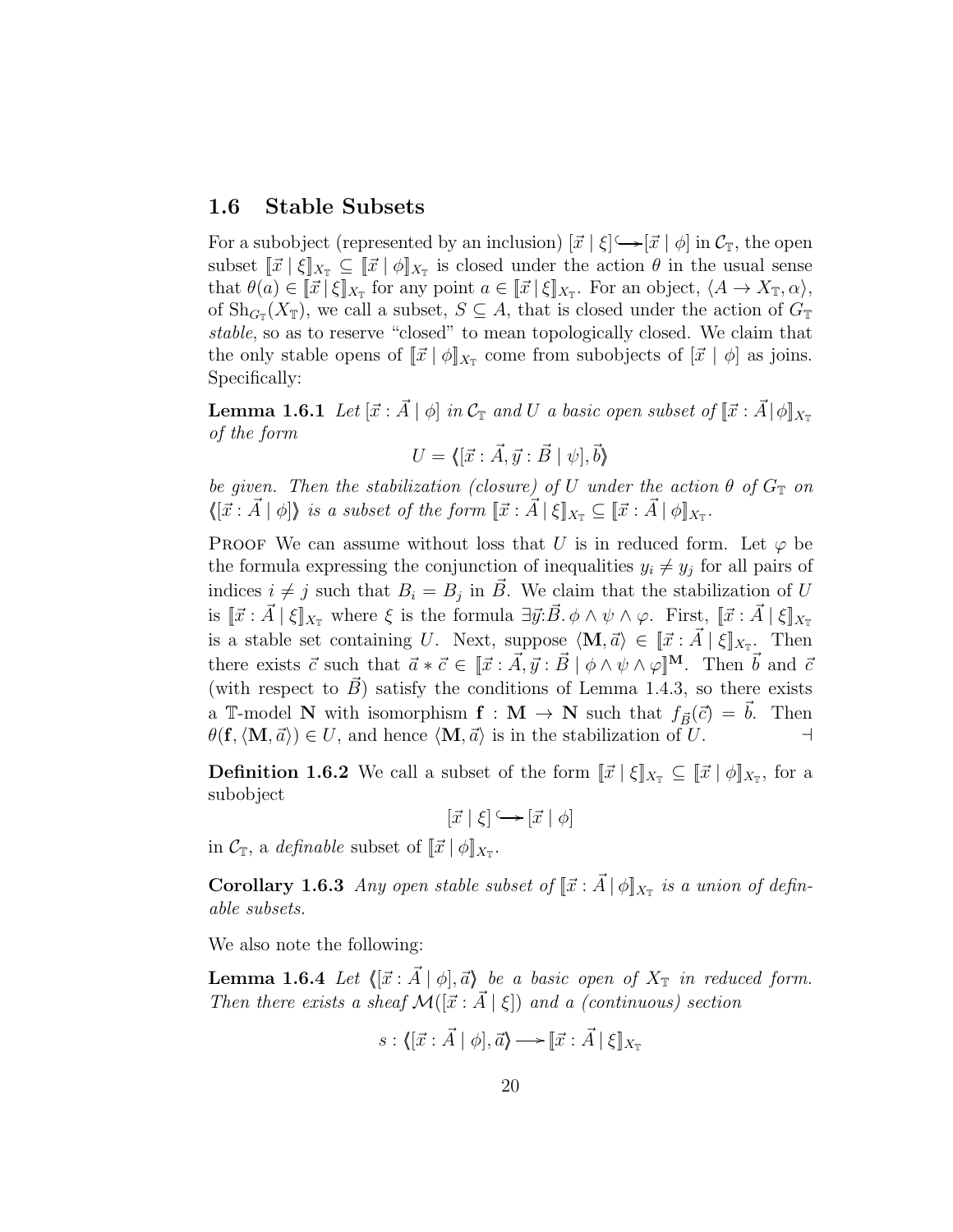### 1.6 Stable Subsets

For a subobject (represented by an inclusion)  $[\vec{x} \mid \xi] \rightarrow [\vec{x} \mid \phi]$  in  $\mathcal{C}_{\mathbb{T}}$ , the open subset  $[\![\vec{x}\!]\!] \xi]_{X_{\mathbb{T}}} \subseteq [\![\vec{x}\!]\!] \phi]_{X_{\mathbb{T}}}$  is closed under the action  $\theta$  in the usual sense that  $\theta(a) \in [\![\vec{x}]\!]_{X_{\mathbb{T}}}$  for any point  $a \in [\![\vec{x}]\!]_{X_{\mathbb{T}}}$ . For an object,  $\langle A \to X_{\mathbb{T}}, \alpha \rangle$ , of  $\text{Sh}_{G_{\mathbb{T}}}(X_{\mathbb{T}})$ , we call a subset,  $S \subseteq A$ , that is closed under the action of  $G_{\mathbb{T}}$ stable, so as to reserve "closed" to mean topologically closed. We claim that the only stable opens of  $[\![\vec{x} \mid \phi]\!]_{X_{\mathbb{T}}}$  come from subobjects of  $[\![\vec{x} \mid \phi]\!]$  as joins. Specifically:

**Lemma 1.6.1** Let  $[\vec{x} : \vec{A} | \phi]$  in  $\mathcal{C}_{\mathbb{T}}$  and U a basic open subset of  $[\vec{x} : \vec{A} | \phi]_{X_{\mathbb{T}}}$ of the form

$$
U = \langle [\vec{x} : \vec{A}, \vec{y} : \vec{B} \mid \psi], \vec{b} \rangle
$$

be given. Then the stabilization (closure) of U under the action  $\theta$  of  $G_{\mathbb{T}}$  on  $\langle [\vec{x} : \vec{A}] | \phi \rangle \rangle$  is a subset of the form  $[\![\vec{x} : \vec{A}] | \xi ]\!]_{X_{\mathbb{T}}} \subseteq [\![\vec{x} : \vec{A}] | \phi \!]_{X_{\mathbb{T}}}.$ 

**PROOF** We can assume without loss that U is in reduced form. Let  $\varphi$  be the formula expressing the conjunction of inequalities  $y_i \neq y_j$  for all pairs of indices  $i \neq j$  such that  $B_i = B_j$  in  $\vec{B}$ . We claim that the stabilization of U is  $[\![\vec{x} : \vec{A} \mid \xi]\!]_{X_T}$  where  $\xi$  is the formula  $\exists \vec{y} : \vec{B} \cdot \phi \wedge \psi \wedge \varphi$ . First,  $[\![\vec{x} : \vec{A} \mid \xi]\!]_{X_T}$ is a stable set containing U. Next, suppose  $\langle \mathbf{M}, \vec{a} \rangle \in [\![\vec{x} : \vec{A}] \!]_{X_{\mathbb{T}}}$ . Then there exists  $\vec{c}$  such that  $\vec{a} * \vec{c} \in [\vec{x} : \vec{A}, \vec{y} : \vec{B} \mid \phi \wedge \psi \wedge \varphi]^{\mathbf{M}}$ . Then  $\vec{b}$  and  $\vec{c}$ (with respect to  $\vec{B}$ ) satisfy the conditions of Lemma 1.4.3, so there exists a T-model N with isomorphism  $f : M \to N$  such that  $f_{\vec{B}}(\vec{c}) = \vec{b}$ . Then  $\theta(\mathbf{f},\langle \mathbf{M},\vec{a}\rangle) \in U$ , and hence  $\langle \mathbf{M},\vec{a}\rangle$  is in the stabilization of U. ⊣

**Definition 1.6.2** We call a subset of the form  $[\![\vec{x}\!] \{\xi\]}_{X_{\mathbb{T}}} \subseteq [\![\vec{x}\!] \phi\!]_{X_{\mathbb{T}}}$ , for a subobject

 $[\vec{x} | \xi] \longrightarrow [\vec{x} | \phi]$ 

in  $\mathcal{C}_{\mathbb{T}}$ , a *definable* subset of  $[\![\vec{x}\!]\!] \phi \!]_{X_{\mathbb{T}}}.$ 

**Corollary 1.6.3** Any open stable subset of  $[\![\vec{x}:\vec{A}\!]\phi]\!]_{X_{\mathbb{T}}}$  is a union of definable subsets.

We also note the following:

**Lemma 1.6.4** Let  $\{[\vec{x} : A | \phi], \vec{a}\}$  be a basic open of  $X_{\mathbb{T}}$  in reduced form. Then there exists a sheaf  $\mathcal{M}([\vec{x} : \vec{A} | \xi])$  and a (continuous) section

$$
s:\left\langle [\vec x:\vec A\mid\phi],\vec a\right\rangle\longrightarrow\left[\!\!\left[\vec x:\vec A\mid\xi\right]\!\!\right]_{X_{\mathbb T}}
$$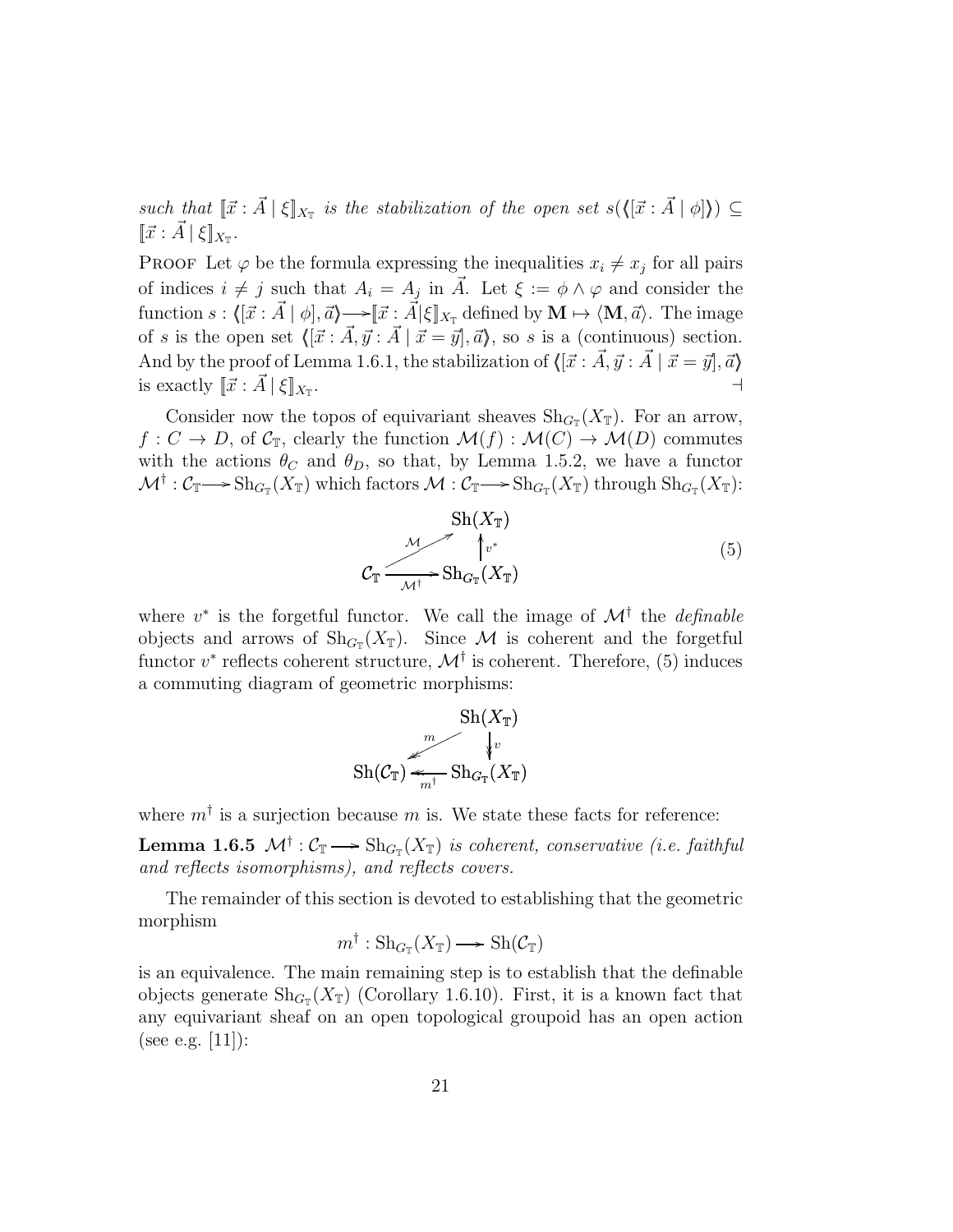such that  $[\![\vec{x}:\vec{A}\!]\!] \xi]\!]_{X_{\mathbb{T}}}$  is the stabilization of the open set  $s(\langle [\vec{x}:\vec{A}\!]\!|\phi]\rangle) \subseteq$  $[\![\vec{x}:\vec{A}\,|\,\xi]\!]_{X_{\mathbb{T}}}.$ 

PROOF Let  $\varphi$  be the formula expressing the inequalities  $x_i \neq x_j$  for all pairs of indices  $i \neq j$  such that  $A_i = A_j$  in  $\vec{A}$ . Let  $\xi := \phi \wedge \varphi$  and consider the function  $s : \langle [\vec{x} : \vec{A} | \phi], \vec{a} \rangle \longrightarrow [\vec{x} : \vec{A} | \xi]_{X_{\top}}$  defined by  $\mathbf{M} \mapsto \langle \mathbf{M}, \vec{a} \rangle$ . The image of s is the open set  $\langle [\vec{x} : \vec{A}, \vec{y} : \vec{A} | \vec{x} = \vec{y}], \vec{a} \rangle$ , so s is a (continuous) section. And by the proof of Lemma 1.6.1, the stabilization of  $\langle [x : \vec{A}, \vec{y} : \vec{A} \mid \vec{x} = \vec{y}], \vec{a} \rangle$ is exactly  $[\![\vec{x} : A]\!] \xi \|_{X_{\mathbb{T}}}.$ . ⊣

Consider now the topos of equivariant sheaves  $\text{Sh}_{G_{\mathbb{T}}}(X_{\mathbb{T}})$ . For an arrow,  $f: C \to D$ , of  $\mathcal{C}_{\mathbb{T}}$ , clearly the function  $\mathcal{M}(f): \mathcal{M}(C) \to \mathcal{M}(D)$  commutes with the actions  $\theta_C$  and  $\theta_D$ , so that, by Lemma 1.5.2, we have a functor  $\mathcal{M}^\dagger: \mathcal{C}_\mathbb{T} \longrightarrow \mathrm{Sh}_{G_\mathbb{T}}(X_\mathbb{T}) \text{ which factors } \mathcal{M}: \mathcal{C}_\mathbb{T} \longrightarrow \mathrm{Sh}_{G_\mathbb{T}}(X_\mathbb{T}) \text{ through } \mathrm{Sh}_{G_\mathbb{T}}(X_\mathbb{T})$ :

$$
\operatorname{Sh}(X_{\mathbb{T}}) \qquad \qquad \downarrow \qquad \qquad \downarrow \qquad \qquad \downarrow \qquad \downarrow \qquad \downarrow \qquad \downarrow \qquad \downarrow \qquad \downarrow \qquad \downarrow \qquad \downarrow \qquad \downarrow \qquad \downarrow \qquad \downarrow \qquad \downarrow \qquad \downarrow \qquad \downarrow \qquad \downarrow \qquad \downarrow \qquad \downarrow \qquad \downarrow \qquad \downarrow \qquad \downarrow \qquad \downarrow \qquad \downarrow \qquad \downarrow \qquad \downarrow \qquad \downarrow \qquad \downarrow \qquad \downarrow \qquad \downarrow \qquad \downarrow \qquad \downarrow \qquad \downarrow \qquad \downarrow \qquad \downarrow \qquad \downarrow \qquad \downarrow \qquad \downarrow \qquad \downarrow \qquad \downarrow \qquad \downarrow \qquad \downarrow \qquad \downarrow \qquad \downarrow \qquad \downarrow \qquad \downarrow \qquad \downarrow \qquad \downarrow \qquad \downarrow \qquad \downarrow \qquad \downarrow \qquad \downarrow \qquad \downarrow \qquad \downarrow \qquad \downarrow \qquad \downarrow \qquad \downarrow \qquad \downarrow \qquad \downarrow \qquad \downarrow \qquad \downarrow \qquad \downarrow \qquad \downarrow \qquad \downarrow \qquad \downarrow \qquad \downarrow \qquad \downarrow \qquad \downarrow \qquad \downarrow \qquad \downarrow \qquad \downarrow \qquad \downarrow \qquad \downarrow \qquad \downarrow \qquad \downarrow \qquad \downarrow \qquad \downarrow \qquad \downarrow \qquad \downarrow \qquad \downarrow \qquad \downarrow \qquad \downarrow \qquad \downarrow \qquad \downarrow \qquad \downarrow \qquad \downarrow \qquad \downarrow \qquad \downarrow \qquad \downarrow \qquad \downarrow \qquad \downarrow \qquad \downarrow \qquad \downarrow \qquad \downarrow \qquad \downarrow \qquad \downarrow \qquad \downarrow \qquad \downarrow \qquad \downarrow \qquad \downarrow \qquad \downarrow \qquad \downarrow \qquad \downarrow \qquad \downarrow \qquad \downarrow \qquad \downarrow \qquad \downarrow \qquad \downarrow \qquad \downarrow \qquad \downarrow \qquad \downarrow \qquad \downarrow \qquad \downarrow \qquad \downarrow \qquad \downarrow \qquad \downarrow \qquad \downarrow \qquad \downarrow \qquad \downarrow \qquad \downarrow \qquad \downarrow \qquad \downarrow \qquad \down
$$

where  $v^*$  is the forgetful functor. We call the image of  $\mathcal{M}^{\dagger}$  the *definable* objects and arrows of  $\text{Sh}_{G_{\mathbb{T}}}(X_{\mathbb{T}})$ . Since M is coherent and the forgetful functor  $v^*$  reflects coherent structure,  $\mathcal{M}^{\dagger}$  is coherent. Therefore, (5) induces a commuting diagram of geometric morphisms:

$$
\operatorname{Sh}(X_{\mathbb{T}})\\ \swarrow^m_{\text{Sh}(C_{\mathbb{T}})}\overbrace{\ast^m_{m^{\dagger}}}^{\operatorname{Sh}(X_{\mathbb{T}})}\text{Sh}_{G_{\mathbb{T}}}(X_{\mathbb{T}})
$$

where  $m^{\dagger}$  is a surjection because m is. We state these facts for reference:

**Lemma 1.6.5**  $\mathcal{M}^{\dagger} : \mathcal{C}_{\mathbb{T}} \longrightarrow Sh_{G_{\mathbb{T}}}(X_{\mathbb{T}})$  is coherent, conservative (i.e. faithful and reflects isomorphisms), and reflects covers.

The remainder of this section is devoted to establishing that the geometric morphism

$$
m^{\dagger} : \mathrm{Sh}_{G_{\mathbb{T}}}(X_{\mathbb{T}}) \longrightarrow \mathrm{Sh}(\mathcal{C}_{\mathbb{T}})
$$

is an equivalence. The main remaining step is to establish that the definable objects generate  $\text{Sh}_{G_{\mathbb{T}}}(X_{\mathbb{T}})$  (Corollary 1.6.10). First, it is a known fact that any equivariant sheaf on an open topological groupoid has an open action (see e.g. [11]):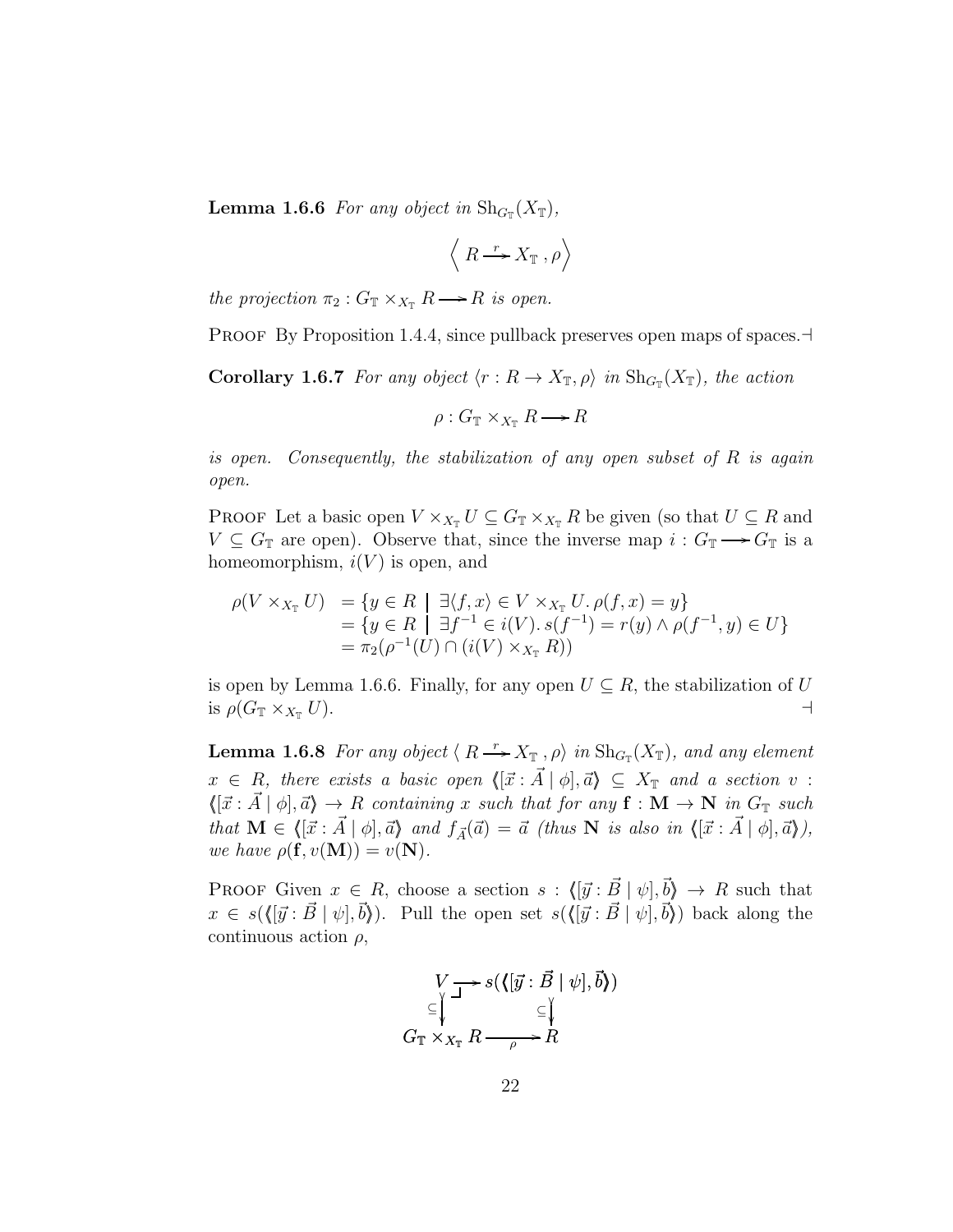**Lemma 1.6.6** For any object in  $\text{Sh}_{G_{\mathbb{T}}}(X_{\mathbb{T}})$ ,

$$
\left\langle R \stackrel{r}{\longrightarrow} X_{\mathbb{T}}, \rho \right\rangle
$$

the projection  $\pi_2$ :  $G_{\mathbb{T}} \times_{X_{\mathbb{T}}} R \longrightarrow R$  is open.

PROOF By Proposition 1.4.4, since pullback preserves open maps of spaces.⊣

**Corollary 1.6.7** For any object  $\langle r : R \to X_{\mathbb{T}}, \rho \rangle$  in  $\text{Sh}_{G_{\mathbb{T}}}(X_{\mathbb{T}})$ , the action

$$
\rho: G_{\mathbb{T}} \times_{X_{\mathbb{T}}} R \longrightarrow R
$$

is open. Consequently, the stabilization of any open subset of  $R$  is again open.

**PROOF** Let a basic open  $V \times_{X_{\mathbb{T}}} U \subseteq G_{\mathbb{T}} \times_{X_{\mathbb{T}}} R$  be given (so that  $U \subseteq R$  and  $V \subseteq G_{\mathbb{T}}$  are open). Observe that, since the inverse map  $i: G_{\mathbb{T}} \longrightarrow G_{\mathbb{T}}$  is a homeomorphism,  $i(V)$  is open, and

$$
\rho(V \times_{X_{\mathbb{T}}} U) = \{ y \in R \mid \exists \langle f, x \rangle \in V \times_{X_{\mathbb{T}}} U. \rho(f, x) = y \}
$$
  
= 
$$
\{ y \in R \mid \exists f^{-1} \in i(V). s(f^{-1}) = r(y) \land \rho(f^{-1}, y) \in U \}
$$
  
= 
$$
\pi_2(\rho^{-1}(U) \cap (i(V) \times_{X_{\mathbb{T}}} R))
$$

is open by Lemma 1.6.6. Finally, for any open  $U \subseteq R$ , the stabilization of U is  $\rho(G_{\mathbb{T}} \times_{X_{\mathbb{T}}} U)$ .

**Lemma 1.6.8** For any object  $\langle R \stackrel{r}{\longrightarrow} X_{\mathbb{T}}$ ,  $\rho \rangle$  in  $\text{Sh}_{G_{\mathbb{T}}}(X_{\mathbb{T}})$ , and any element  $x \in R$ , there exists a basic open  $\{[\vec{x} : \vec{A} | \phi], \vec{a}\} \subseteq X_{\mathbb{T}}$  and a section v:  $\langle [\vec{x} : \vec{A}] | \phi], \vec{a} \rangle \rightarrow R$  containing x such that for any  $f : M \rightarrow N$  in  $G_{\mathbb{T}}$  such that  $\mathbf{M} \in \{[\vec{x} : \vec{A} \mid \phi], \vec{a}\}$  and  $f_{\vec{A}}(\vec{a}) = \vec{a}$  (thus  $\mathbf{N}$  is also in  $\{[\vec{x} : \vec{A} \mid \phi], \vec{a}\}\)$ , we have  $\rho(\mathbf{f}, v(\mathbf{M})) = v(\mathbf{N}).$ 

**PROOF** Given  $x \in R$ , choose a section  $s : \langle [\vec{y} : \vec{B} | \psi], \vec{b} \rangle \to R$  such that  $x \in s(\langle [\vec{y} : \vec{B} | \psi], \vec{b} \rangle)$ . Pull the open set  $s(\langle [\vec{y} : \vec{B} | \psi], \vec{b} \rangle)$  back along the continuous action  $\rho$ ,

$$
V \longrightarrow s(\langle [\vec{y} : \vec{B} \mid \psi], \vec{b} \rangle)
$$
  
\n
$$
\subseteq \int_{\Gamma} \times_{X_{\Gamma}} R \longrightarrow R
$$
  
\n
$$
G_{\mathbb{T}} \times_{X_{\Gamma}} R \longrightarrow R
$$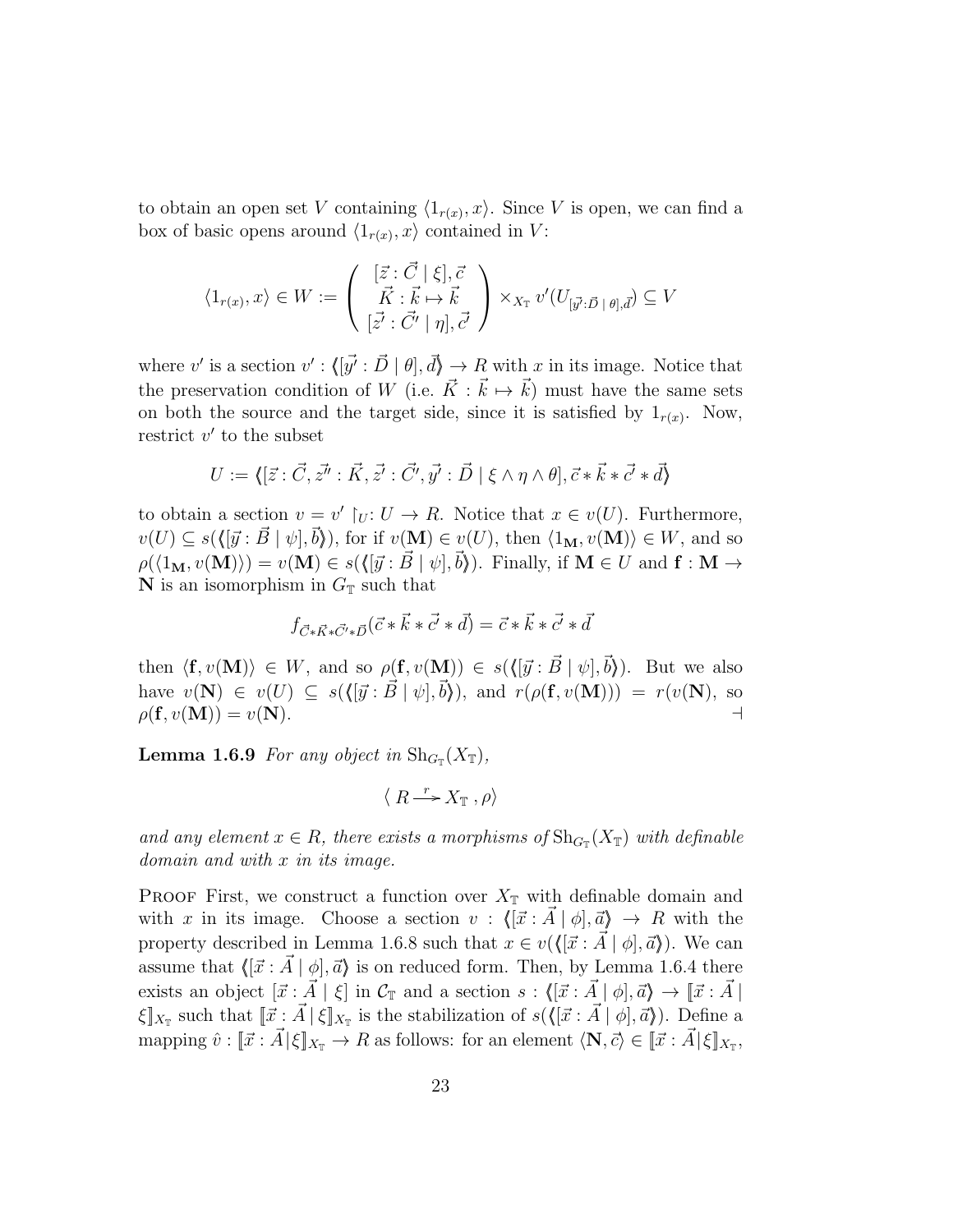to obtain an open set V containing  $\langle 1_{r(x)}, x \rangle$ . Since V is open, we can find a box of basic opens around  $\langle 1_{r(x)}, x \rangle$  contained in V:

$$
\langle 1_{r(x)}, x \rangle \in W := \left( \begin{array}{c} [\vec{z} : \vec{C} \mid \xi], \vec{c} \\ \vec{K} : \vec{k} \mapsto \vec{k} \\ [\vec{z'} : \vec{C'} \mid \eta], \vec{c'} \end{array} \right) \times_{X_{\mathbb{T}}} v'(U_{[\vec{y'} : \vec{D} \mid \theta], \vec{d}}) \subseteq V
$$

where v' is a section  $v': ([\vec{y}': \vec{D} \mid \theta], \vec{d}) \to R$  with x in its image. Notice that the preservation condition of W (i.e.  $\vec{K} : \vec{k} \mapsto \vec{k}$ ) must have the same sets on both the source and the target side, since it is satisfied by  $1_{r(x)}$ . Now, restrict  $v'$  to the subset

$$
U:=\langle [\vec{z}:\vec{C},\vec{z''}:\vec{K},\vec{z'}:\vec{C'},\vec{y'}:\vec{D}\mid \xi\wedge\eta\wedge\theta], \vec{c}*\vec{k}*\vec{c'}*\vec{d}\rangle
$$

to obtain a section  $v = v' \restriction_{U} : U \to R$ . Notice that  $x \in v(U)$ . Furthermore,  $v(U) \subseteq s(\langle [\vec{y} : \vec{B} | \psi], \vec{b} \rangle)$ , for if  $v(M) \in v(U)$ , then  $\langle 1_M, v(M) \rangle \in W$ , and so  $\rho(\langle 1_M, v(M) \rangle) = v(M) \in s(\langle [\vec{y} : \vec{B} | \psi], \vec{b} \rangle)$ . Finally, if  $M \in U$  and  $f : M \to$ N is an isomorphism in  $G_{\mathbb{T}}$  such that

$$
f_{\vec{C}*\vec{K}*\vec{C'}*\vec{D}}(\vec{c}*\vec{k}*\vec{c'}*\vec{d}) = \vec{c}*\vec{k}*\vec{c'}*\vec{d}
$$

then  $\langle f, v(M) \rangle \in W$ , and so  $\rho(f, v(M)) \in s(\langle [\vec{y} : \vec{B} | \psi], \vec{b} \rangle)$ . But we also have  $v(\mathbf{N}) \in v(U) \subseteq s(\langle [\vec{y} : \vec{B} | \psi], \vec{b} \rangle)$ , and  $r(\rho(\mathbf{f}, v(\mathbf{M}))) = r(v(\mathbf{N}), s\alpha)$  $\rho(\mathbf{f}, v(\mathbf{M})) = v(\mathbf{N}).$ 

**Lemma 1.6.9** For any object in  $\text{Sh}_{G_{\mathbb{T}}}(X_{\mathbb{T}})$ ,

$$
\langle R\mathrel{\longrightarrow}\limits^r X_\mathbb{T}\, , \rho\rangle
$$

and any element  $x \in R$ , there exists a morphisms of  $\text{Sh}_{G_{\mathbb{T}}}(X_{\mathbb{T}})$  with definable domain and with x in its image.

PROOF First, we construct a function over  $X_{\mathbb{T}}$  with definable domain and with x in its image. Choose a section  $v : \langle [\vec{x} : A] \phi], \vec{a} \rangle \rightarrow R$  with the property described in Lemma 1.6.8 such that  $x \in v(\langle [\vec{x} : A] \phi], \vec{a} \rangle)$ . We can assume that  $\langle [\vec{x} : \vec{A} | \phi], \vec{a} \rangle$  is on reduced form. Then, by Lemma 1.6.4 there exists an object  $[\vec{x} : \vec{A} | \xi]$  in  $\mathcal{C}_{\mathbb{T}}$  and a section  $s : \langle [\vec{x} : \vec{A} | \phi], \vec{a} \rangle \rightarrow [\vec{x} : \vec{A}]$  $\{\Vert x_\mathbb{T}\Vert_{X_\mathbb{T}} \text{ such that } [\![\vec{x}:\vec{A}\,|\,\xi]\!]_{X_\mathbb{T}} \text{ is the stabilization of } s(\langle [\vec{x}:\vec{A}\,|\,\phi],\vec{a}\rangle). \text{ Define a } \]$ mapping  $\hat{v} : [\![\vec{x} : \vec{A} \vert \xi ]\!]_{X_{\mathbb{T}}} \to R$  as follows: for an element  $\langle \mathbf{N}, \vec{c} \rangle \in [\![\vec{x} : \vec{A} \vert \xi ]\!]_{X_{\mathbb{T}}},$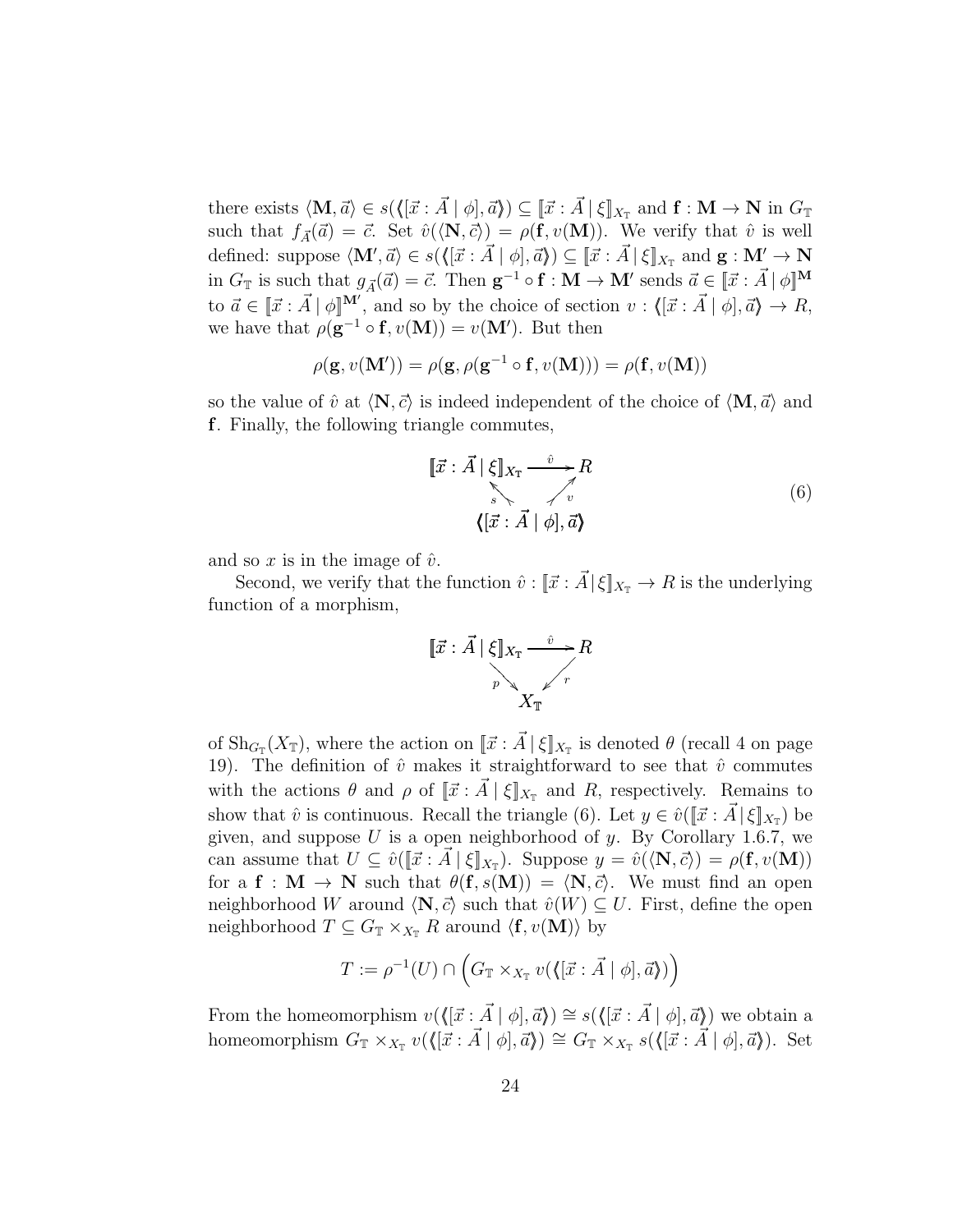there exists  $\langle \mathbf{M}, \vec{a} \rangle \in s(\langle [\vec{x} : \vec{A} | \phi], \vec{a} \rangle) \subseteq [\![ \vec{x} : \vec{A} | \xi ]\!]_{X_{\mathbb{T}}}$  and  $\mathbf{f} : \mathbf{M} \to \mathbf{N}$  in  $G_{\mathbb{T}}$ such that  $f_{\vec{A}}(\vec{a}) = \vec{c}$ . Set  $\hat{v}(\langle \mathbf{N}, \vec{c} \rangle) = \rho(\mathbf{f}, v(\mathbf{M}))$ . We verify that  $\hat{v}$  is well defined: suppose  $\langle \mathbf{M}', \vec{a} \rangle \in s(\langle [\vec{x} : \vec{A} | \phi], \vec{a} \rangle) \subseteq [\![ \vec{x} : \vec{A} | \xi ]\!]_{X_{\mathbb{T}}}$  and  $\mathbf{g} : \mathbf{M}' \to \mathbf{N}$ in  $G_{\mathbb{T}}$  is such that  $g_{\vec{A}}(\vec{a}) = \vec{c}$ . Then  $\mathbf{g}^{-1} \circ \mathbf{f} : \mathbf{M} \to \mathbf{M}'$  sends  $\vec{a} \in [\![\vec{x} : \vec{A} \mid \phi]\!]^{\mathbf{M}}$ to  $\vec{a} \in [\vec{x} : \vec{A}] \phi \mathbb{I}^{\mathbf{M}'},$  and so by the choice of section  $v : \langle [\vec{x} : \vec{A}] \phi, \vec{a} \rangle \to R$ , we have that  $\rho(\mathbf{g}^{-1} \circ \mathbf{f}, v(\mathbf{M})) = v(\mathbf{M}')$ . But then

$$
\rho(\mathbf{g}, v(\mathbf{M}')) = \rho(\mathbf{g}, \rho(\mathbf{g}^{-1} \circ \mathbf{f}, v(\mathbf{M}))) = \rho(\mathbf{f}, v(\mathbf{M}))
$$

so the value of  $\hat{v}$  at  $\langle \mathbf{N}, \vec{c} \rangle$  is indeed independent of the choice of  $\langle \mathbf{M}, \vec{a} \rangle$  and f. Finally, the following triangle commutes,

$$
\begin{aligned}\n\left[\vec{x} : \vec{A} \mid \xi\right] \mathbf{x}_{\mathbb{T}} &\xrightarrow{\hat{v}} R \\
\downarrow^{\circ} &\searrow^{\circ} \\
\langle \left[\vec{x} : \vec{A} \mid \phi\right], \vec{a} \rangle\n\end{aligned} \tag{6}
$$

and so x is in the image of  $\hat{v}$ .

Second, we verify that the function  $\hat{v} : [\vec{x} : \vec{A} | \xi]_{X_{\tau}} \to R$  is the underlying function of a morphism,



of  $\text{Sh}_{G_{\mathbb{T}}}(X_{\mathbb{T}})$ , where the action on  $\llbracket \vec{x} : \vec{A} \mid \xi \rrbracket_{X_{\mathbb{T}}}$  is denoted  $\theta$  (recall 4 on page 19). The definition of  $\hat{v}$  makes it straightforward to see that  $\hat{v}$  commutes with the actions  $\theta$  and  $\rho$  of  $[\vec{x} : \vec{A} | \xi]_{X_{\mathbb{T}}}$  and R, respectively. Remains to show that  $\hat{v}$  is continuous. Recall the triangle (6). Let  $y \in \hat{v}(\llbracket \vec{x} : \vec{A} \, | \, \xi \rrbracket_{X_{\mathbb{T}}})$  be given, and suppose  $U$  is a open neighborhood of  $y$ . By Corollary 1.6.7, we can assume that  $U \subseteq \hat{v}(\llbracket \vec{x} : \vec{A} \mid \xi \rrbracket_{X_{\mathbb{T}}})$ . Suppose  $y = \hat{v}(\langle \mathbf{N}, \vec{c} \rangle) = \rho(\mathbf{f}, v(\mathbf{M}))$ for a  $f : M \to N$  such that  $\theta(f, s(M)) = \langle N, \vec{c} \rangle$ . We must find an open neighborhood W around  $\langle \mathbf{N}, \vec{c} \rangle$  such that  $\hat{v}(W) \subseteq U$ . First, define the open neighborhood  $T \subseteq G_{\mathbb{T}} \times_{X_{\mathbb{T}}} R$  around  $\langle \mathbf{f}, v(\mathbf{M}) \rangle$  by

$$
T := \rho^{-1}(U) \cap \left( G_{\mathbb{T}} \times_{X_{\mathbb{T}}} v(\langle [\vec{x} : \vec{A} | \phi], \vec{a} \rangle) \right)
$$

From the homeomorphism  $v(\langle [\vec{x} : \vec{A} | \phi], \vec{a} \rangle) \cong s(\langle [\vec{x} : \vec{A} | \phi], \vec{a} \rangle)$  we obtain a homeomorphism  $G_{\mathbb{T}} \times_{X_{\mathbb{T}}} v(\langle [\vec{x} : \vec{A} \mid \phi], \vec{a} \rangle) \cong G_{\mathbb{T}} \times_{X_{\mathbb{T}}} s(\langle [\vec{x} : \vec{A} \mid \phi], \vec{a} \rangle)$ . Set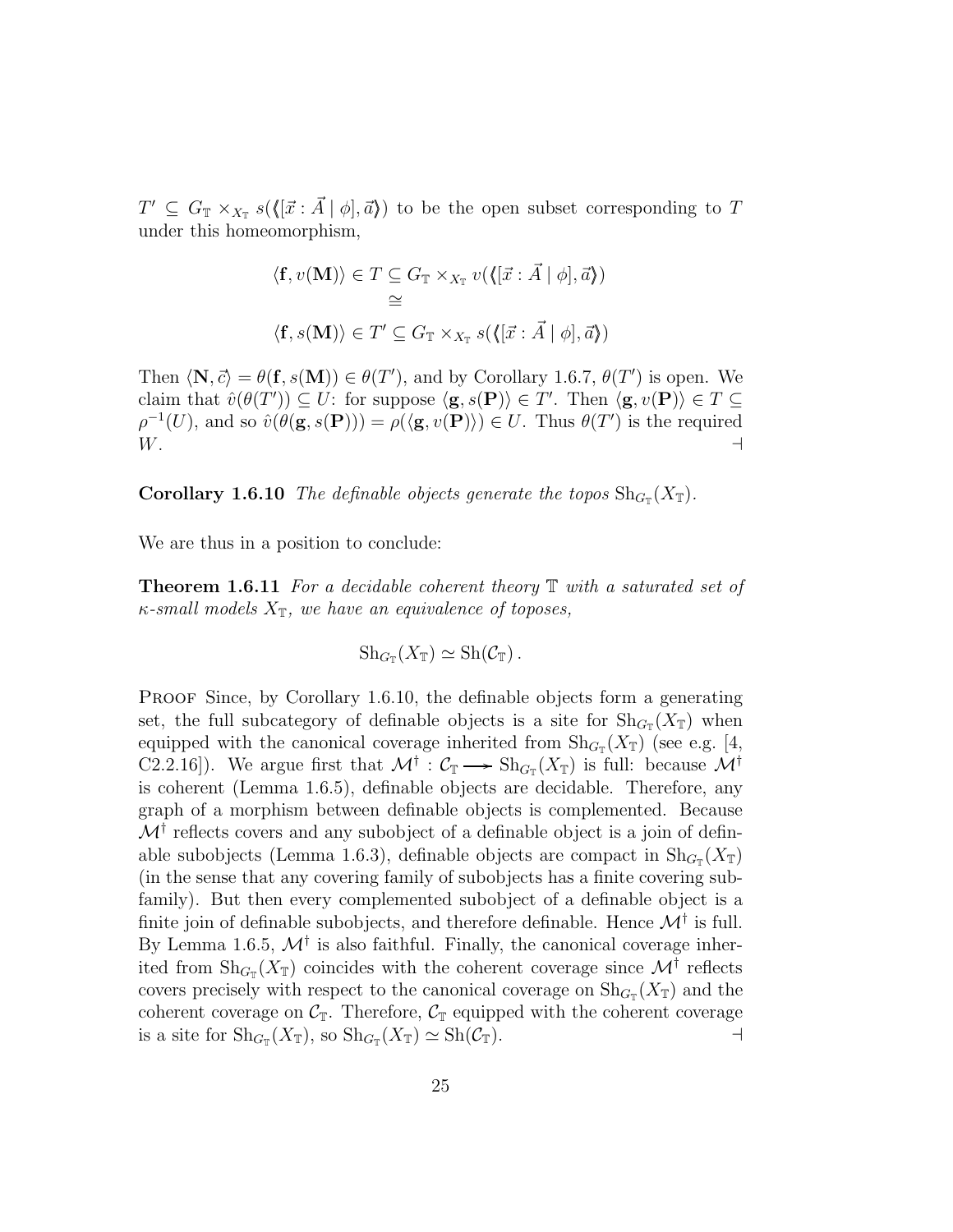$T' \subseteq G_{\mathbb{T}} \times_{X_{\mathbb{T}}} s(\langle [\vec{x} : \vec{A} | \phi], \vec{a} \rangle)$  to be the open subset corresponding to T under this homeomorphism,

$$
\langle \mathbf{f}, v(\mathbf{M}) \rangle \in T \subseteq G_{\mathbb{T}} \times_{X_{\mathbb{T}}} v(\langle [\vec{x} : \vec{A} | \phi], \vec{a} \rangle)
$$
  
\n
$$
\cong
$$
  
\n
$$
\langle \mathbf{f}, s(\mathbf{M}) \rangle \in T' \subseteq G_{\mathbb{T}} \times_{X_{\mathbb{T}}} s(\langle [\vec{x} : \vec{A} | \phi], \vec{a} \rangle)
$$

Then  $\langle \mathbf{N}, \vec{c} \rangle = \theta(\mathbf{f}, s(\mathbf{M})) \in \theta(T')$ , and by Corollary 1.6.7,  $\theta(T')$  is open. We claim that  $\hat{v}(\theta(T')) \subseteq U$ : for suppose  $\langle \mathbf{g}, s(\mathbf{P}) \rangle \in T'$ . Then  $\langle \mathbf{g}, v(\mathbf{P}) \rangle \in T \subseteq$  $\rho^{-1}(U)$ , and so  $\hat{v}(\theta(\mathbf{g}, s(\mathbf{P}))) = \rho(\langle \mathbf{g}, v(\mathbf{P}) \rangle) \in U$ . Thus  $\theta(T')$  is the required  $W.$ 

**Corollary 1.6.10** The definable objects generate the topos  $\text{Sh}_{G_{\mathbb{T}}}(X_{\mathbb{T}})$ .

We are thus in a position to conclude:

**Theorem 1.6.11** For a decidable coherent theory  $\mathbb T$  with a saturated set of  $\kappa$ -small models  $X_{\mathbb{T}}$ , we have an equivalence of toposes,

$$
Sh_{G_{\mathbb{T}}}(X_{\mathbb{T}})\simeq Sh(\mathcal{C}_{\mathbb{T}}).
$$

PROOF Since, by Corollary 1.6.10, the definable objects form a generating set, the full subcategory of definable objects is a site for  $\text{Sh}_{G_{\mathbb{T}}}(X_{\mathbb{T}})$  when equipped with the canonical coverage inherited from  $\text{Sh}_{G_{\mathbb{T}}}(X_{\mathbb{T}})$  (see e.g. [4, C2.2.16]). We argue first that  $\mathcal{M}^{\dagger} : C_{\mathbb{T}} \longrightarrow Sh_{G_{\mathbb{T}}}(X_{\mathbb{T}})$  is full: because  $\mathcal{M}^{\dagger}$ is coherent (Lemma 1.6.5), definable objects are decidable. Therefore, any graph of a morphism between definable objects is complemented. Because  $\mathcal{M}^{\dagger}$  reflects covers and any subobject of a definable object is a join of definable subobjects (Lemma 1.6.3), definable objects are compact in  $\text{Sh}_{G_{\mathbb{T}}}(X_{\mathbb{T}})$ (in the sense that any covering family of subobjects has a finite covering subfamily). But then every complemented subobject of a definable object is a finite join of definable subobjects, and therefore definable. Hence  $\mathcal{M}^{\dagger}$  is full. By Lemma 1.6.5,  $\mathcal{M}^{\dagger}$  is also faithful. Finally, the canonical coverage inherited from  $\text{Sh}_{G_{\mathbb{T}}}(X_{\mathbb{T}})$  coincides with the coherent coverage since  $\mathcal{M}^{\dagger}$  reflects covers precisely with respect to the canonical coverage on  $\text{Sh}_{G_{\mathbb{T}}}(X_{\mathbb{T}})$  and the coherent coverage on  $\mathcal{C}_{\mathbb{T}}$ . Therefore,  $\mathcal{C}_{\mathbb{T}}$  equipped with the coherent coverage is a site for  $\text{Sh}_{G_{\mathbb{T}}}(X_{\mathbb{T}})$ , so  $\text{Sh}_{G_{\mathbb{T}}}(X_{\mathbb{T}}) \simeq \text{Sh}(\mathcal{C}_{\mathbb{T}})$ .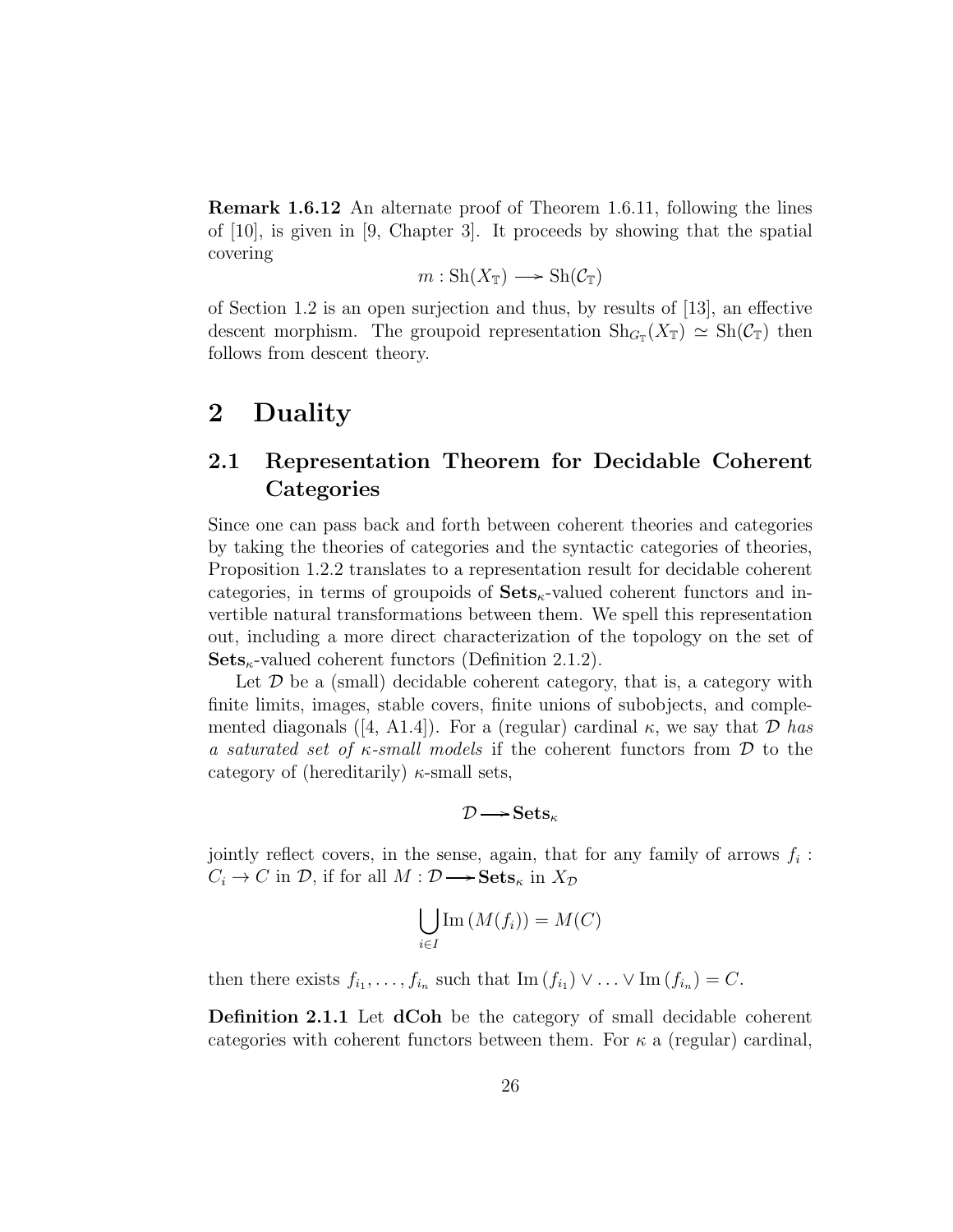Remark 1.6.12 An alternate proof of Theorem 1.6.11, following the lines of [10], is given in [9, Chapter 3]. It proceeds by showing that the spatial covering

$$
m: \mathrm{Sh}(X_{\mathbb{T}}) \longrightarrow \mathrm{Sh}(\mathcal{C}_{\mathbb{T}})
$$

of Section 1.2 is an open surjection and thus, by results of [13], an effective descent morphism. The groupoid representation  $\text{Sh}_{G_{\mathbb{T}}}(X_{\mathbb{T}}) \simeq \text{Sh}(\mathcal{C}_{\mathbb{T}})$  then follows from descent theory.

## 2 Duality

## 2.1 Representation Theorem for Decidable Coherent Categories

Since one can pass back and forth between coherent theories and categories by taking the theories of categories and the syntactic categories of theories, Proposition 1.2.2 translates to a representation result for decidable coherent categories, in terms of groupoids of  $Sets_{\kappa}$ -valued coherent functors and invertible natural transformations between them. We spell this representation out, including a more direct characterization of the topology on the set of  $\textbf{Sets}_{\kappa}$ -valued coherent functors (Definition 2.1.2).

Let  $\mathcal D$  be a (small) decidable coherent category, that is, a category with finite limits, images, stable covers, finite unions of subobjects, and complemented diagonals ([4, A1.4]). For a (regular) cardinal  $\kappa$ , we say that  $\mathcal D$  has a saturated set of  $\kappa$ -small models if the coherent functors from  $\mathcal D$  to the category of (hereditarily)  $\kappa$ -small sets,

$$
\mathcal{D}\longrightarrow \operatorname{Sets}_{\kappa}
$$

jointly reflect covers, in the sense, again, that for any family of arrows  $f_i$ :  $C_i \to C$  in  $\mathcal{D}$ , if for all  $M: \mathcal{D} \longrightarrow \mathbf{Sets}_{\kappa}$  in  $X_{\mathcal{D}}$ 

$$
\bigcup_{i\in I} \mathrm{Im}\,(M(f_i)) = M(C)
$$

then there exists  $f_{i_1}, \ldots, f_{i_n}$  such that  $\text{Im}(f_{i_1}) \vee \ldots \vee \text{Im}(f_{i_n}) = C$ .

Definition 2.1.1 Let dCoh be the category of small decidable coherent categories with coherent functors between them. For  $\kappa$  a (regular) cardinal,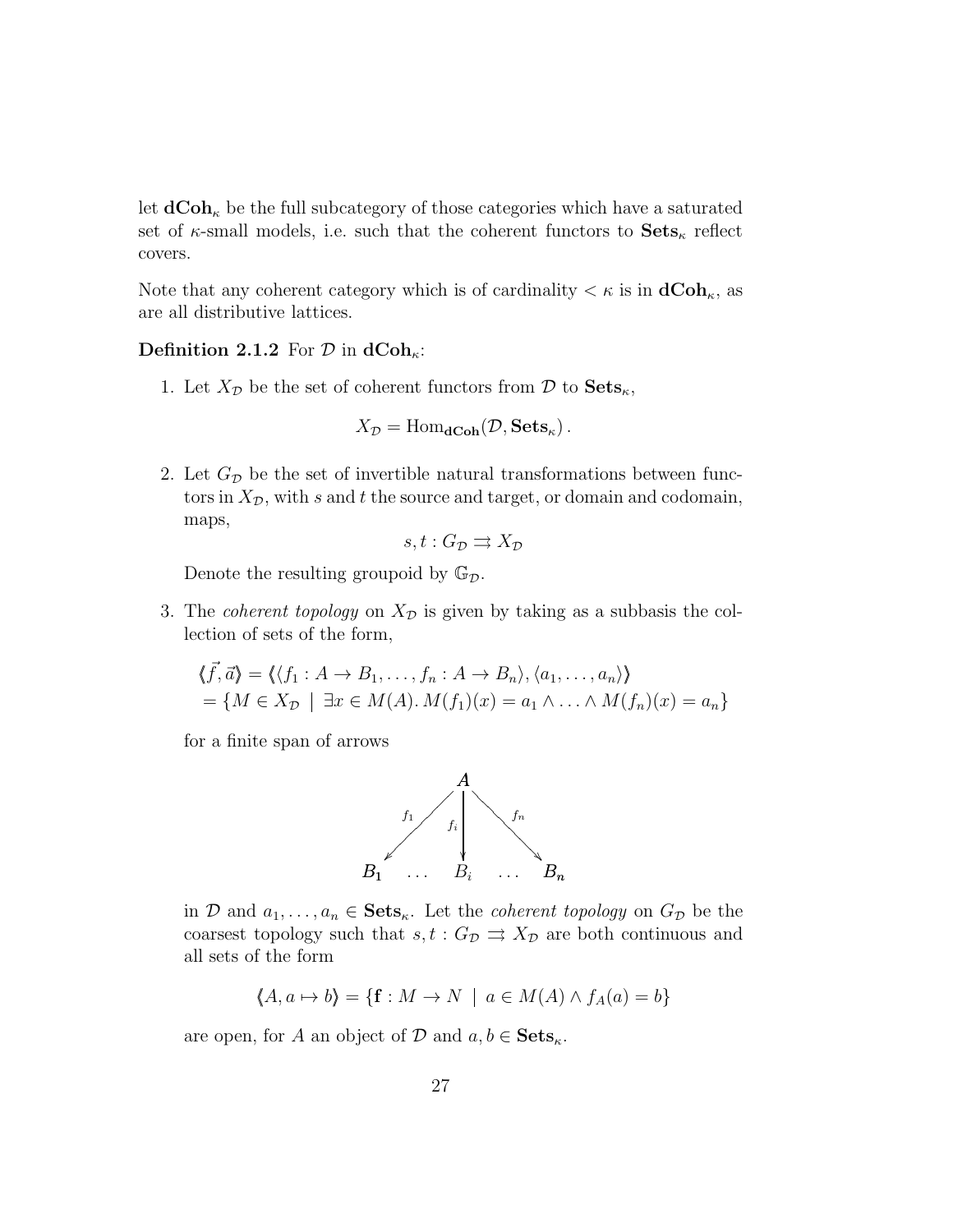let  $dCoh_{\kappa}$  be the full subcategory of those categories which have a saturated set of  $\kappa$ -small models, i.e. such that the coherent functors to  $\textbf{Sets}_{\kappa}$  reflect covers.

Note that any coherent category which is of cardinality  $\lt \kappa$  is in  $\mathbf{dCoh}_{\kappa}$ , as are all distributive lattices.

#### **Definition 2.1.2** For  $\mathcal{D}$  in  $dCoh_{\kappa}$ :

1. Let  $X_{\mathcal{D}}$  be the set of coherent functors from  $\mathcal{D}$  to  $\mathbf{Sets}_{\kappa}$ ,

$$
X_{\mathcal{D}} = \text{Hom}_{\mathbf{dCoh}}(\mathcal{D}, \mathbf{Sets}_{\kappa}).
$$

2. Let  $G_{\mathcal{D}}$  be the set of invertible natural transformations between functors in  $X_{\mathcal{D}}$ , with s and t the source and target, or domain and codomain, maps,

$$
s, t: G_{\mathcal{D}} \rightrightarrows X_{\mathcal{D}}
$$

Denote the resulting groupoid by  $\mathbb{G}_{\mathcal{D}}$ .

3. The *coherent topology* on  $X_{\mathcal{D}}$  is given by taking as a subbasis the collection of sets of the form,

$$
\langle \vec{f}, \vec{a} \rangle = \langle \langle f_1 : A \to B_1, \dots, f_n : A \to B_n \rangle, \langle a_1, \dots, a_n \rangle \rangle
$$
  
=  $\{ M \in X_{\mathcal{D}} \mid \exists x \in M(A) . M(f_1)(x) = a_1 \land \dots \land M(f_n)(x) = a_n \}$ 

for a finite span of arrows



in D and  $a_1, \ldots, a_n \in \mathbf{Sets}_{\kappa}$ . Let the *coherent topology* on  $G_{\mathcal{D}}$  be the coarsest topology such that  $s, t : G_{\mathcal{D}} \rightrightarrows X_{\mathcal{D}}$  are both continuous and all sets of the form

$$
\langle A, a \mapsto b \rangle = \{ \mathbf{f} : M \to N \mid a \in M(A) \land f_A(a) = b \}
$$

are open, for A an object of D and  $a, b \in \mathbf{Sets}_{\kappa}$ .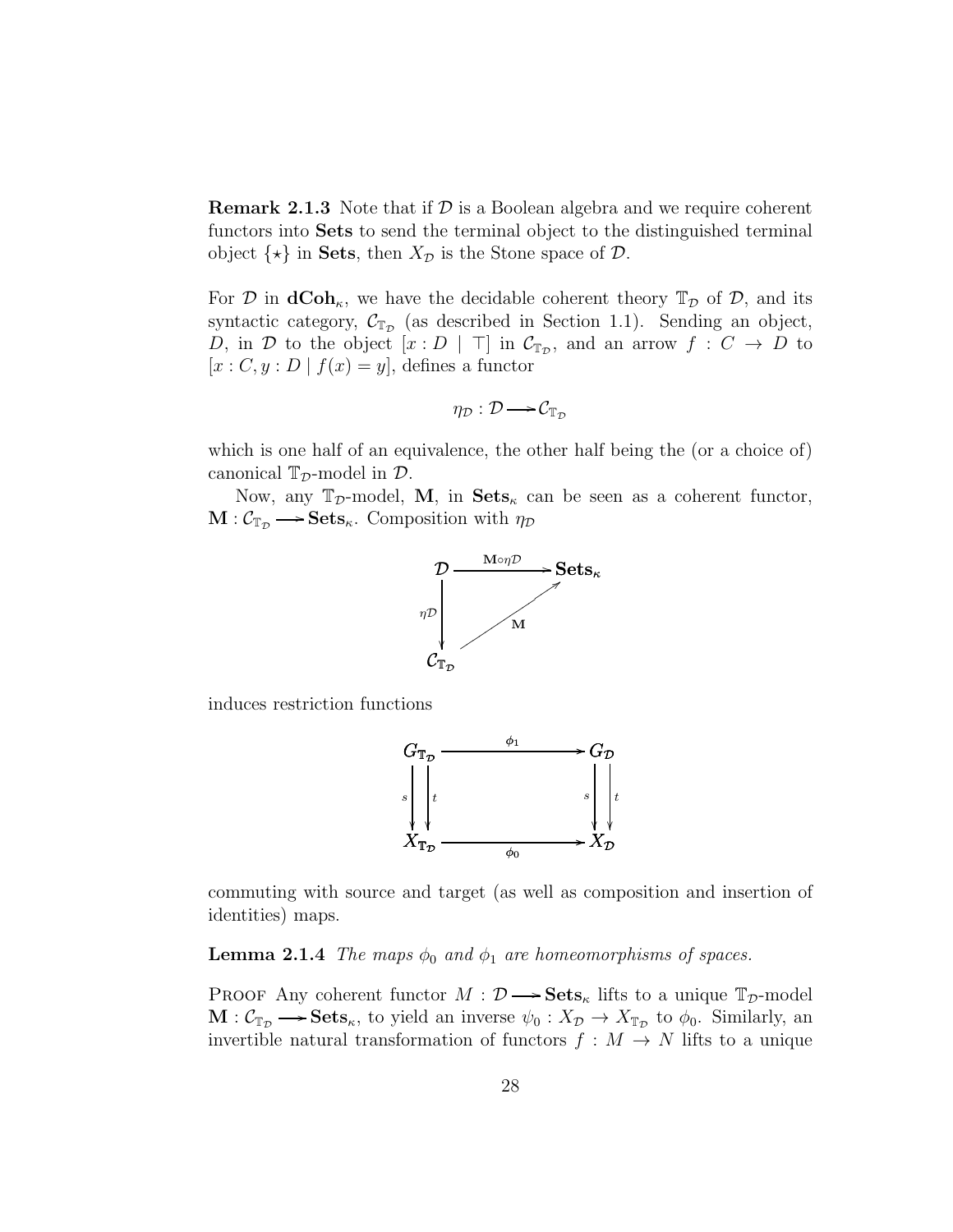**Remark 2.1.3** Note that if  $\mathcal{D}$  is a Boolean algebra and we require coherent functors into Sets to send the terminal object to the distinguished terminal object  $\{\star\}$  in **Sets**, then  $X_{\mathcal{D}}$  is the Stone space of  $\mathcal{D}$ .

For  $\mathcal D$  in  $dCoh_{\kappa}$ , we have the decidable coherent theory  $\mathbb T_{\mathcal D}$  of  $\mathcal D$ , and its syntactic category,  $\mathcal{C}_{\mathbb{T}_{\mathcal{D}}}$  (as described in Section 1.1). Sending an object, D, in D to the object  $[x : D \mid \top]$  in  $\mathcal{C}_{\mathbb{T}_{\mathcal{D}}},$  and an arrow  $f : C \to D$  to  $[x : C, y : D | f(x) = y]$ , defines a functor

$$
\eta_{\mathcal{D}}:\mathcal{D}\longrightarrow \mathcal{C}_{\mathbb{T}_{\mathcal{D}}}
$$

which is one half of an equivalence, the other half being the (or a choice of) canonical  $\mathbb{T}_{\mathcal{D}}$ -model in  $\mathcal{D}$ .

Now, any  $\mathbb{T}_{\mathcal{D}}$ -model, M, in  $\mathbf{Sets}_{\kappa}$  can be seen as a coherent functor,  $M:\mathcal{C}_{\mathbb{T}_{\mathcal{D}}}\longrightarrow \mathbf{Sets}_{\kappa}$ . Composition with  $\eta_{\mathcal{D}}$ 



induces restriction functions



commuting with source and target (as well as composition and insertion of identities) maps.

**Lemma 2.1.4** The maps  $\phi_0$  and  $\phi_1$  are homeomorphisms of spaces.

**PROOF** Any coherent functor  $M : \mathcal{D} \longrightarrow \mathbf{Sets}_{\kappa}$  lifts to a unique  $\mathbb{T}_{\mathcal{D}}$ -model  $\mathbf{M} : \mathcal{C}_{\mathbb{T}_{\mathcal{D}}} \longrightarrow \mathbf{Sets}_{\kappa}$ , to yield an inverse  $\psi_0 : X_{\mathcal{D}} \to X_{\mathbb{T}_{\mathcal{D}}}$  to  $\phi_0$ . Similarly, an invertible natural transformation of functors  $f : M \to N$  lifts to a unique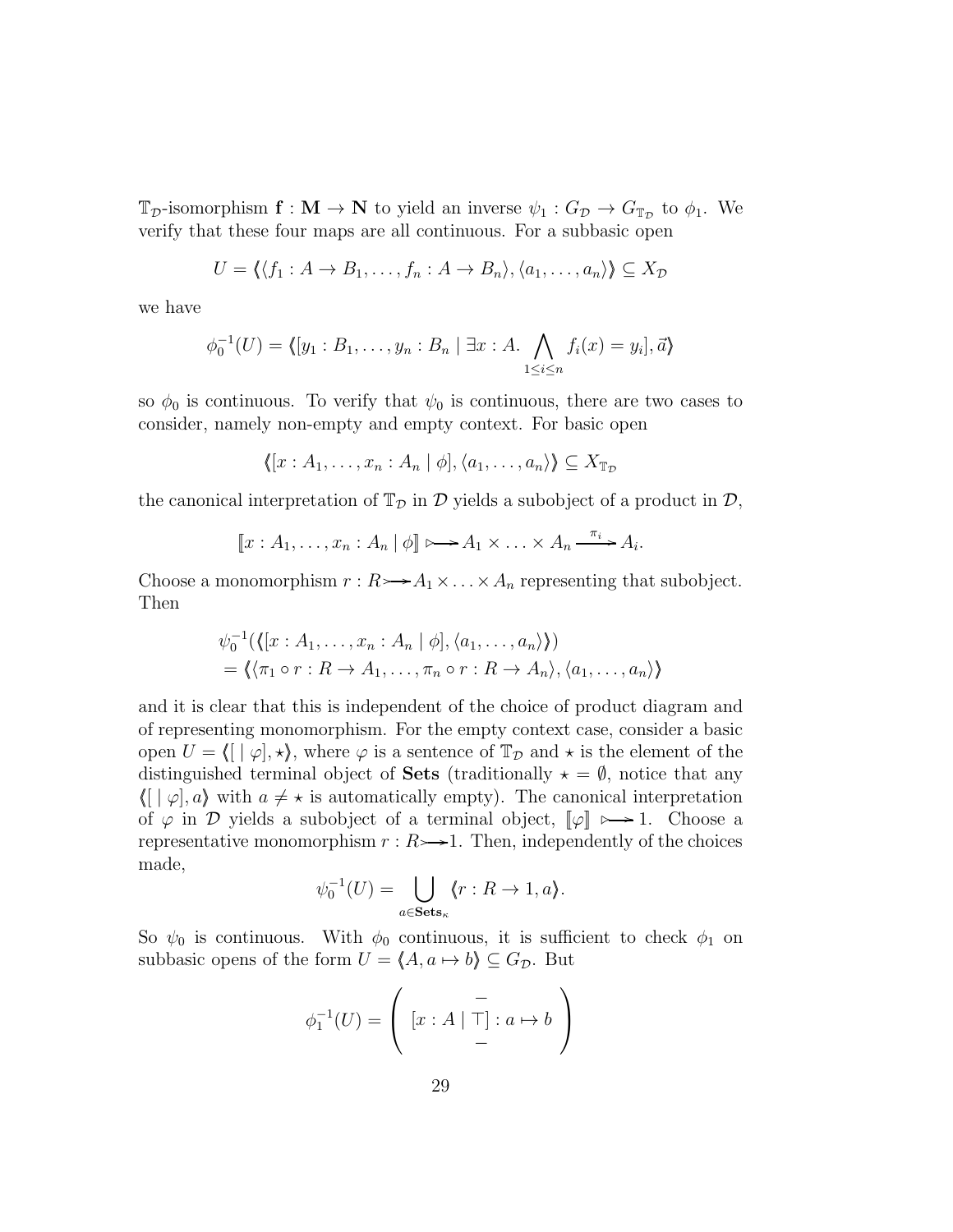$\mathbb{T}_{\mathcal{D}}$ -isomorphism  $f: M \to N$  to yield an inverse  $\psi_1: G_{\mathcal{D}} \to G_{\mathbb{T}_{\mathcal{D}}}$  to  $\phi_1$ . We verify that these four maps are all continuous. For a subbasic open

$$
U = \langle \langle f_1 : A \to B_1, \dots, f_n : A \to B_n \rangle, \langle a_1, \dots, a_n \rangle \rangle \subseteq X_{\mathcal{D}}
$$

we have

$$
\phi_0^{-1}(U) = \{ [y_1 : B_1, \dots, y_n : B_n \mid \exists x : A. \bigwedge_{1 \leq i \leq n} f_i(x) = y_i], \vec{a} \}
$$

so  $\phi_0$  is continuous. To verify that  $\psi_0$  is continuous, there are two cases to consider, namely non-empty and empty context. For basic open

$$
\langle [x:A_1,\ldots,x_n:A_n | \phi], \langle a_1,\ldots,a_n \rangle \rangle \subseteq X_{\mathbb{T}_{\mathcal{D}}}
$$

the canonical interpretation of  $\mathbb{T}_{\mathcal{D}}$  in  $\mathcal{D}$  yields a subobject of a product in  $\mathcal{D}$ ,

$$
[\![x:A_1,\ldots,x_n:A_n\!mid \phi]\!] \longmapsto A_1 \times \ldots \times A_n \xrightarrow{\pi_i} A_i.
$$

Choose a monomorphism  $r : R \rightarrow A_1 \times \ldots \times A_n$  representing that subobject. Then

$$
\psi_0^{-1}(\langle [x : A_1, \dots, x_n : A_n | \phi], \langle a_1, \dots, a_n \rangle \rangle)
$$
  
=  $\langle \langle \pi_1 \circ r : R \to A_1, \dots, \pi_n \circ r : R \to A_n \rangle, \langle a_1, \dots, a_n \rangle \rangle$ 

and it is clear that this is independent of the choice of product diagram and of representing monomorphism. For the empty context case, consider a basic open  $U = \{ [\phi, \star], \text{ where } \varphi \text{ is a sentence of } \mathbb{T}_D \text{ and } \star \text{ is the element of the } \}$ distinguished terminal object of **Sets** (traditionally  $\star = \emptyset$ , notice that any  $\langle | \phi |, a \rangle$  with  $a \neq \star$  is automatically empty). The canonical interpretation of  $\varphi$  in  $\mathcal D$  yields a subobject of a terminal object,  $\llbracket \varphi \rrbracket \rightarrow 1$ . Choose a representative monomorphism  $r : R \rightarrow 1$ . Then, independently of the choices made,

$$
\psi_0^{-1}(U) = \bigcup_{a \in \mathbf{Sets}_{\kappa}} \langle r : R \to 1, a \rangle.
$$

So  $\psi_0$  is continuous. With  $\phi_0$  continuous, it is sufficient to check  $\phi_1$  on subbasic opens of the form  $U = \langle A, a \mapsto b \rangle \subseteq G_{\mathcal{D}}$ . But

$$
\phi_1^{-1}(U) = \left( [x : A | \top] : a \mapsto b \right)
$$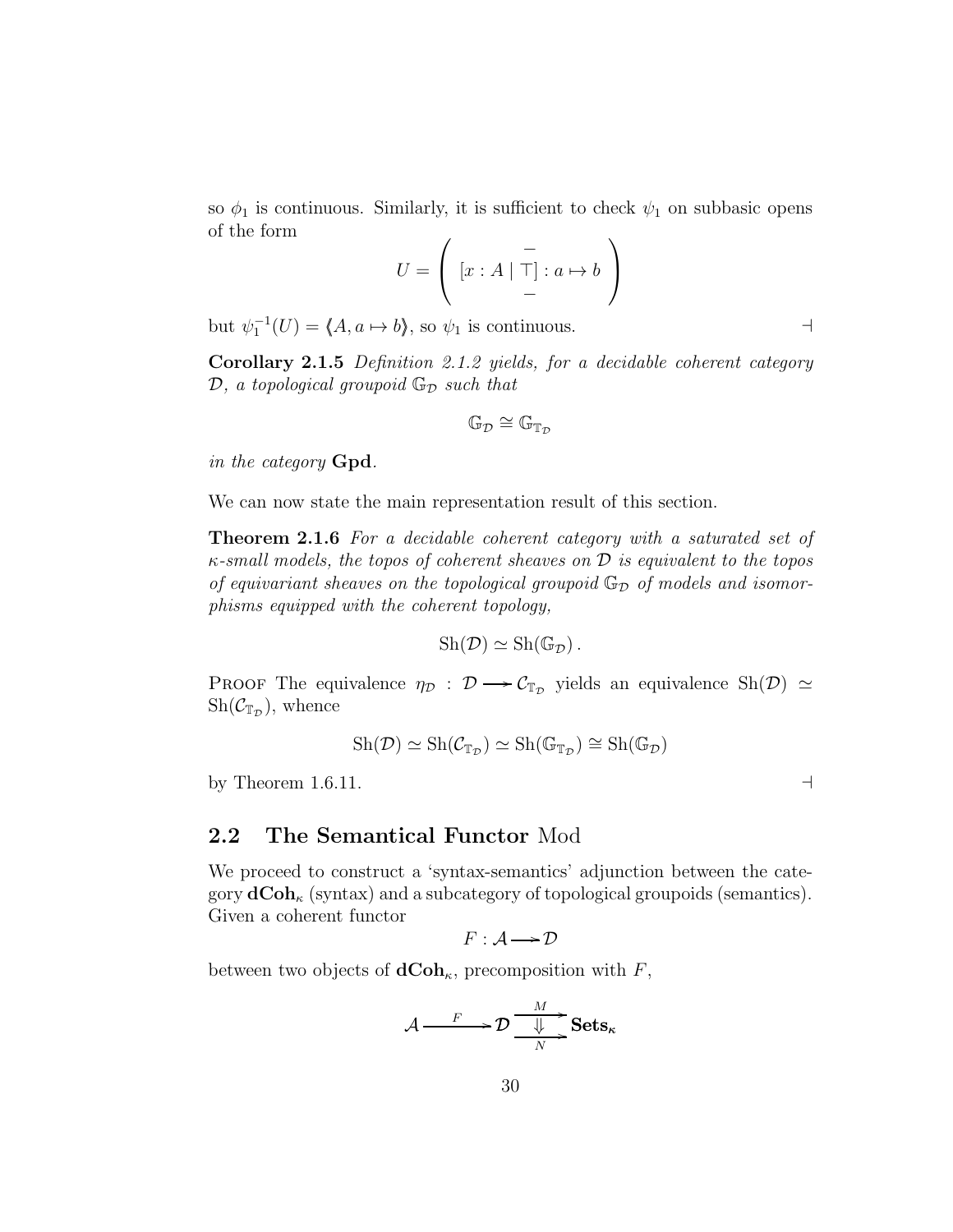so  $\phi_1$  is continuous. Similarly, it is sufficient to check  $\psi_1$  on subbasic opens of the form

$$
U = \left( [x : A | \overline{\top} ] : a \mapsto b \right)
$$

but  $\psi_1^{-1}(U) = \langle A, a \mapsto b \rangle$ , so  $\psi_1$  is continuous.  $\rightarrow$ 

Corollary 2.1.5 Definition 2.1.2 yields, for a decidable coherent category  $\mathcal{D}$ , a topological groupoid  $\mathbb{G}_{\mathcal{D}}$  such that

$$
\mathbb{G}_{\mathcal{D}}\cong \mathbb{G}_{\mathbb{T}_{\mathcal{D}}}
$$

in the category Gpd.

We can now state the main representation result of this section.

Theorem 2.1.6 For a decidable coherent category with a saturated set of  $\kappa$ -small models, the topos of coherent sheaves on  $\mathcal D$  is equivalent to the topos of equivariant sheaves on the topological groupoid  $\mathbb{G}_D$  of models and isomorphisms equipped with the coherent topology,

$$
Sh(\mathcal{D})\simeq Sh(\mathbb{G}_{\mathcal{D}}).
$$

PROOF The equivalence  $\eta_{\mathcal{D}}$ :  $\mathcal{D} \longrightarrow \mathcal{C}_{\mathbb{T}_{\mathcal{D}}}$  yields an equivalence  $\text{Sh}(\mathcal{D}) \simeq$  $\mathrm{Sh}(\mathcal{C}_{\mathbb{T}_{\mathcal{D}}})$ , whence

$$
Sh(\mathcal{D}) \simeq Sh(\mathcal{C}_{\mathbb{T}_{\mathcal{D}}}) \simeq Sh(\mathbb{G}_{\mathbb{T}_{\mathcal{D}}}) \cong Sh(\mathbb{G}_{\mathcal{D}})
$$

by Theorem 1.6.11.  $\rightarrow$ 

### 2.2 The Semantical Functor Mod

We proceed to construct a 'syntax-semantics' adjunction between the category  $\mathbf{dCoh}_{\kappa}$  (syntax) and a subcategory of topological groupoids (semantics). Given a coherent functor

$$
F: \mathcal{A} \longrightarrow \mathcal{D}
$$

between two objects of  $\mathbf{dCoh}_{\kappa}$ , precomposition with  $F$ ,

$$
\mathcal{A} \xrightarrow{F} \mathcal{D} \xrightarrow{\frac{M}{\sqrt{N}}} \mathbf{Sets}_{\kappa}
$$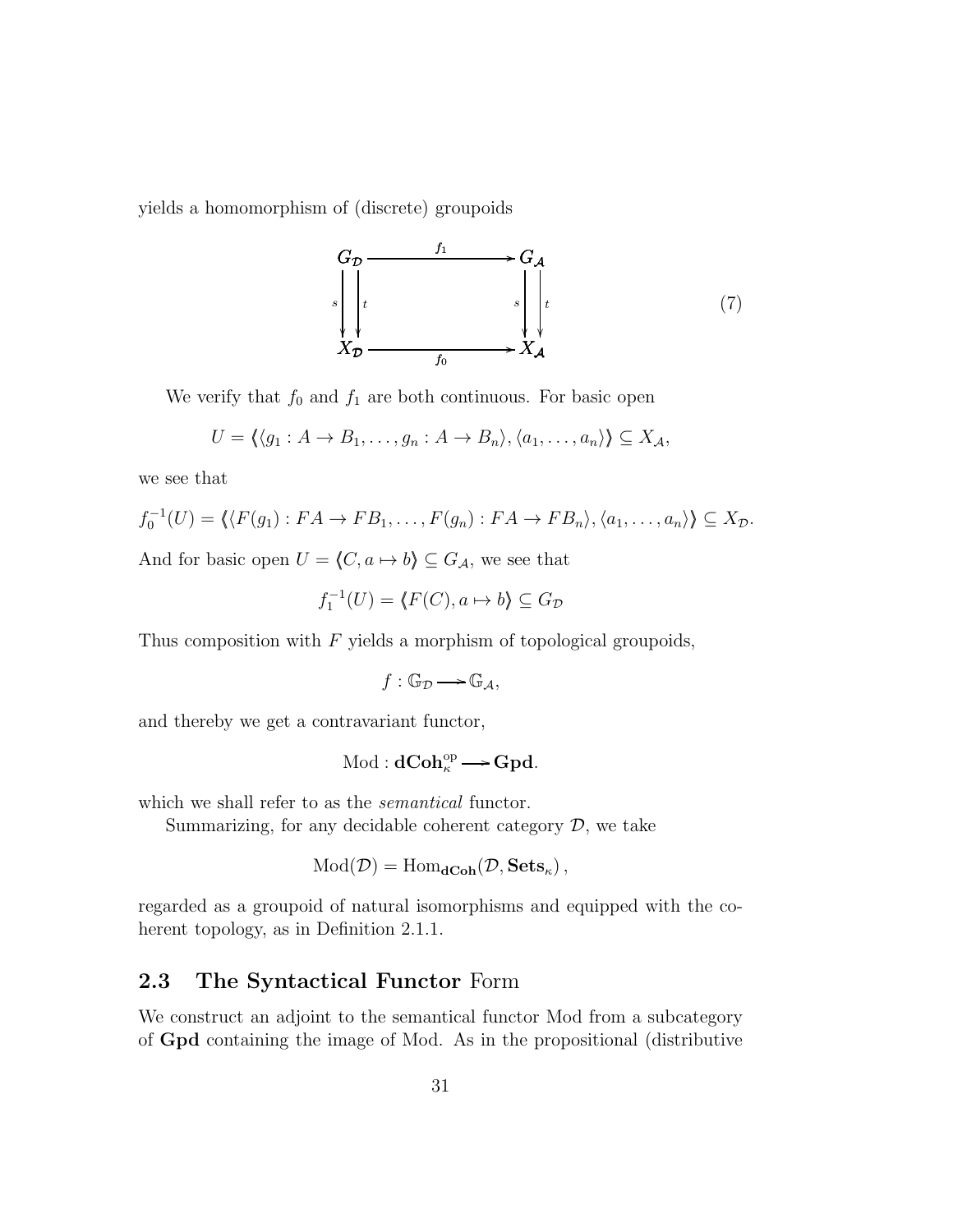yields a homomorphism of (discrete) groupoids



We verify that  $f_0$  and  $f_1$  are both continuous. For basic open

$$
U = \langle \langle g_1 : A \to B_1, \dots, g_n : A \to B_n \rangle, \langle a_1, \dots, a_n \rangle \rangle \subseteq X_{\mathcal{A}},
$$

we see that

$$
f_0^{-1}(U) = \langle \langle F(g_1) : FA \to FB_1, \ldots, F(g_n) : FA \to FB_n \rangle, \langle a_1, \ldots, a_n \rangle \rangle \subseteq X_{\mathcal{D}}.
$$

And for basic open  $U = \langle C, a \mapsto b \rangle \subseteq G_{\mathcal{A}}$ , we see that

$$
f_1^{-1}(U) = \langle F(C), a \mapsto b \rangle \subseteq G_{\mathcal{D}}
$$

Thus composition with  $F$  yields a morphism of topological groupoids,

$$
f: \mathbb{G}_{\mathcal{D}} \longrightarrow \mathbb{G}_{\mathcal{A}},
$$

and thereby we get a contravariant functor,

 $\operatorname{Mod} : \operatorname{\mathbf{dCoh}}_{\kappa}^{\operatorname{op}} \longrightarrow \operatorname{\mathbf{Gpd}}.$ 

which we shall refer to as the *semantical* functor.

Summarizing, for any decidable coherent category  $\mathcal{D}$ , we take

$$
\mathrm{Mod}(\mathcal{D}) = \mathrm{Hom}_{\mathbf{dCoh}}(\mathcal{D}, \mathbf{Sets}_{\kappa}),
$$

regarded as a groupoid of natural isomorphisms and equipped with the coherent topology, as in Definition 2.1.1.

## 2.3 The Syntactical Functor Form

We construct an adjoint to the semantical functor Mod from a subcategory of Gpd containing the image of Mod. As in the propositional (distributive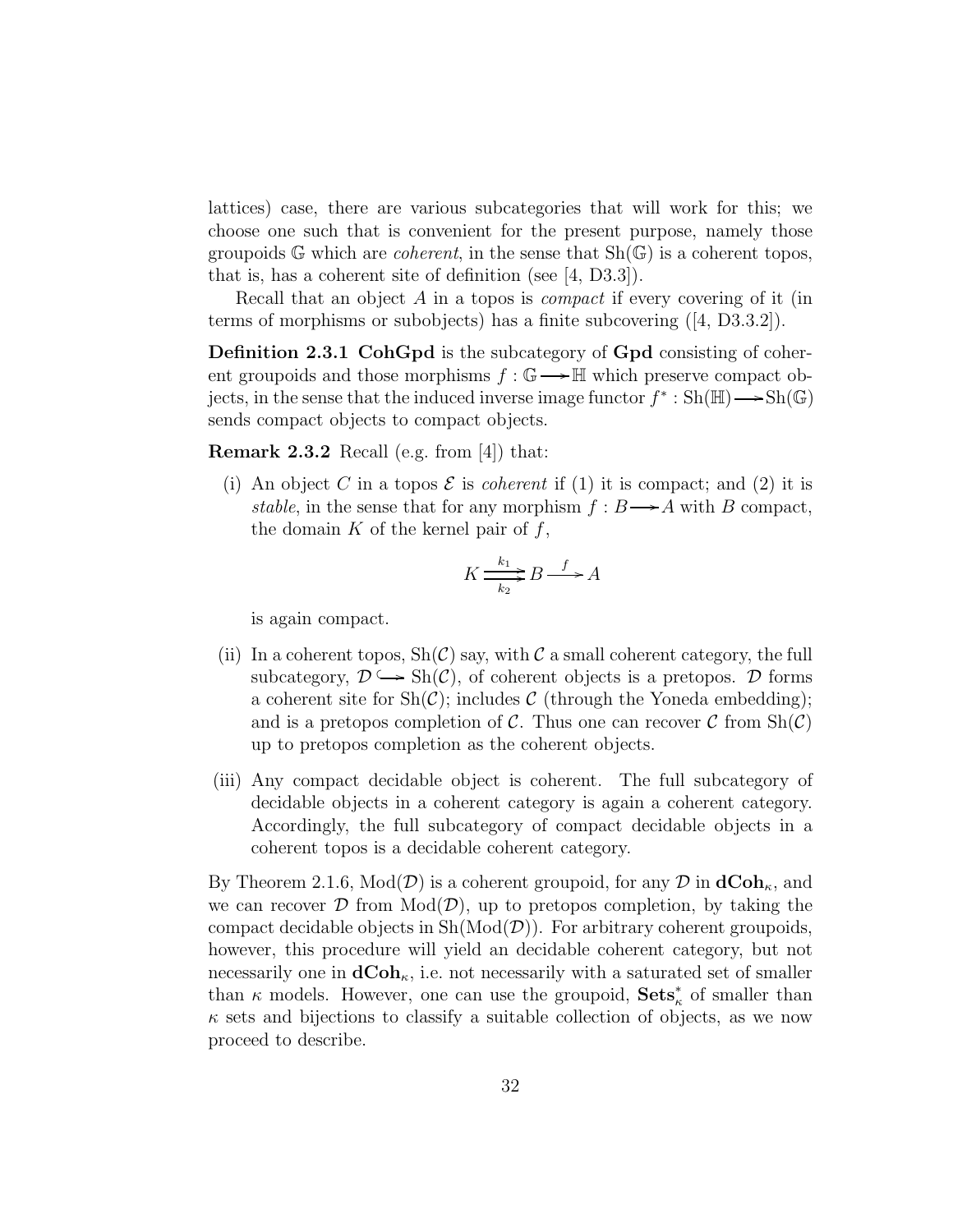lattices) case, there are various subcategories that will work for this; we choose one such that is convenient for the present purpose, namely those groupoids G which are *coherent*, in the sense that  $\text{Sh}(\mathbb{G})$  is a coherent topos, that is, has a coherent site of definition (see [4, D3.3]).

Recall that an object A in a topos is compact if every covering of it (in terms of morphisms or subobjects) has a finite subcovering ([4, D3.3.2]).

Definition 2.3.1 CohGpd is the subcategory of Gpd consisting of coherent groupoids and those morphisms  $f : \mathbb{G} \longrightarrow \mathbb{H}$  which preserve compact objects, in the sense that the induced inverse image functor  $f^* : Sh(\mathbb{H}) \longrightarrow Sh(\mathbb{G})$ sends compact objects to compact objects.

Remark 2.3.2 Recall (e.g. from [4]) that:

(i) An object C in a topos  $\mathcal E$  is *coherent* if (1) it is compact; and (2) it is stable, in the sense that for any morphism  $f : B \longrightarrow A$  with B compact, the domain  $K$  of the kernel pair of  $f$ ,

$$
K \xrightarrow[k_2]{k_1} B \xrightarrow{f} A
$$

is again compact.

- (ii) In a coherent topos,  $\text{Sh}(\mathcal{C})$  say, with  $\mathcal C$  a small coherent category, the full subcategory,  $\mathcal{D} \longrightarrow \text{Sh}(\mathcal{C})$ , of coherent objects is a pretopos.  $\mathcal{D}$  forms a coherent site for  $\text{Sh}(\mathcal{C})$ ; includes  $\mathcal C$  (through the Yoneda embedding); and is a pretopos completion of C. Thus one can recover C from  $\text{Sh}(\mathcal{C})$ up to pretopos completion as the coherent objects.
- (iii) Any compact decidable object is coherent. The full subcategory of decidable objects in a coherent category is again a coherent category. Accordingly, the full subcategory of compact decidable objects in a coherent topos is a decidable coherent category.

By Theorem 2.1.6,  $Mod(\mathcal{D})$  is a coherent groupoid, for any  $\mathcal D$  in  $dCoh_{\kappa}$ , and we can recover  $\mathcal D$  from  $Mod(\mathcal D)$ , up to pretopos completion, by taking the compact decidable objects in  $\text{Sh}(\text{Mod}(\mathcal{D}))$ . For arbitrary coherent groupoids, however, this procedure will yield an decidable coherent category, but not necessarily one in  $dCoh_{\kappa}$ , i.e. not necessarily with a saturated set of smaller than  $\kappa$  models. However, one can use the groupoid,  $\textbf{Sets}_{\kappa}^*$  of smaller than  $\kappa$  sets and bijections to classify a suitable collection of objects, as we now proceed to describe.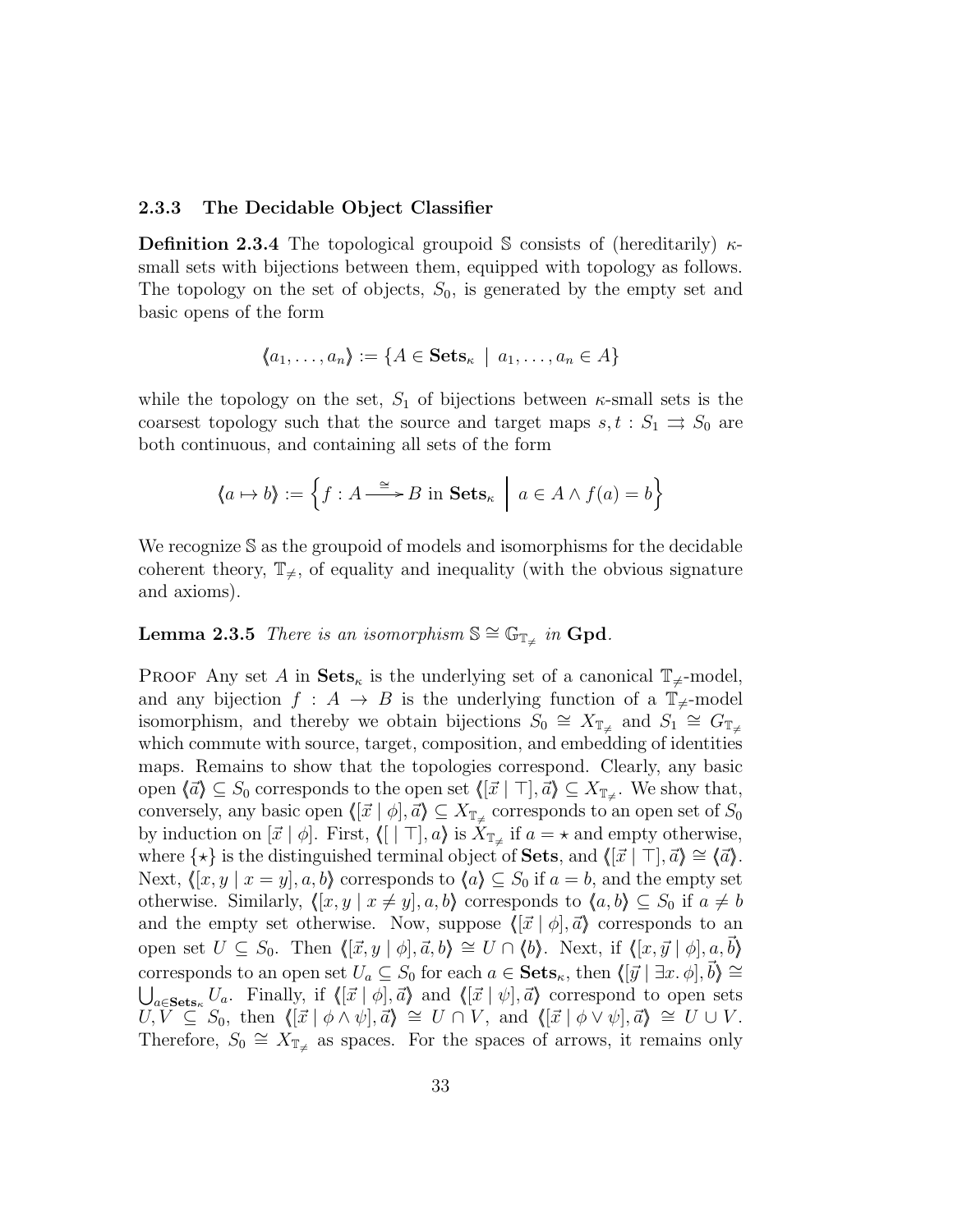#### 2.3.3 The Decidable Object Classifier

**Definition 2.3.4** The topological groupoid S consists of (hereditarily)  $\kappa$ small sets with bijections between them, equipped with topology as follows. The topology on the set of objects,  $S_0$ , is generated by the empty set and basic opens of the form

$$
\langle a_1, \ldots, a_n \rangle := \{ A \in \mathbf{Sets}_{\kappa} \mid a_1, \ldots, a_n \in A \}
$$

while the topology on the set,  $S_1$  of bijections between  $\kappa$ -small sets is the coarsest topology such that the source and target maps  $s, t : S_1 \implies S_0$  are both continuous, and containing all sets of the form

$$
\langle a \mapsto b \rangle := \left\{ f : A \xrightarrow{\cong} B \text{ in } \mathbf{Sets}_{\kappa} \mid a \in A \wedge f(a) = b \right\}
$$

We recognize S as the groupoid of models and isomorphisms for the decidable coherent theory,  $\mathbb{T}_{\neq}$ , of equality and inequality (with the obvious signature and axioms).

**Lemma 2.3.5** There is an isomorphism  $\mathbb{S} \cong \mathbb{G}_{\mathbb{T}_{\neq}}$  in **Gpd**.

**PROOF** Any set A in  $\textbf{Sets}_{\kappa}$  is the underlying set of a canonical  $\mathbb{T}_{\neq}$ -model, and any bijection  $f : A \to B$  is the underlying function of a  $\mathbb{T}_{\neq}$ -model isomorphism, and thereby we obtain bijections  $S_0 \cong X_{\mathbb{T}_{\neq}}$  and  $S_1 \cong G_{\mathbb{T}_{\neq}}$ which commute with source, target, composition, and embedding of identities maps. Remains to show that the topologies correspond. Clearly, any basic open  $\langle \vec{a} \rangle \subseteq S_0$  corresponds to the open set  $\langle [\vec{x} \mid \top], \vec{a} \rangle \subseteq X_{\mathbb{T}_{\neq}}$ . We show that, conversely, any basic open  $\langle [x] | \phi], \vec{a} \rangle \subseteq X_{\mathbb{T}_{\neq}}$  corresponds to an open set of  $S_0$ by induction on  $[\vec{x} | \phi]$ . First,  $\langle [ | T]$ ,  $a \rangle$  is  $X_{\mathbb{T}_{\neq}}$  if  $a = \star$  and empty otherwise, where  $\{\star\}$  is the distinguished terminal object of **Sets**, and  $\langle [\vec{x} | T], \vec{a} \rangle \cong \langle \vec{a} \rangle$ . Next,  $\langle [x, y \mid x = y], a, b \rangle$  corresponds to  $\langle a \rangle \subseteq S_0$  if  $a = b$ , and the empty set otherwise. Similarly,  $\langle [x, y | x \neq y], a, b \rangle$  corresponds to  $\langle a, b \rangle \subseteq S_0$  if  $a \neq b$ and the empty set otherwise. Now, suppose  $\langle [\vec{x} | \phi], \vec{a} \rangle$  corresponds to an open set  $U \subseteq S_0$ . Then  $\langle [x, y | \phi], \vec{a}, b \rangle \cong U \cap \langle b \rangle$ . Next, if  $\langle [x, \vec{y} | \phi], a, b \rangle$ corresponds to an open set  $U_a \subseteq S_0$  for each  $a \in \mathbf{Sets}_{\kappa}$ , then  $\langle [\vec{y} \mid \exists x. \phi], \vec{b} \rangle \cong$  $\bigcup_{a\in\mathbf{Sets}_\kappa} U_a$ . Finally, if  $\langle [\vec{x} \mid \phi], \vec{a} \rangle$  and  $\langle [\vec{x} \mid \psi], \vec{a} \rangle$  correspond to open sets  $U, V \subseteq S_0$ , then  $\langle [\vec{x} \mid \phi \wedge \psi], \vec{a} \rangle \cong U \cap V$ , and  $\langle [\vec{x} \mid \phi \vee \psi], \vec{a} \rangle \cong U \cup V$ . Therefore,  $S_0 \cong X_{\mathbb{T}_{\neq}}$  as spaces. For the spaces of arrows, it remains only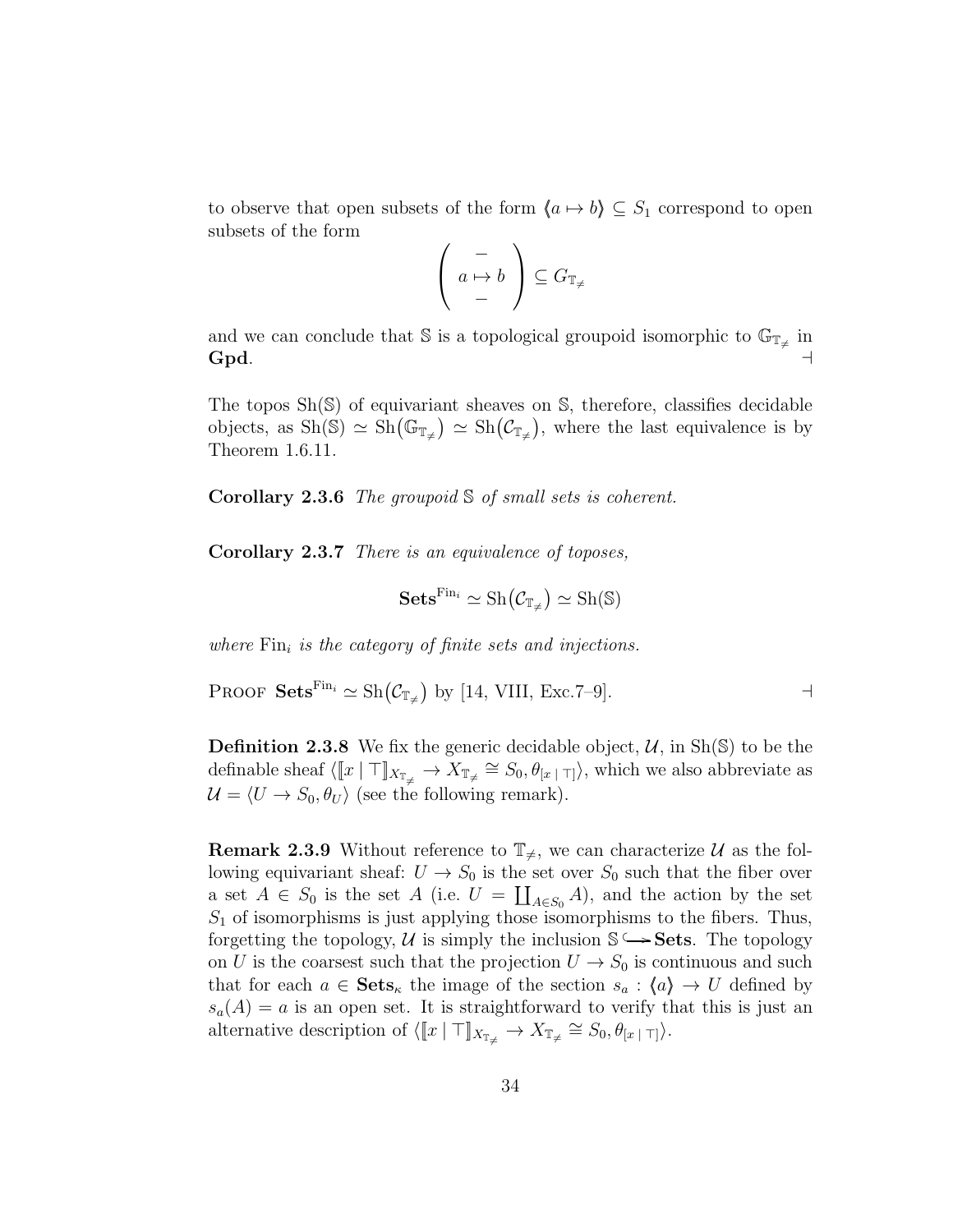to observe that open subsets of the form  $\langle a \mapsto b \rangle \subseteq S_1$  correspond to open subsets of the form

$$
\left(\begin{array}{c} -\\ a \mapsto b \end{array}\right) \subseteq G_{\mathbb{T}_{\neq}}
$$

and we can conclude that  $\mathbb S$  is a topological groupoid isomorphic to  $\mathbb G_{\mathbb T_{\neq}}$  in Gpd.  $\qquad \qquad \dashv$ 

The topos  $Sh(S)$  of equivariant sheaves on S, therefore, classifies decidable objects, as  $\text{Sh}(\mathbb{S}) \simeq \text{Sh}(\mathbb{G}_{\mathbb{T}_{\neq}}) \simeq \text{Sh}(\mathcal{C}_{\mathbb{T}_{\neq}})$ , where the last equivalence is by Theorem 1.6.11.

**Corollary 2.3.6** The groupoid  $\mathcal S$  of small sets is coherent.

Corollary 2.3.7 There is an equivalence of toposes,

$$
\mathbf{Sets}^{\mathrm{Fin}_i}\simeq\mathrm{Sh}\big(\mathcal{C}_{\mathbb{T}_{\neq}}\big)\simeq\mathrm{Sh}(\mathbb{S})
$$

where  $\text{Fin}_i$  is the category of finite sets and injections.

PROOF  $\text{Sets}^{\text{Fin}_i} \simeq \text{Sh}(\mathcal{C}_{\mathbb{T}_{\neq}})$  by [14, VIII, Exc.7–9].

**Definition 2.3.8** We fix the generic decidable object,  $\mathcal{U}$ , in Sh(S) to be the definable sheaf  $\langle [x | T]_{X_{\mathbb{T}_{\neq}}} \to X_{\mathbb{T}_{\neq}} \cong S_0, \theta_{[x | T]}\rangle$ , which we also abbreviate as  $\mathcal{U} = \langle U \rightarrow S_0, \theta_U \rangle$  (see the following remark).

**Remark 2.3.9** Without reference to  $\mathbb{T}_{\neq}$ , we can characterize U as the following equivariant sheaf:  $U \rightarrow S_0$  is the set over  $S_0$  such that the fiber over a set  $A \in S_0$  is the set  $A$  (i.e.  $U = \coprod_{A \in S_0} A$ ), and the action by the set  $S_1$  of isomorphisms is just applying those isomorphisms to the fibers. Thus, forgetting the topology,  $U$  is simply the inclusion  $\mathbb{S} \longrightarrow$  **Sets**. The topology on U is the coarsest such that the projection  $U \to S_0$  is continuous and such that for each  $a \in \mathbf{Sets}_{\kappa}$  the image of the section  $s_a : \langle a \rangle \to U$  defined by  $s_a(A) = a$  is an open set. It is straightforward to verify that this is just an alternative description of  $\langle [x | T]_{X_{\mathbb{T}_{\neq}}} \to X_{\mathbb{T}_{\neq}} \cong S_0, \theta_{[x | T]}\rangle.$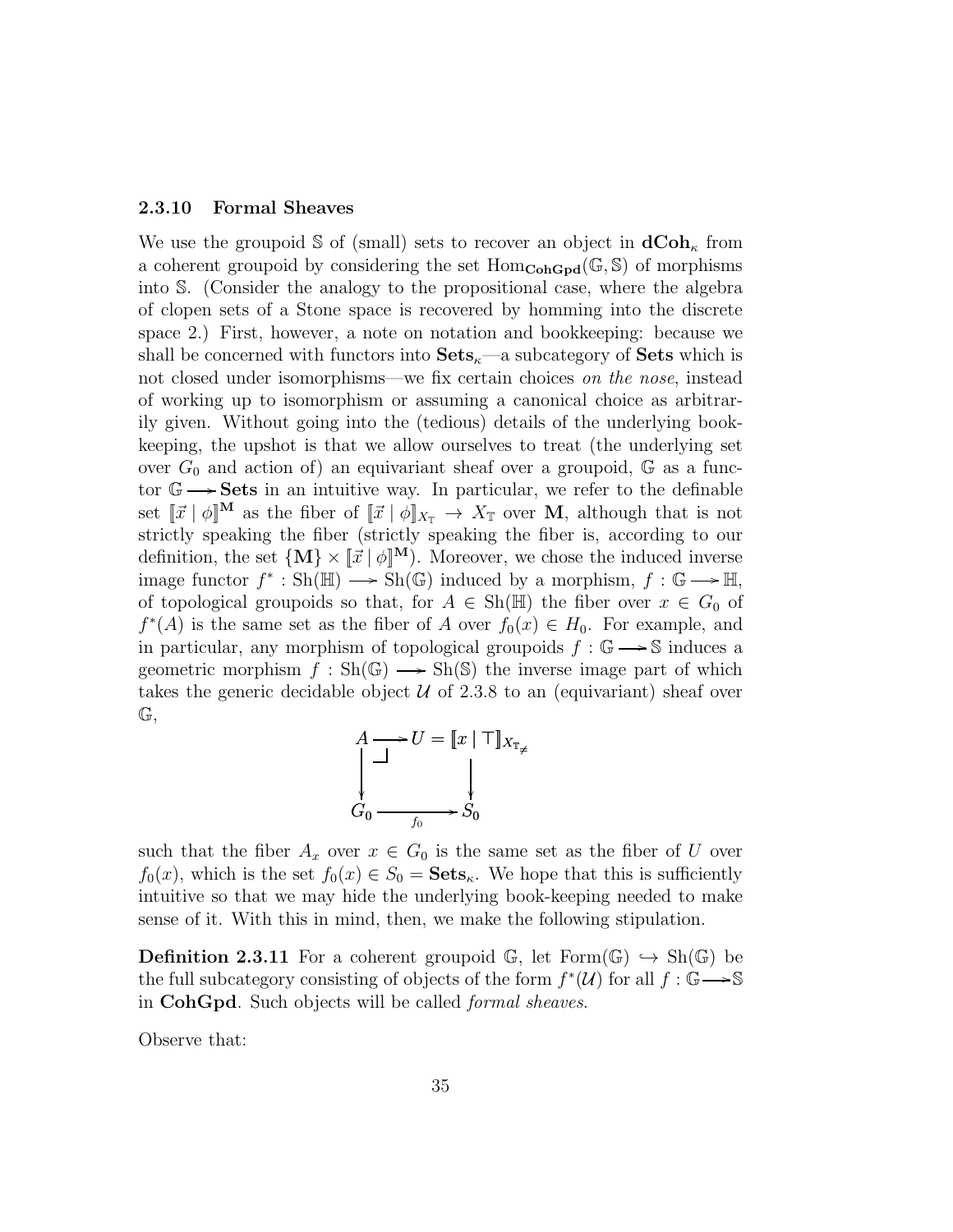#### 2.3.10 Formal Sheaves

We use the groupoid S of (small) sets to recover an object in  $\mathbf{dCoh}_{\kappa}$  from a coherent groupoid by considering the set  $Hom_{\mathbf{CohGpd}}(\mathbb{G}, \mathbb{S})$  of morphisms into S. (Consider the analogy to the propositional case, where the algebra of clopen sets of a Stone space is recovered by homming into the discrete space 2.) First, however, a note on notation and bookkeeping: because we shall be concerned with functors into  $\textbf{Sets}_{\kappa}$ —a subcategory of **Sets** which is not closed under isomorphisms—we fix certain choices on the nose, instead of working up to isomorphism or assuming a canonical choice as arbitrarily given. Without going into the (tedious) details of the underlying bookkeeping, the upshot is that we allow ourselves to treat (the underlying set over  $G_0$  and action of) an equivariant sheaf over a groupoid,  $\mathbb{G}$  as a functor  $\mathbb{G} \longrightarrow$  Sets in an intuitive way. In particular, we refer to the definable set  $\llbracket \vec{x} \mid \phi \rrbracket^{\mathbf{M}}$  as the fiber of  $\llbracket \vec{x} \mid \phi \rrbracket_{X_{\mathbb{T}}} \to X_{\mathbb{T}}$  over **M**, although that is not strictly speaking the fiber (strictly speaking the fiber is, according to our definition, the set  $\{M\}\times[\vec{x}|\phi]^M$ . Moreover, we chose the induced inverse image functor  $f^* : Sh(\mathbb{H}) \longrightarrow Sh(\mathbb{G})$  induced by a morphism,  $f : \mathbb{G} \longrightarrow \mathbb{H}$ , of topological groupoids so that, for  $A \in Sh(\mathbb{H})$  the fiber over  $x \in G_0$  of  $f^*(A)$  is the same set as the fiber of A over  $f_0(x) \in H_0$ . For example, and in particular, any morphism of topological groupoids  $f : \mathbb{G} \longrightarrow \mathbb{S}$  induces a geometric morphism  $f : Sh(\mathbb{G}) \longrightarrow Sh(\mathbb{S})$  the inverse image part of which takes the generic decidable object  $U$  of 2.3.8 to an (equivariant) sheaf over G,



such that the fiber  $A_x$  over  $x \in G_0$  is the same set as the fiber of U over  $f_0(x)$ , which is the set  $f_0(x) \in S_0 = \mathbf{Sets}_{\kappa}$ . We hope that this is sufficiently intuitive so that we may hide the underlying book-keeping needed to make sense of it. With this in mind, then, we make the following stipulation.

**Definition 2.3.11** For a coherent groupoid  $\mathbb{G}$ , let  $Form(\mathbb{G}) \hookrightarrow Sh(\mathbb{G})$  be the full subcategory consisting of objects of the form  $f^*(\mathcal{U})$  for all  $f : \mathbb{G} \longrightarrow \mathbb{S}$ in CohGpd. Such objects will be called formal sheaves.

Observe that: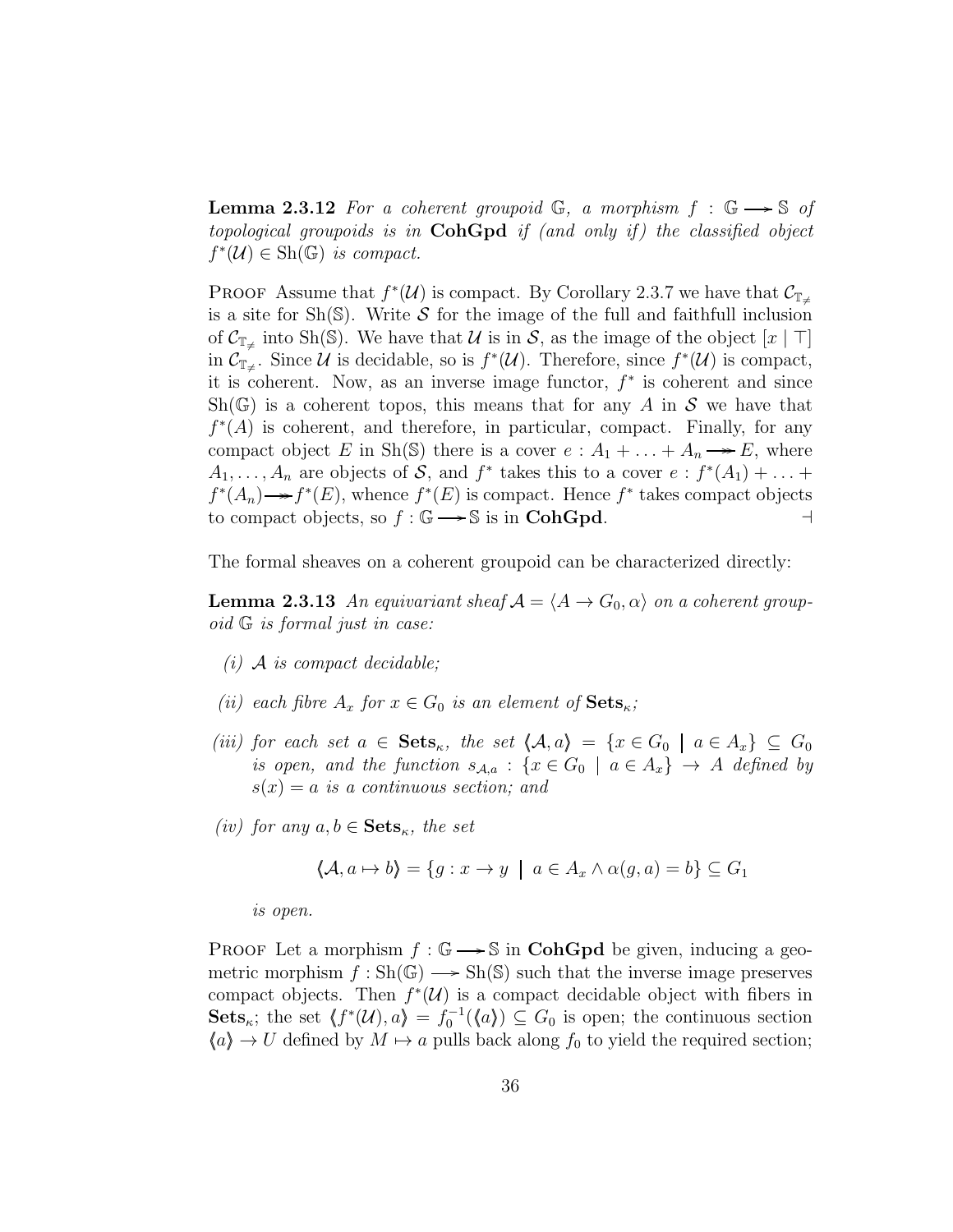**Lemma 2.3.12** For a coherent groupoid  $\mathbb{G}$ , a morphism  $f : \mathbb{G} \longrightarrow \mathbb{S}$  of topological groupoids is in  $\text{CohGpd}$  if (and only if) the classified object  $f^*(\mathcal{U}) \in Sh(\mathbb{G})$  is compact.

**PROOF** Assume that  $f^*(\mathcal{U})$  is compact. By Corollary 2.3.7 we have that  $\mathcal{C}_{\mathbb{T}\neq\mathbb{T}}$ is a site for  $\text{Sh}(\mathbb{S})$ . Write S for the image of the full and faithfull inclusion of  $\mathcal{C}_{\mathbb{T}_{\neq}}$  into Sh(S). We have that U is in S, as the image of the object  $[x | T]$ in  $\mathcal{C}_{\mathbb{T}_{\neq}}$ . Since U is decidable, so is  $f^*(\mathcal{U})$ . Therefore, since  $f^*(\mathcal{U})$  is compact, it is coherent. Now, as an inverse image functor,  $f^*$  is coherent and since  $\text{Sh}(\mathbb{G})$  is a coherent topos, this means that for any A in S we have that  $f^*(A)$  is coherent, and therefore, in particular, compact. Finally, for any compact object E in Sh(S) there is a cover  $e : A_1 + \ldots + A_n \longrightarrow E$ , where  $A_1, \ldots, A_n$  are objects of S, and  $f^*$  takes this to a cover  $e : f^*(A_1) + \ldots +$  $f^*(A_n) \longrightarrow f^*(E)$ , whence  $f^*(E)$  is compact. Hence  $f^*$  takes compact objects to compact objects, so  $f : \mathbb{G} \longrightarrow \mathbb{S}$  is in **CohGpd**. ⊣

The formal sheaves on a coherent groupoid can be characterized directly:

**Lemma 2.3.13** An equivariant sheaf  $A = \langle A \rightarrow G_0, \alpha \rangle$  on a coherent groupoid G is formal just in case:

- $(i)$  A is compact decidable;
- (ii) each fibre  $A_x$  for  $x \in G_0$  is an element of  $\textbf{Sets}_{\kappa};$
- (iii) for each set  $a \in \mathbf{Sets}_{\kappa}$ , the set  $\langle A, a \rangle = \{x \in G_0 \mid a \in A_x\} \subseteq G_0$ is open, and the function  $s_{A,a}$ :  $\{x \in G_0 \mid a \in A_x\} \to A$  defined by  $s(x) = a$  is a continuous section; and

(iv) for any  $a, b \in \mathbf{Sets}_{\kappa}$ , the set

$$
\langle \mathcal{A}, a \mapsto b \rangle = \{ g : x \to y \mid a \in A_x \land \alpha(g, a) = b \} \subseteq G_1
$$

is open.

**PROOF** Let a morphism  $f : \mathbb{G} \longrightarrow \mathbb{S}$  in **CohGpd** be given, inducing a geometric morphism  $f: Sh(\mathbb{G}) \longrightarrow Sh(\mathbb{S})$  such that the inverse image preserves compact objects. Then  $f^*(\mathcal{U})$  is a compact decidable object with fibers in Sets<sub>k</sub>; the set  $\langle f^*(\mathcal{U}), a \rangle = f_0^{-1}(\langle a \rangle) \subseteq G_0$  is open; the continuous section  $\langle a \rangle \rightarrow U$  defined by  $M \mapsto a$  pulls back along  $f_0$  to yield the required section;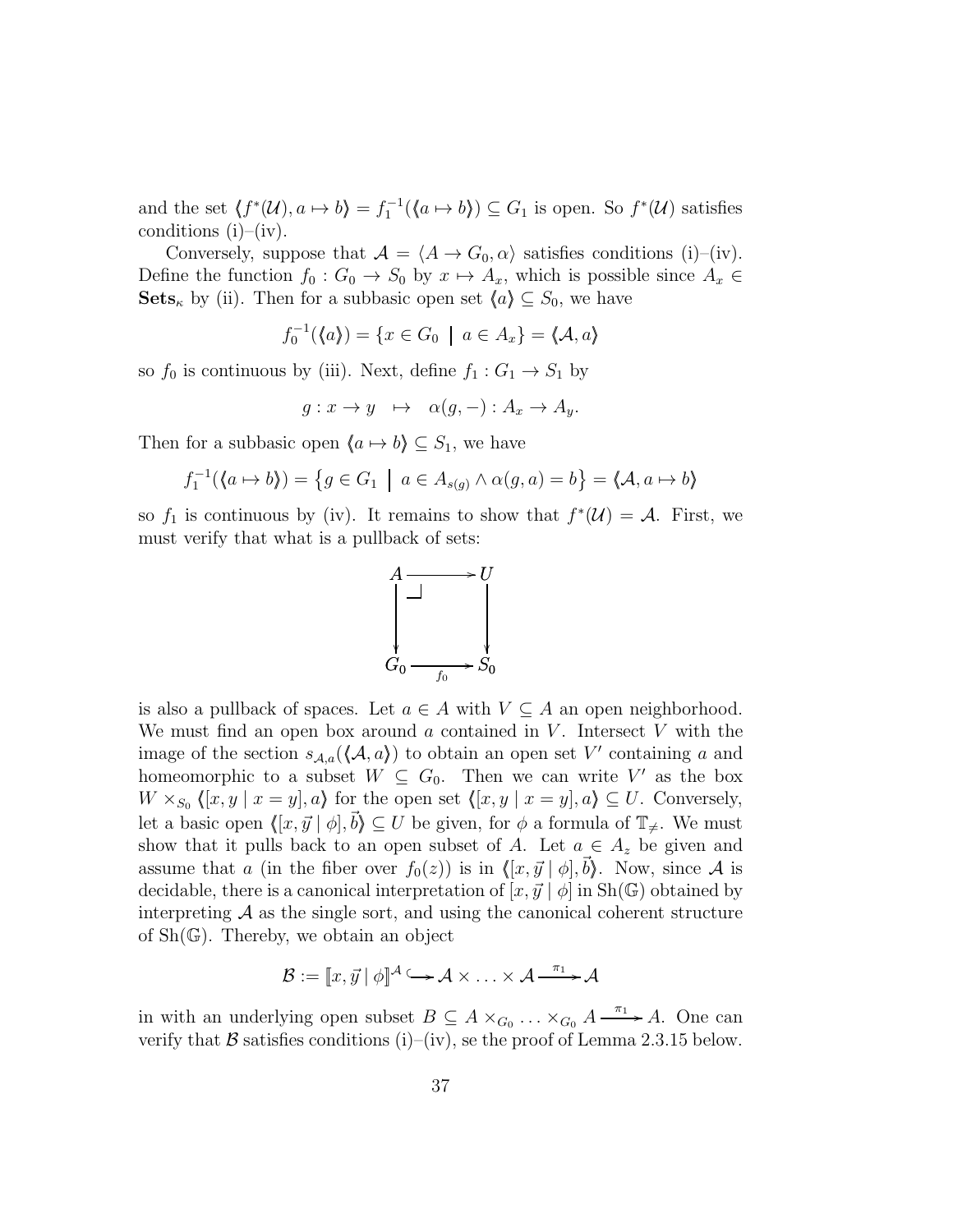and the set  $\langle f^*(\mathcal{U}), a \mapsto b \rangle = f_1^{-1}(\langle a \mapsto b \rangle) \subseteq G_1$  is open. So  $f^*(\mathcal{U})$  satisfies conditions  $(i)$ – $(iv)$ .

Conversely, suppose that  $A = \langle A \rightarrow G_0, \alpha \rangle$  satisfies conditions (i)–(iv). Define the function  $f_0 : G_0 \to S_0$  by  $x \mapsto A_x$ , which is possible since  $A_x \in$ **Sets**<sub>k</sub> by (ii). Then for a subbasic open set  $\langle a \rangle \subseteq S_0$ , we have

$$
f_0^{-1}(\langle a \rangle) = \{x \in G_0 \mid a \in A_x\} = \langle A, a \rangle
$$

so  $f_0$  is continuous by (iii). Next, define  $f_1 : G_1 \to S_1$  by

$$
g: x \to y \quad \mapsto \quad \alpha(g, -): A_x \to A_y.
$$

Then for a subbasic open  $\langle a \mapsto b \rangle \subseteq S_1$ , we have

$$
f_1^{-1}(\langle a \mapsto b \rangle) = \{ g \in G_1 \mid a \in A_{s(g)} \land \alpha(g, a) = b \} = \langle A, a \mapsto b \rangle
$$

so  $f_1$  is continuous by (iv). It remains to show that  $f^*(\mathcal{U}) = \mathcal{A}$ . First, we must verify that what is a pullback of sets:



is also a pullback of spaces. Let  $a \in A$  with  $V \subseteq A$  an open neighborhood. We must find an open box around a contained in  $V$ . Intersect  $V$  with the image of the section  $s_{A,a}(\langle A, a \rangle)$  to obtain an open set V' containing a and homeomorphic to a subset  $W \subseteq G_0$ . Then we can write V' as the box  $W \times_{S_0} ( [x, y \mid x = y], a )$  for the open set  $\langle [x, y \mid x = y], a \rangle \subseteq U$ . Conversely, let a basic open  $\langle [x, \vec{y} | \phi], \vec{b} \rangle \subseteq U$  be given, for  $\phi$  a formula of  $\mathbb{T}_{\neq}$ . We must show that it pulls back to an open subset of A. Let  $a \in A_z$  be given and assume that a (in the fiber over  $f_0(z)$ ) is in  $\langle [x, \vec{y} | \phi], \vec{b} \rangle$ . Now, since A is decidable, there is a canonical interpretation of  $[x, \vec{y} | \phi]$  in Sh(G) obtained by interpreting  $A$  as the single sort, and using the canonical coherent structure of Sh(G). Thereby, we obtain an object

$$
\mathcal{B} := [x, \vec{y} \mid \phi]^{A} \hookrightarrow \mathcal{A} \times \ldots \times \mathcal{A} \xrightarrow{\pi_{1}} \mathcal{A}
$$

in with an underlying open subset  $B \subseteq A \times_{G_0} \ldots \times_{G_0} A \xrightarrow{\pi_1} A$ . One can verify that  $\beta$  satisfies conditions (i)–(iv), se the proof of Lemma 2.3.15 below.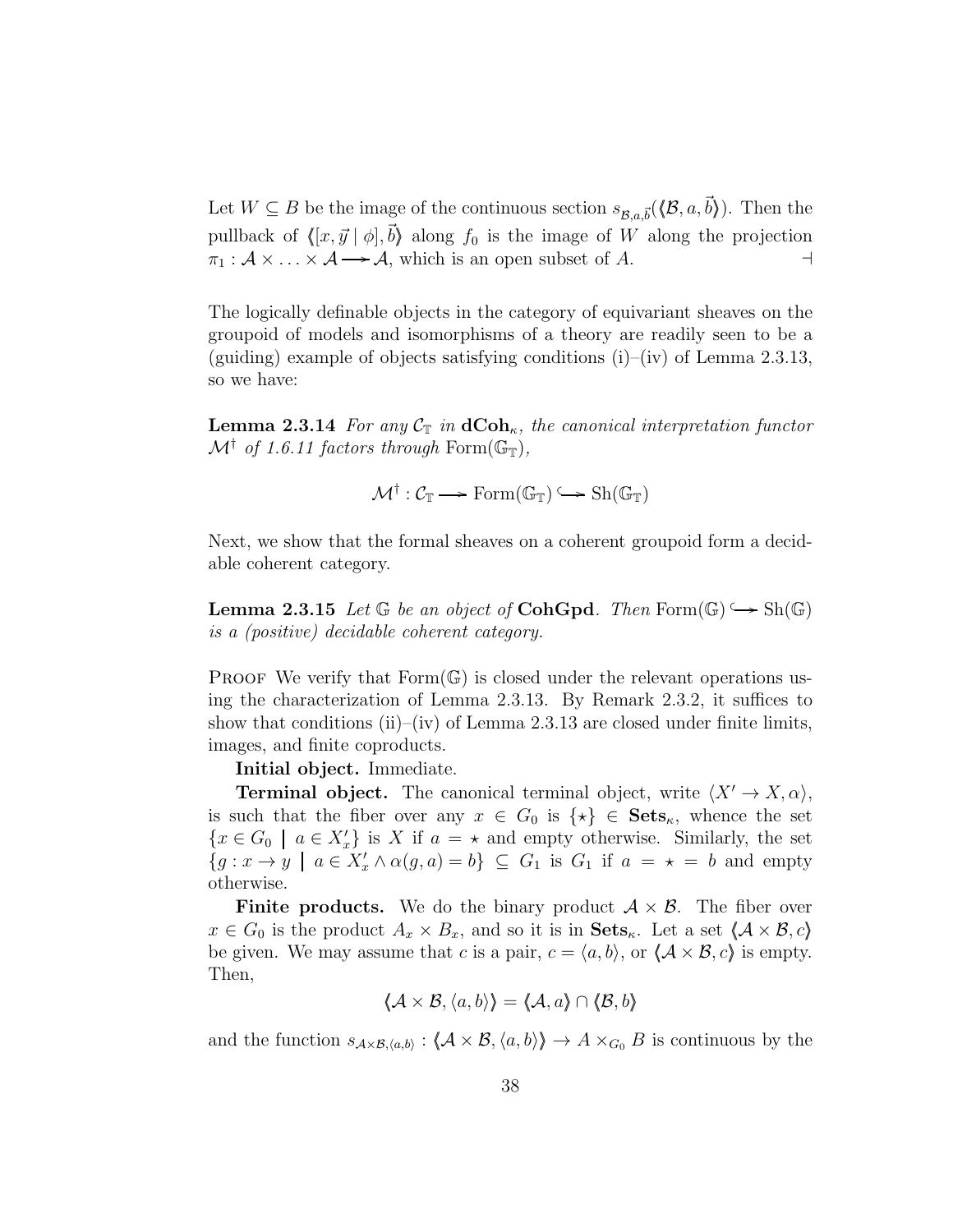Let  $W \subseteq B$  be the image of the continuous section  $s_{\mathcal{B},a,\vec{b}}(\langle \mathcal{B}, a, \vec{b} \rangle)$ . Then the pullback of  $\langle [x, \vec{y} | \phi], \vec{b} \rangle$  along  $f_0$  is the image of W along the projection  $\pi_1 : \mathcal{A} \times \ldots \times \mathcal{A} \longrightarrow \mathcal{A}$ , which is an open subset of A.

The logically definable objects in the category of equivariant sheaves on the groupoid of models and isomorphisms of a theory are readily seen to be a (guiding) example of objects satisfying conditions  $(i)$ –(iv) of Lemma 2.3.13, so we have:

**Lemma 2.3.14** For any  $\mathcal{C}_{\mathbb{T}}$  in  $dCoh_{\kappa}$ , the canonical interpretation functor  $\mathcal{M}^{\dagger}$  of 1.6.11 factors through Form( $\mathbb{G}_{\mathbb{T}}$ ),

$$
\mathcal{M}^{\dagger} : \mathcal{C}_{\mathbb{T}} \longrightarrow \mathrm{Form}(\mathbb{G}_{\mathbb{T}}) \hookrightarrow \mathrm{Sh}(\mathbb{G}_{\mathbb{T}})
$$

Next, we show that the formal sheaves on a coherent groupoid form a decidable coherent category.

**Lemma 2.3.15** Let  $\mathbb{G}$  be an object of **CohGpd**. Then  $\text{Form}(\mathbb{G}) \hookrightarrow \text{Sh}(\mathbb{G})$ is a (positive) decidable coherent category.

**PROOF** We verify that  $Form(\mathbb{G})$  is closed under the relevant operations using the characterization of Lemma 2.3.13. By Remark 2.3.2, it suffices to show that conditions (ii)–(iv) of Lemma 2.3.13 are closed under finite limits, images, and finite coproducts.

Initial object. Immediate.

**Terminal object.** The canonical terminal object, write  $\langle X' \rightarrow X, \alpha \rangle$ , is such that the fiber over any  $x \in G_0$  is  $\{\star\} \in \mathbf{Sets}_{\kappa}$ , whence the set  ${x \in G_0 \mid a \in X'_x}$  is X if  $a = \star$  and empty otherwise. Similarly, the set  ${g : x \to y \mid a \in X'_x \land \alpha(g, a) = b} \subseteq G_1$  is  $G_1$  if  $a = \star = b$  and empty otherwise.

**Finite products.** We do the binary product  $A \times B$ . The fiber over  $x \in G_0$  is the product  $A_x \times B_x$ , and so it is in  $\textbf{Sets}_{\kappa}$ . Let a set  $\langle A \times B, c \rangle$ be given. We may assume that c is a pair,  $c = \langle a, b \rangle$ , or  $\langle A \times B, c \rangle$  is empty. Then,

$$
\langle \mathcal{A} \times \mathcal{B}, \langle a, b \rangle \rangle = \langle \mathcal{A}, a \rangle \cap \langle \mathcal{B}, b \rangle
$$

and the function  $s_{A\times B,\langle a,b\rangle}:\langle A\times B,\langle a,b\rangle\rangle\to A\times_{G_0} B$  is continuous by the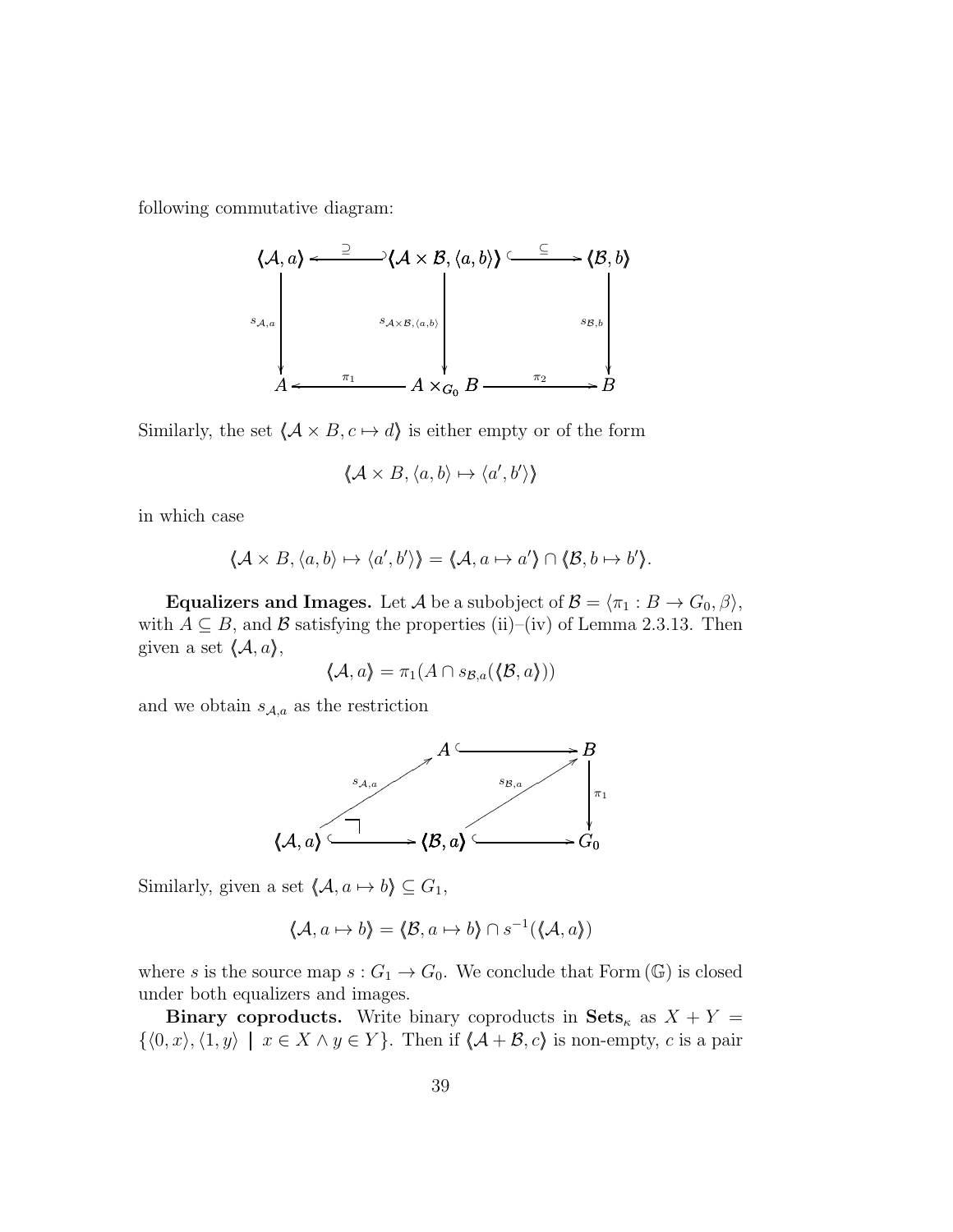following commutative diagram:

$$
\langle A, a \rangle \leftarrow \begin{array}{c} \mathcal{A} \times \mathcal{B}, \langle a, b \rangle \rangle \longrightarrow \langle \mathcal{B}, b \rangle \\ \downarrow \qquad \qquad \downarrow \qquad \qquad \downarrow \qquad \qquad \downarrow \qquad \qquad \downarrow \qquad \qquad \downarrow \qquad \qquad \downarrow \qquad \qquad \downarrow \qquad \qquad \downarrow \qquad \qquad \downarrow \qquad \qquad \downarrow \qquad \qquad \downarrow \qquad \qquad \downarrow \qquad \qquad \downarrow \qquad \qquad \downarrow \qquad \qquad \downarrow \qquad \qquad \downarrow \qquad \qquad \downarrow \qquad \qquad \downarrow \qquad \qquad \downarrow \qquad \qquad \downarrow \qquad \qquad \downarrow \qquad \qquad \downarrow \qquad \qquad \downarrow \qquad \qquad \downarrow \qquad \qquad \downarrow \qquad \qquad \downarrow \qquad \qquad \downarrow \qquad \qquad \downarrow \qquad \qquad \downarrow \qquad \qquad \downarrow \qquad \qquad \downarrow \qquad \qquad \downarrow \qquad \qquad \downarrow \qquad \qquad \downarrow \qquad \qquad \downarrow \qquad \qquad \downarrow \qquad \qquad \downarrow \qquad \qquad \downarrow \qquad \qquad \downarrow \qquad \qquad \downarrow \qquad \qquad \downarrow \qquad \qquad \downarrow \qquad \qquad \downarrow \qquad \qquad \downarrow \qquad \qquad \downarrow \qquad \qquad \downarrow \qquad \qquad \downarrow \qquad \qquad \downarrow \qquad \qquad \downarrow \qquad \qquad \downarrow \qquad \qquad \downarrow \qquad \qquad \downarrow \qquad \qquad \downarrow \qquad \qquad \downarrow \qquad \qquad \downarrow \qquad \qquad \downarrow \qquad \qquad \downarrow \qquad \qquad \downarrow \qquad \qquad \downarrow \qquad \qquad \downarrow \qquad \qquad \downarrow \qquad \qquad \downarrow \qquad \qquad \downarrow \qquad \qquad \downarrow \qquad \qquad \downarrow \qquad \qquad \downarrow \qquad \qquad \downarrow \qquad \qquad \downarrow \qquad \qquad \downarrow \qquad \qquad \downarrow \qquad \qquad \downarrow \qquad \qquad \downarrow \qquad \qquad \downarrow \qquad \qquad \downarrow \qquad \qquad \downarrow \qquad \qquad \downarrow \qquad \qquad \downarrow \qquad \qquad \downarrow \
$$

Similarly, the set  $\langle A \times B, c \mapsto d \rangle$  is either empty or of the form

$$
\langle \mathcal{A} \times B, \langle a, b \rangle \mapsto \langle a', b' \rangle \rangle
$$

in which case

$$
\langle A \times B, \langle a, b \rangle \mapsto \langle a', b' \rangle \rangle = \langle A, a \mapsto a' \rangle \cap \langle B, b \mapsto b' \rangle.
$$

Equalizers and Images. Let A be a subobject of  $\mathcal{B} = \langle \pi_1 : B \to G_0, \beta \rangle$ , with  $A \subseteq B$ , and  $\beta$  satisfying the properties (ii)–(iv) of Lemma 2.3.13. Then given a set  $\langle A, a \rangle$ ,

$$
\langle \mathcal{A}, a \rangle = \pi_1(A \cap s_{\mathcal{B},a}(\langle \mathcal{B}, a \rangle))
$$

and we obtain  $s_{A,a}$  as the restriction



Similarly, given a set  $\langle A, a \mapsto b \rangle \subseteq G_1$ ,

$$
\langle \mathcal{A}, a \mapsto b \rangle = \langle \mathcal{B}, a \mapsto b \rangle \cap s^{-1}(\langle \mathcal{A}, a \rangle)
$$

where s is the source map  $s: G_1 \to G_0$ . We conclude that Form (G) is closed under both equalizers and images.

**Binary coproducts.** Write binary coproducts in  $\textbf{Sets}_{\kappa}$  as  $X + Y =$  $\{\langle 0, x \rangle, \langle 1, y \rangle \mid x \in X \land y \in Y\}.$  Then if  $\langle A + B, c \rangle$  is non-empty, c is a pair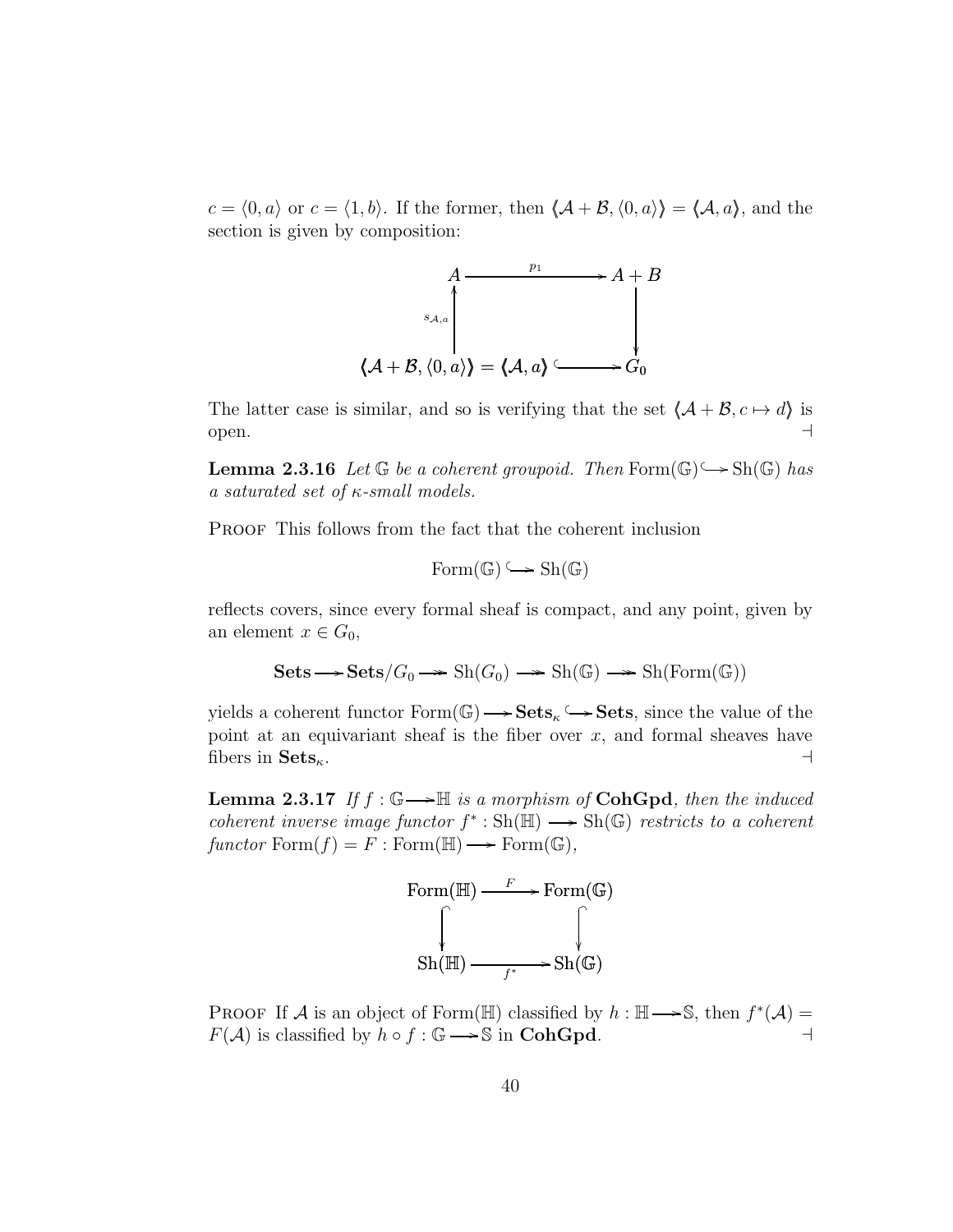$c = \langle 0, a \rangle$  or  $c = \langle 1, b \rangle$ . If the former, then  $\langle A + \mathcal{B}, \langle 0, a \rangle = \langle A, a \rangle$ , and the section is given by composition:

$$
\begin{array}{ccc}\nA & P^1 & \longrightarrow A + B \\
\downarrow & & A \\
\langle A + B, \langle 0, a \rangle \rangle & = \langle A, a \rangle & \longrightarrow G_0\n\end{array}
$$

The latter case is similar, and so is verifying that the set  $\langle A + \mathcal{B}, c \mapsto d \rangle$  is open.  $\rightarrow$ 

**Lemma 2.3.16** Let G be a coherent groupoid. Then  $Form(\mathbb{G}) \longrightarrow Sh(\mathbb{G})$  has a saturated set of κ-small models.

PROOF This follows from the fact that the coherent inclusion

$$
\mathrm{Form}(\mathbb{G}) \hookrightarrow \mathrm{Sh}(\mathbb{G})
$$

reflects covers, since every formal sheaf is compact, and any point, given by an element  $x \in G_0$ ,

$$
Sets \longrightarrow Sets/G_0 \longrightarrow Sh(G_0) \longrightarrow Sh(\mathbb{G}) \longrightarrow Sh(Form(\mathbb{G}))
$$

yields a coherent functor  $Form(\mathbb{G}) \longrightarrow \mathbf{Sets}_{\kappa} \longrightarrow \mathbf{Sets}$ , since the value of the point at an equivariant sheaf is the fiber over  $x$ , and formal sheaves have fibers in  $\textbf{Sets}_{\kappa}$ .  $\qquad \qquad \text{ } \dashv$ 

**Lemma 2.3.17** If  $f : \mathbb{G} \longrightarrow \mathbb{H}$  is a morphism of CohGpd, then the induced coherent inverse image functor  $f^* : Sh(\mathbb{H}) \longrightarrow Sh(\mathbb{G})$  restricts to a coherent functor  $\text{Form}(f) = F : \text{Form}(\mathbb{H}) \longrightarrow \text{Form}(\mathbb{G}),$ 



**PROOF** If A is an object of Form(H) classified by  $h : \mathbb{H} \longrightarrow \mathbb{S}$ , then  $f^*(\mathcal{A}) =$  $F(\mathcal{A})$  is classified by  $h \circ f : \mathbb{G} \longrightarrow \mathbb{S}$  in CohGpd.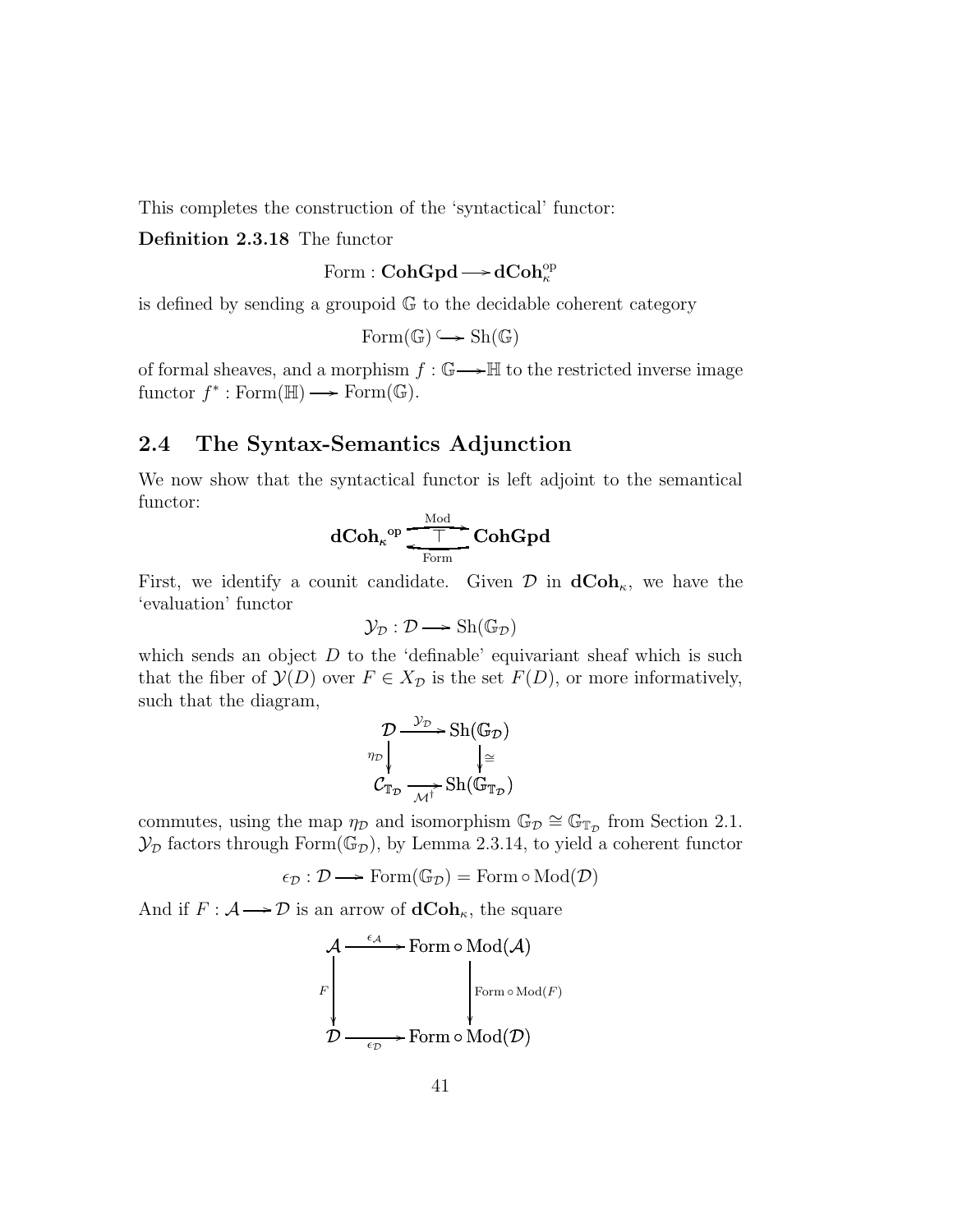This completes the construction of the 'syntactical' functor:

Definition 2.3.18 The functor

Form :  $\mathbf{CohGpd}\longrightarrow \mathbf{dCoh}^{\mathrm{op}}_{\kappa}$ 

is defined by sending a groupoid G to the decidable coherent category

$$
\mathrm{Form}(\mathbb{G})\hookrightarrow \mathrm{Sh}(\mathbb{G})
$$

of formal sheaves, and a morphism  $f : \mathbb{G} \longrightarrow \mathbb{H}$  to the restricted inverse image functor  $f^*$ : Form( $\mathbb{H}$ )  $\longrightarrow$  Form( $\mathbb{G}$ ).

## 2.4 The Syntax-Semantics Adjunction

We now show that the syntactical functor is left adjoint to the semantical functor:

$$
\mathbf{dCoh}_{\kappa}^{op} \xrightarrow[\text{Form}]{\underbrace{\text{Mod}}]{\text{Form}}}\mathbf{CohGpd}
$$

First, we identify a counit candidate. Given  $\mathcal D$  in  $dCoh_{\kappa}$ , we have the 'evaluation' functor

$$
\mathcal{Y}_{\mathcal{D}}:\mathcal{D}\longrightarrow\mathrm{Sh}(\mathbb{G}_{\mathcal{D}})
$$

which sends an object  $D$  to the 'definable' equivariant sheaf which is such that the fiber of  $\mathcal{Y}(D)$  over  $F \in X_{\mathcal{D}}$  is the set  $F(D)$ , or more informatively, such that the diagram,

$$
\mathcal{D} \xrightarrow{\mathcal{Y}_{\mathcal{D}}} \text{Sh}(\mathbb{G}_{\mathcal{D}})
$$
\n
$$
\downarrow \cong
$$
\n
$$
\mathcal{C}_{\mathbb{T}_{\mathcal{D}}} \xrightarrow[\mathcal{M}^{\dagger}]{\mathcal{P}} \text{Sh}(\mathbb{G}_{\mathbb{T}_{\mathcal{D}}})
$$

commutes, using the map  $\eta_{\mathcal{D}}$  and isomorphism  $\mathbb{G}_{\mathcal{D}} \cong \mathbb{G}_{\mathbb{T}_{\mathcal{D}}}$  from Section 2.1.  $\mathcal{Y}_{\mathcal{D}}$  factors through Form( $\mathbb{G}_{\mathcal{D}}$ ), by Lemma 2.3.14, to yield a coherent functor

$$
\epsilon_{\mathcal{D}} : \mathcal{D} \longrightarrow \mathrm{Form}(\mathbb{G}_{\mathcal{D}}) = \mathrm{Form} \circ \mathrm{Mod}(\mathcal{D})
$$

And if  $F : \mathcal{A} \longrightarrow \mathcal{D}$  is an arrow of  $dCoh_{\kappa}$ , the square

$$
\mathcal{A} \xrightarrow{\epsilon_{\mathcal{A}}} \text{Form} \circ \text{Mod}(\mathcal{A})
$$
\n
$$
\uparrow
$$
\n
$$
\mathcal{D} \xrightarrow{\epsilon_{\mathcal{D}}} \text{Form} \circ \text{Mod}(\mathcal{D})
$$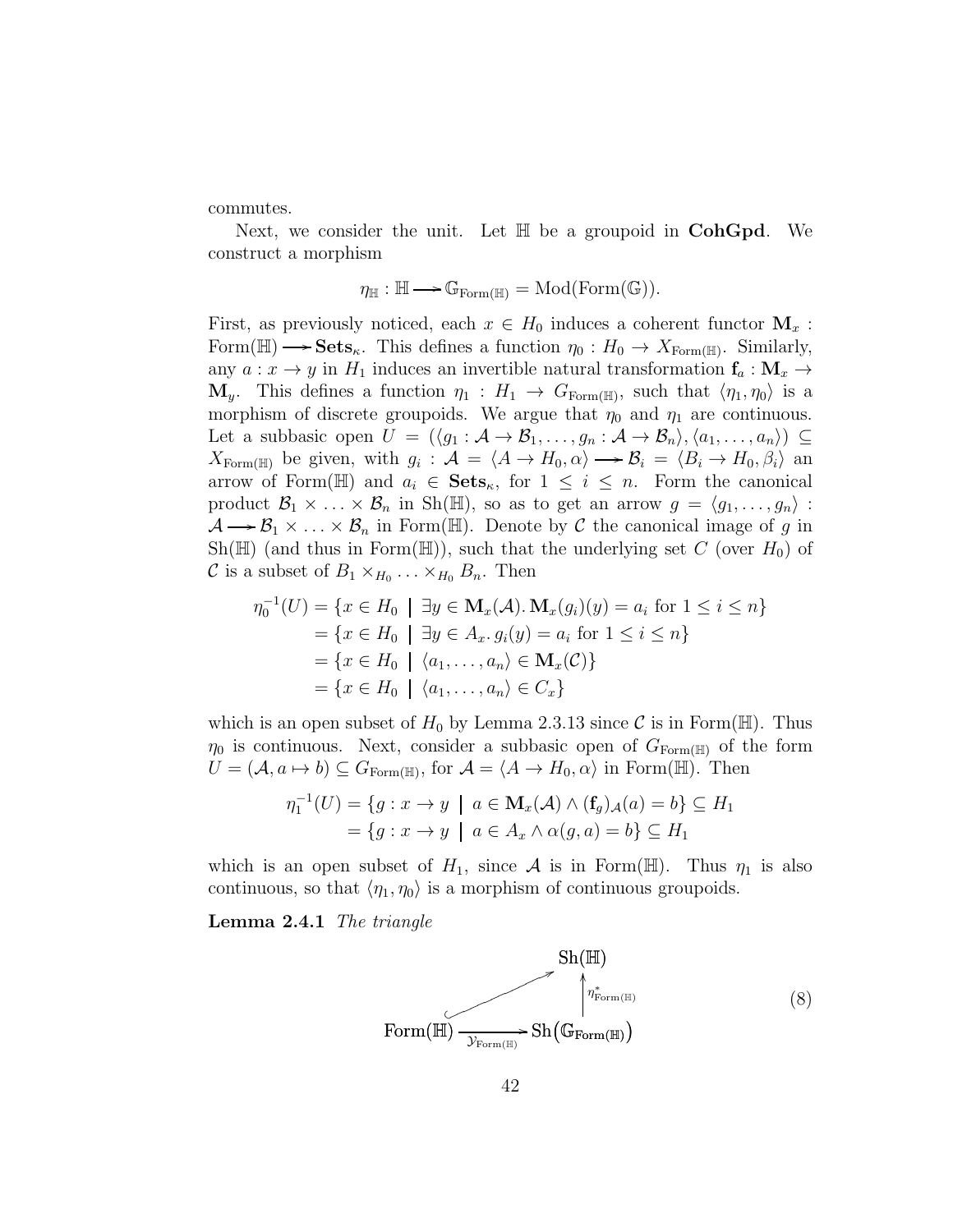commutes.

Next, we consider the unit. Let  $\mathbb H$  be a groupoid in CohGpd. We construct a morphism

$$
\eta_{\mathbb{H}} : \mathbb{H} \longrightarrow \mathbb{G}_{\mathrm{Form}(\mathbb{H})} = \mathrm{Mod}(\mathrm{Form}(\mathbb{G})).
$$

First, as previously noticed, each  $x \in H_0$  induces a coherent functor  $\mathbf{M}_x$ : Form( $\mathbb{H}$ )  $\longrightarrow$  **Sets**<sub>k</sub>. This defines a function  $\eta_0 : H_0 \to X_{\text{Form}(\mathbb{H})}$ . Similarly, any  $a: x \to y$  in  $H_1$  induces an invertible natural transformation  $f_a: M_x \to$  $\mathbf{M}_y$ . This defines a function  $\eta_1 : H_1 \to G_{\text{Form}(\mathbb{H})}$ , such that  $\langle \eta_1, \eta_0 \rangle$  is a morphism of discrete groupoids. We argue that  $\eta_0$  and  $\eta_1$  are continuous. Let a subbasic open  $U = (\langle g_1 : A \rightarrow B_1, \ldots, g_n : A \rightarrow B_n \rangle, \langle a_1, \ldots, a_n \rangle) \subseteq$  $X_{\text{Form}(\mathbb{H})}$  be given, with  $g_i: \mathcal{A} = \langle A \to H_0, \alpha \rangle \longrightarrow \mathcal{B}_i = \langle B_i \to H_0, \beta_i \rangle$  and arrow of Form( $\mathbb{H}$ ) and  $a_i \in \mathbf{Sets}_{\kappa}$ , for  $1 \leq i \leq n$ . Form the canonical product  $\mathcal{B}_1 \times \ldots \times \mathcal{B}_n$  in Sh(H), so as to get an arrow  $g = \langle g_1, \ldots, g_n \rangle$ :  $\mathcal{A} \longrightarrow \mathcal{B}_1 \times \ldots \times \mathcal{B}_n$  in Form(H). Denote by C the canonical image of g in Sh( $\mathbb{H}$ ) (and thus in Form( $\mathbb{H}$ )), such that the underlying set C (over  $H_0$ ) of C is a subset of  $B_1 \times_{H_0} \ldots \times_{H_0} B_n$ . Then

$$
\eta_0^{-1}(U) = \{x \in H_0 \mid \exists y \in \mathbf{M}_x(\mathcal{A}). \mathbf{M}_x(g_i)(y) = a_i \text{ for } 1 \le i \le n\}
$$

$$
= \{x \in H_0 \mid \exists y \in A_x. g_i(y) = a_i \text{ for } 1 \le i \le n\}
$$

$$
= \{x \in H_0 \mid \langle a_1, \dots, a_n \rangle \in \mathbf{M}_x(\mathcal{C})\}
$$

$$
= \{x \in H_0 \mid \langle a_1, \dots, a_n \rangle \in C_x\}
$$

which is an open subset of  $H_0$  by Lemma 2.3.13 since C is in Form( $\mathbb{H}$ ). Thus  $\eta_0$  is continuous. Next, consider a subbasic open of  $G_{\text{Form}(\mathbb{H})}$  of the form  $U = (\mathcal{A}, a \mapsto b) \subseteq G_{\text{Form}(\mathbb{H})}$ , for  $\mathcal{A} = \langle A \to H_0, \alpha \rangle$  in Form( $\mathbb{H}$ ). Then

$$
\eta_1^{-1}(U) = \{ g : x \to y \mid a \in \mathbf{M}_x(\mathcal{A}) \land (\mathbf{f}_g)_{\mathcal{A}}(a) = b \} \subseteq H_1
$$

$$
= \{ g : x \to y \mid a \in A_x \land \alpha(g, a) = b \} \subseteq H_1
$$

which is an open subset of  $H_1$ , since  $\mathcal A$  is in Form(H). Thus  $\eta_1$  is also continuous, so that  $\langle \eta_1, \eta_0 \rangle$  is a morphism of continuous groupoids.

Lemma 2.4.1 The triangle

$$
\operatorname{Sh}(\mathbb{H})
$$
\n
$$
\uparrow_{\text{Form}(\mathbb{H})}^{\eta_{\text{Form}(\mathbb{H})}} \qquad (8)
$$
\n
$$
\operatorname{Form}(\mathbb{H}) \xrightarrow{\gamma_{\text{Form}(\mathbb{H})}} \operatorname{Sh}(\mathbb{G}_{\text{Form}(\mathbb{H})})
$$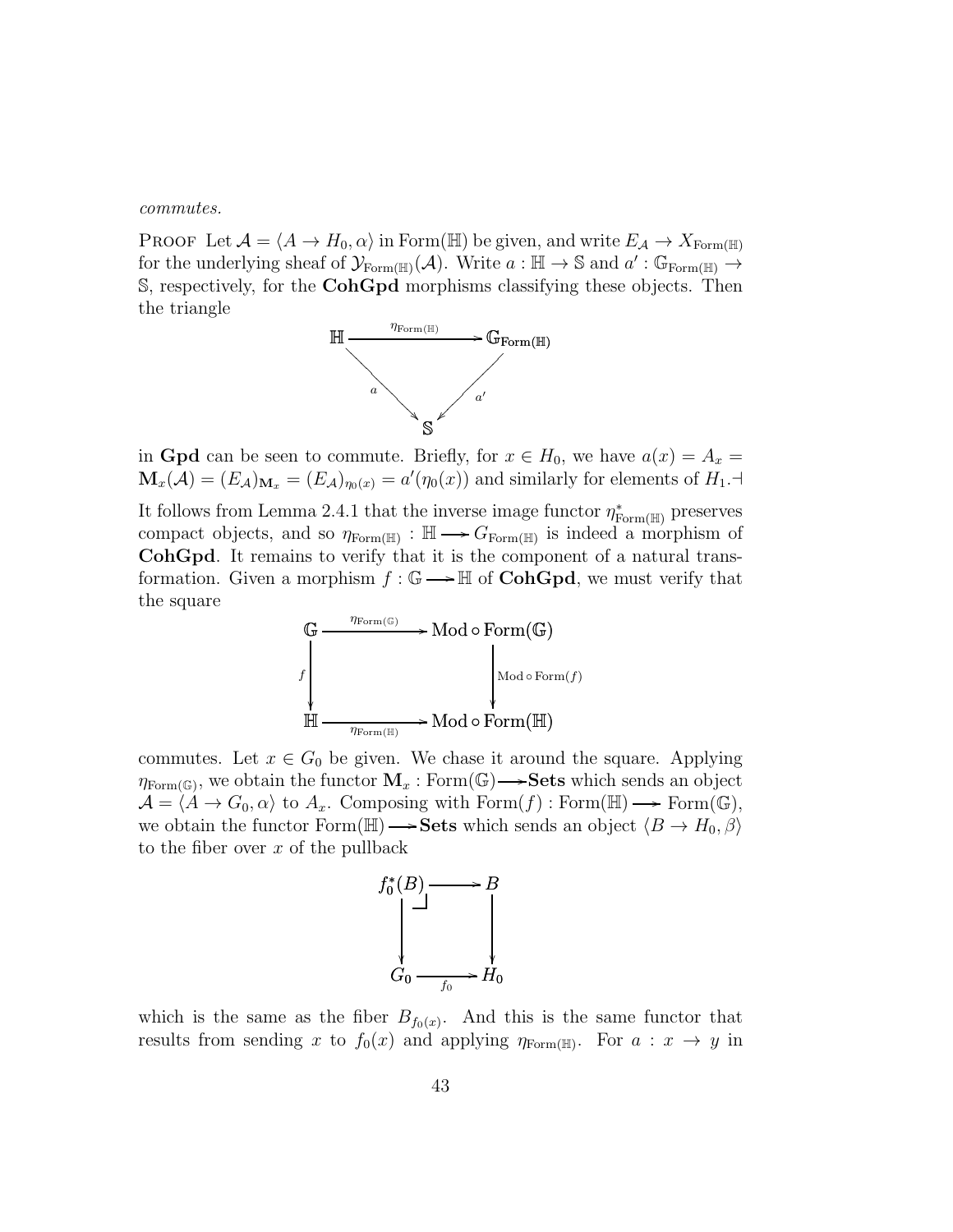commutes.

**PROOF** Let  $\mathcal{A} = \langle A \to H_0, \alpha \rangle$  in Form(H) be given, and write  $E_{\mathcal{A}} \to X_{\text{Form(H)}}$ for the underlying sheaf of  $\mathcal{Y}_{\text{Form}(\mathbb{H})}(\mathcal{A})$ . Write  $a: \mathbb{H} \to \mathbb{S}$  and  $a': \mathbb{G}_{\text{Form}(\mathbb{H})} \to$ S, respectively, for the CohGpd morphisms classifying these objects. Then the triangle



in Gpd can be seen to commute. Briefly, for  $x \in H_0$ , we have  $a(x) = A_x$  $\mathbf{M}_{x}(\mathcal{A}) = (E_{\mathcal{A}})_{\mathbf{M}_{x}} = (E_{\mathcal{A}})_{\eta_{0}(x)} = a'(\eta_{0}(x))$  and similarly for elements of  $H_{1}$ .

It follows from Lemma 2.4.1 that the inverse image functor  $\eta^*_{\text{Form}(\mathbb{H})}$  preserves compact objects, and so  $\eta_{\text{Form}(\mathbb{H})}: \mathbb{H} \longrightarrow G_{\text{Form}(\mathbb{H})}$  is indeed a morphism of CohGpd. It remains to verify that it is the component of a natural transformation. Given a morphism  $f : \mathbb{G} \longrightarrow \mathbb{H}$  of **CohGpd**, we must verify that the square



commutes. Let  $x \in G_0$  be given. We chase it around the square. Applying  $\eta_{\text{Form}(\mathbb{G})}$ , we obtain the functor  $\mathbf{M}_x$ : Form $(\mathbb{G}) \longrightarrow$ **Sets** which sends an object  $\mathcal{A} = \langle A \to G_0, \alpha \rangle$  to  $A_x$ . Composing with  $Form(f): Form(\mathbb{H}) \longrightarrow Form(\mathbb{G}),$ we obtain the functor Form( $\mathbb{H}$ )  $\longrightarrow$  Sets which sends an object  $\langle B \to H_0, \beta \rangle$ to the fiber over  $x$  of the pullback



which is the same as the fiber  $B_{f_0(x)}$ . And this is the same functor that results from sending x to  $f_0(x)$  and applying  $\eta_{\text{Form}(\mathbb{H})}$ . For  $a: x \to y$  in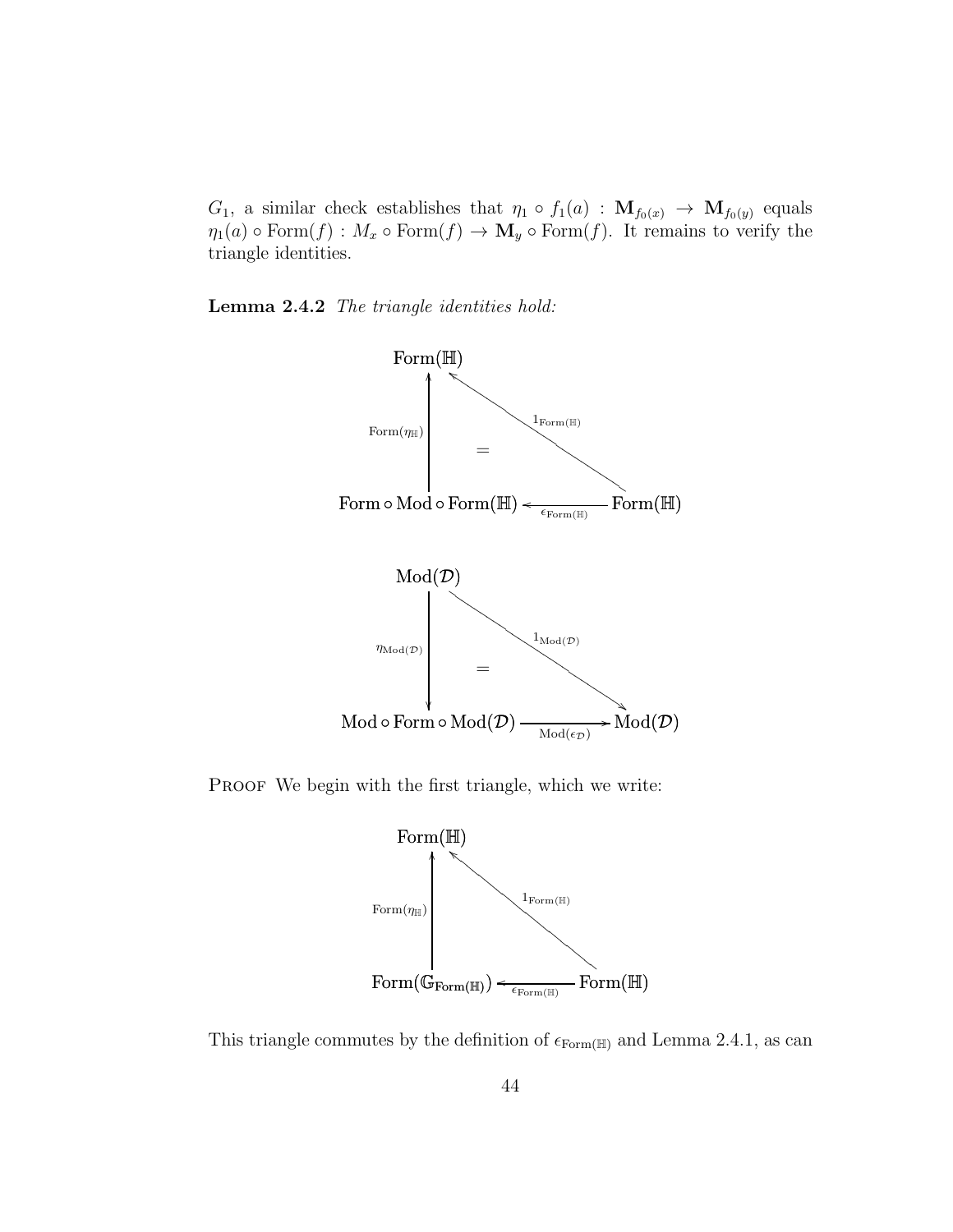$G_1$ , a similar check establishes that  $\eta_1 \circ f_1(a) : \mathbf{M}_{f_0(x)} \to \mathbf{M}_{f_0(y)}$  equals  $\eta_1(a) \circ \text{Form}(f) : M_x \circ \text{Form}(f) \to \mathbf{M}_y \circ \text{Form}(f)$ . It remains to verify the triangle identities.

#### Lemma 2.4.2 The triangle identities hold:



PROOF We begin with the first triangle, which we write:



This triangle commutes by the definition of  $\epsilon_{\text{Form}(\mathbb{H})}$  and Lemma 2.4.1, as can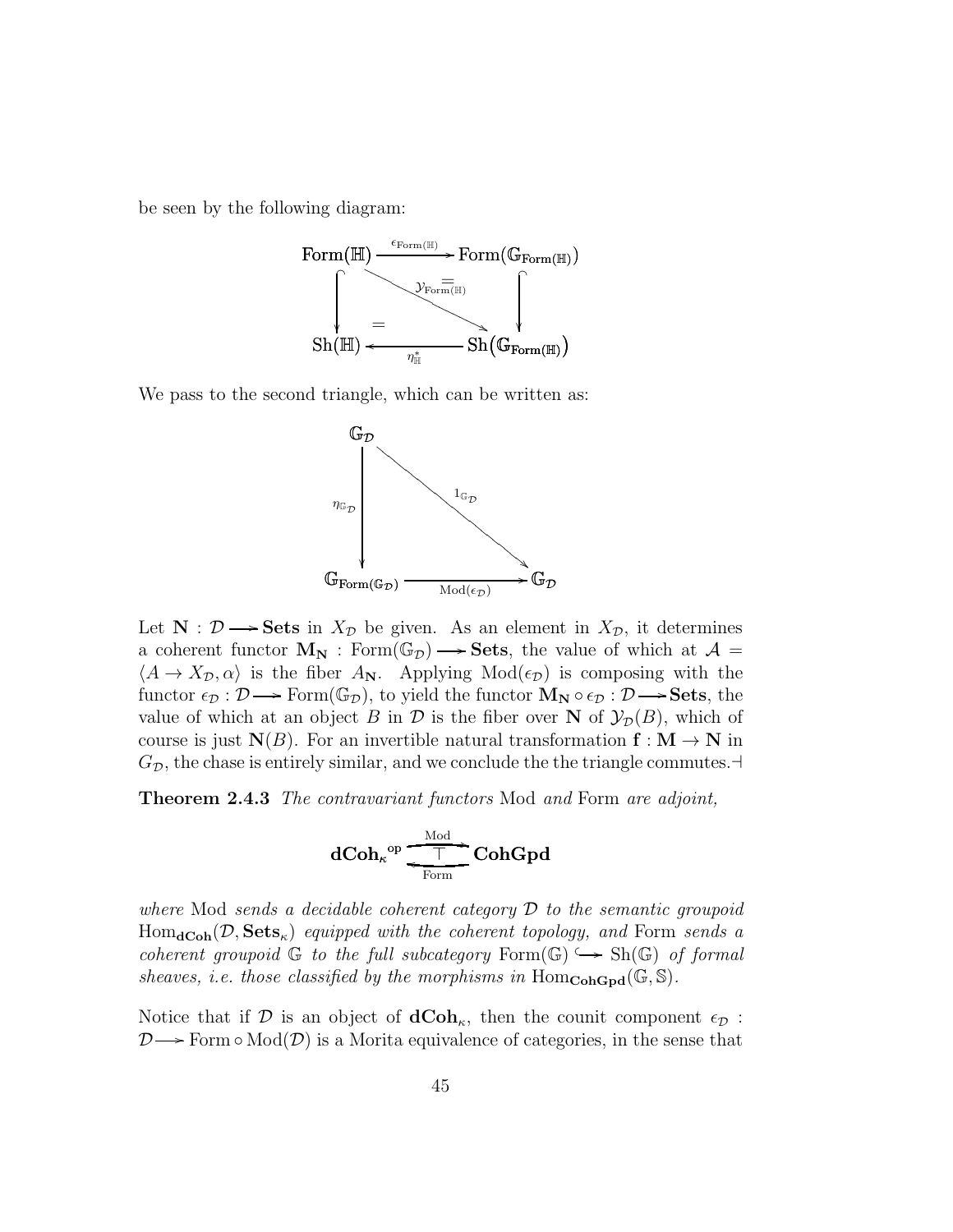be seen by the following diagram:



We pass to the second triangle, which can be written as:



Let  $N : \mathcal{D} \longrightarrow$  Sets in  $X_{\mathcal{D}}$  be given. As an element in  $X_{\mathcal{D}}$ , it determines a coherent functor  $M_N$ : Form $(\mathbb{G}_{\mathcal{D}}) \longrightarrow$  Sets, the value of which at  $\mathcal{A} =$  $\langle A \rightarrow X_{\mathcal{D}}, \alpha \rangle$  is the fiber  $A_N$ . Applying Mod $(\epsilon_{\mathcal{D}})$  is composing with the functor  $\epsilon_{\mathcal{D}} : \mathcal{D} \longrightarrow \text{Form}(\mathbb{G}_{\mathcal{D}})$ , to yield the functor  $M_N \circ \epsilon_{\mathcal{D}} : \mathcal{D} \longrightarrow$  **Sets**, the value of which at an object B in D is the fiber over N of  $\mathcal{Y}_D(B)$ , which of course is just  $N(B)$ . For an invertible natural transformation  $f : M \to N$  in  $G_{\mathcal{D}}$ , the chase is entirely similar, and we conclude the the triangle commutes. $\exists$ 

**Theorem 2.4.3** The contravariant functors Mod and Form are adjoint,

$$
\mathbf{dCoh}^{\mathrm{op}}_{\kappa}\xrightarrow{\mathrm{Mod} \atop \mathrm{Form}}\mathbf{CohGpd}
$$

where Mod sends a decidable coherent category  $\mathcal D$  to the semantic groupoid  $Hom_{dCoh}(\mathcal{D}, \mathbf{Sets}_{\kappa})$  equipped with the coherent topology, and Form sends a coherent groupoid  $\mathbb G$  to the full subcategory  $\mathrm{Form}(\mathbb G) \hookrightarrow \mathrm{Sh}(\mathbb G)$  of formal sheaves, i.e. those classified by the morphisms in  $Hom_{\text{CohGpd}}(\mathbb{G}, \mathbb{S})$ .

Notice that if D is an object of  $dCoh_{\kappa}$ , then the counit component  $\epsilon_{\mathcal{D}}$ :  $\mathcal{D} \longrightarrow$  Form  $\circ$  Mod $(\mathcal{D})$  is a Morita equivalence of categories, in the sense that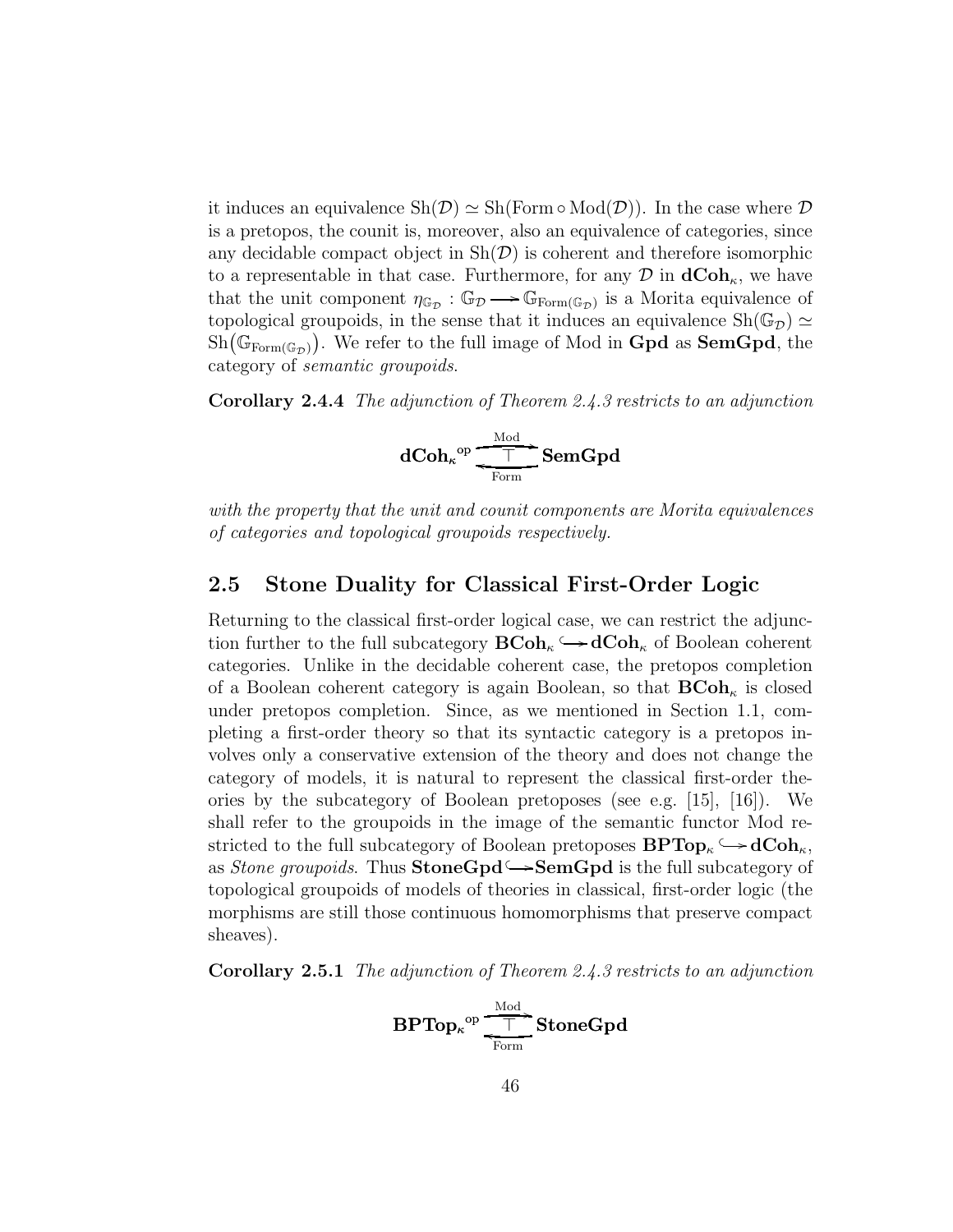it induces an equivalence  $\text{Sh}(\mathcal{D}) \simeq \text{Sh}(\text{Form} \circ \text{Mod}(\mathcal{D}))$ . In the case where  $\mathcal D$ is a pretopos, the counit is, moreover, also an equivalence of categories, since any decidable compact object in  $\text{Sh}(\mathcal{D})$  is coherent and therefore isomorphic to a representable in that case. Furthermore, for any  $\mathcal D$  in  $dCoh_{\kappa}$ , we have that the unit component  $\eta_{\mathbb{G}_{\mathcal{D}}}$ :  $\mathbb{G}_{\mathcal{D}} \longrightarrow \mathbb{G}_{\text{Form}(\mathbb{G}_{\mathcal{D}})}$  is a Morita equivalence of topological groupoids, in the sense that it induces an equivalence  $\text{Sh}(\mathbb{G}_{\mathcal{D}}) \simeq$  $\mathrm{Sh}(\mathbb{G}_{\mathrm{Form}(\mathbb{G}_{\mathcal{D}})})$ . We refer to the full image of Mod in **Gpd** as **SemGpd**, the category of semantic groupoids.

Corollary 2.4.4 The adjunction of Theorem 2.4.3 restricts to an adjunction

$$
\mathbf{dCoh}_{\kappa}^{op} \overset{\overbrace{\overbrace{\text{Hom}}\nolimits^{Mod}}}{}\sum\limits_{\text{Form}}\mathbf{SemGpd}
$$

with the property that the unit and counit components are Morita equivalences of categories and topological groupoids respectively.

### 2.5 Stone Duality for Classical First-Order Logic

Returning to the classical first-order logical case, we can restrict the adjunction further to the full subcategory  $\mathbf{BCoh}_{\kappa} \hookrightarrow \mathbf{dCoh}_{\kappa}$  of Boolean coherent categories. Unlike in the decidable coherent case, the pretopos completion of a Boolean coherent category is again Boolean, so that  $\mathbf{BCoh}_{\kappa}$  is closed under pretopos completion. Since, as we mentioned in Section 1.1, completing a first-order theory so that its syntactic category is a pretopos involves only a conservative extension of the theory and does not change the category of models, it is natural to represent the classical first-order theories by the subcategory of Boolean pretoposes (see e.g.  $|15|, |16|$ ). We shall refer to the groupoids in the image of the semantic functor Mod restricted to the full subcategory of Boolean pretoposes  $\text{BPTop}_{\kappa} \hookrightarrow d\text{Coh}_{\kappa}$ , as *Stone groupoids*. Thus  $StoneGpd \rightarrow SemGpd$  is the full subcategory of topological groupoids of models of theories in classical, first-order logic (the morphisms are still those continuous homomorphisms that preserve compact sheaves).

Corollary 2.5.1 The adjunction of Theorem 2.4.3 restricts to an adjunction

$$
\mathbf{BPTop}_{\kappa}^{op} \overline{\underbrace{\overset{\mathrm{Mod}}{\underset{\mathrm{Form}}{\leftarrow}}}} \mathbf{StoneGpd}
$$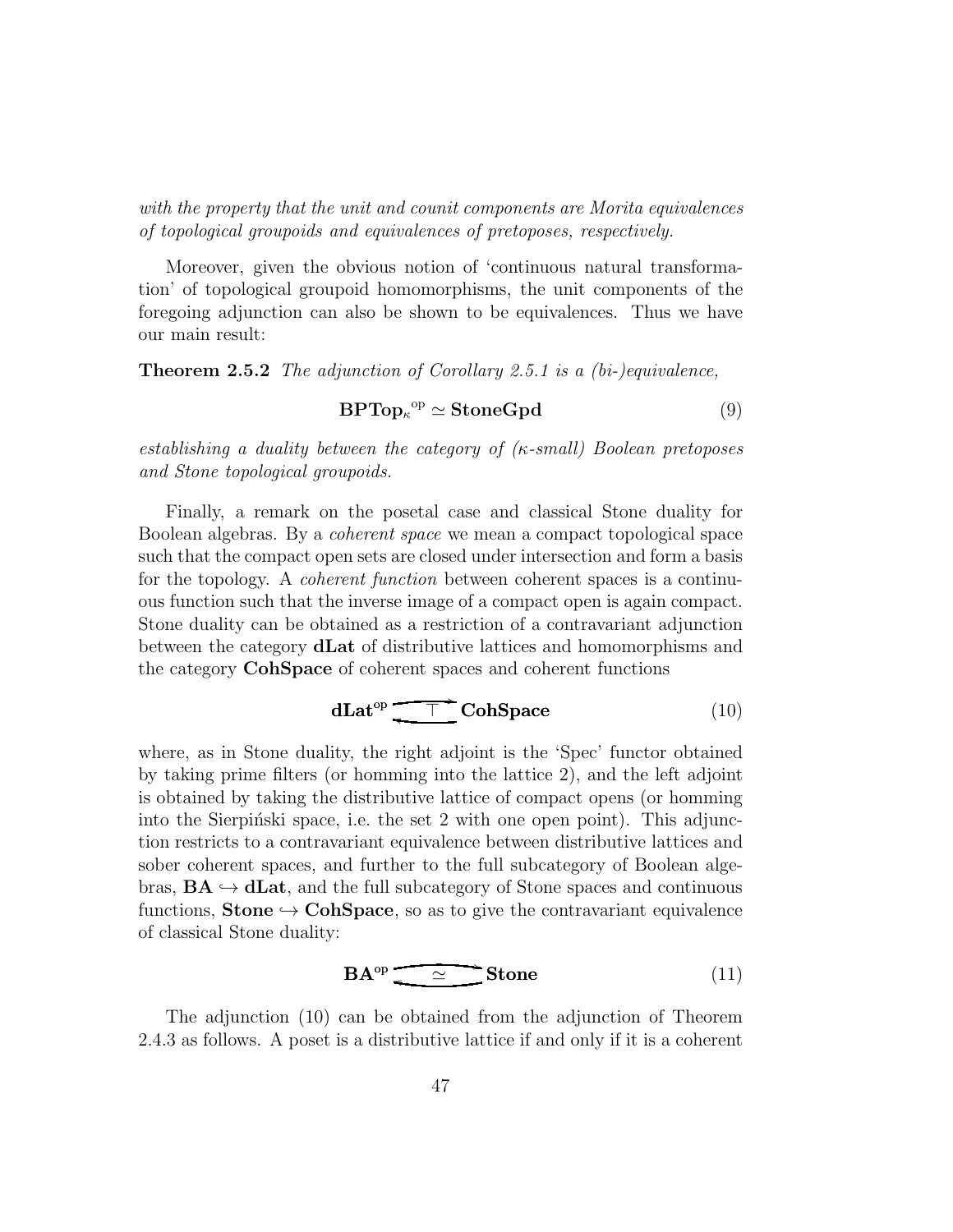with the property that the unit and counit components are Morita equivalences of topological groupoids and equivalences of pretoposes, respectively.

Moreover, given the obvious notion of 'continuous natural transformation' of topological groupoid homomorphisms, the unit components of the foregoing adjunction can also be shown to be equivalences. Thus we have our main result:

Theorem 2.5.2 The adjunction of Corollary 2.5.1 is a (bi-)equivalence,

$$
BPTop\kappaop \simeq StoneGpd
$$
 (9)

establishing a duality between the category of  $(\kappa\text{-}small)$  Boolean pretoposes and Stone topological groupoids.

Finally, a remark on the posetal case and classical Stone duality for Boolean algebras. By a coherent space we mean a compact topological space such that the compact open sets are closed under intersection and form a basis for the topology. A coherent function between coherent spaces is a continuous function such that the inverse image of a compact open is again compact. Stone duality can be obtained as a restriction of a contravariant adjunction between the category dLat of distributive lattices and homomorphisms and the category CohSpace of coherent spaces and coherent functions

$$
\mathbf{dLat}^{\mathrm{op}} \overline{\underbrace{\qquad \qquad }} \Gamma \quad \mathbf{CohSpace} \tag{10}
$$

where, as in Stone duality, the right adjoint is the 'Spec' functor obtained by taking prime filters (or homming into the lattice 2), and the left adjoint is obtained by taking the distributive lattice of compact opens (or homming into the Sierpinski space, i.e. the set 2 with one open point). This adjunction restricts to a contravariant equivalence between distributive lattices and sober coherent spaces, and further to the full subcategory of Boolean algebras,  $BA \hookrightarrow dLat$ , and the full subcategory of Stone spaces and continuous functions, **Stone**  $\hookrightarrow$  CohSpace, so as to give the contravariant equivalence of classical Stone duality:

$$
\mathbf{BA}^{\mathrm{op}} \xrightarrow{\simeq} \mathbf{Stone} \tag{11}
$$

The adjunction (10) can be obtained from the adjunction of Theorem 2.4.3 as follows. A poset is a distributive lattice if and only if it is a coherent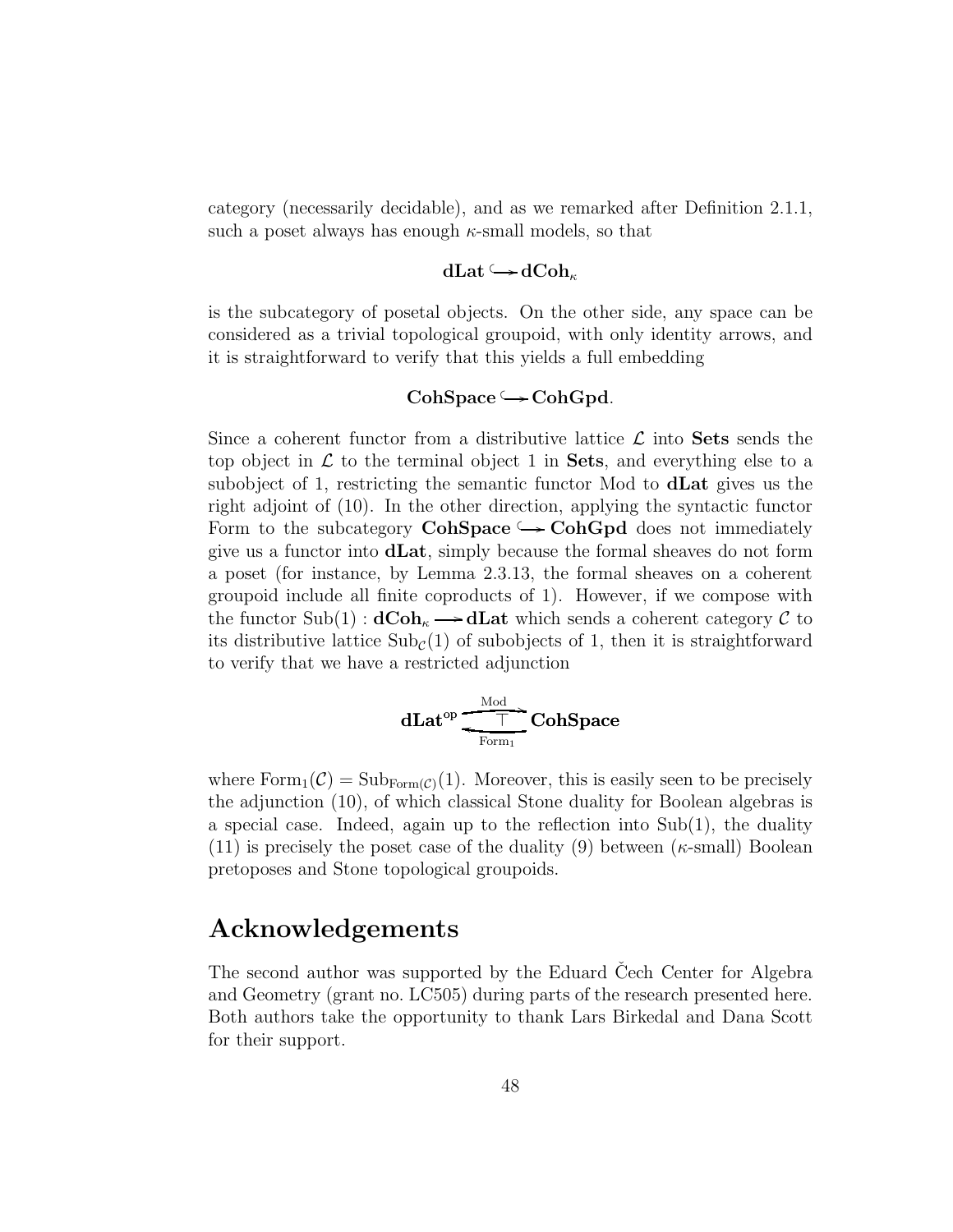category (necessarily decidable), and as we remarked after Definition 2.1.1, such a poset always has enough  $\kappa$ -small models, so that

## $dLat \hookrightarrow dCoh_{\kappa}$

is the subcategory of posetal objects. On the other side, any space can be considered as a trivial topological groupoid, with only identity arrows, and it is straightforward to verify that this yields a full embedding

## $\text{CohSpace} \longrightarrow \text{CohGpd}.$

Since a coherent functor from a distributive lattice  $\mathcal L$  into Sets sends the top object in  $\mathcal L$  to the terminal object 1 in Sets, and everything else to a subobject of 1, restricting the semantic functor Mod to dLat gives us the right adjoint of (10). In the other direction, applying the syntactic functor Form to the subcategory  $\mathbf{CohSpace} \hookrightarrow \mathbf{CohGpd}$  does not immediately give us a functor into dLat, simply because the formal sheaves do not form a poset (for instance, by Lemma 2.3.13, the formal sheaves on a coherent groupoid include all finite coproducts of 1). However, if we compose with the functor  $\text{Sub}(1) : \text{dCoh}_{\kappa} \longrightarrow \text{dLat}$  which sends a coherent category  $\mathcal C$  to its distributive lattice  $\text{Sub}_C(1)$  of subobjects of 1, then it is straightforward to verify that we have a restricted adjunction

$$
\text{dLat}^\text{op} \overline{\underbrace{\overset{\text{Mod}}{\underset{\text{Form}_1}{\leftarrow}}}\text{CohSpace}}
$$

where  $Form_1(\mathcal{C}) = Sub_{Form(\mathcal{C})}(1)$ . Moreover, this is easily seen to be precisely the adjunction (10), of which classical Stone duality for Boolean algebras is a special case. Indeed, again up to the reflection into  $\text{Sub}(1)$ , the duality (11) is precisely the poset case of the duality (9) between ( $\kappa$ -small) Boolean pretoposes and Stone topological groupoids.

## Acknowledgements

The second author was supported by the Eduard Cech Center for Algebra and Geometry (grant no. LC505) during parts of the research presented here. Both authors take the opportunity to thank Lars Birkedal and Dana Scott for their support.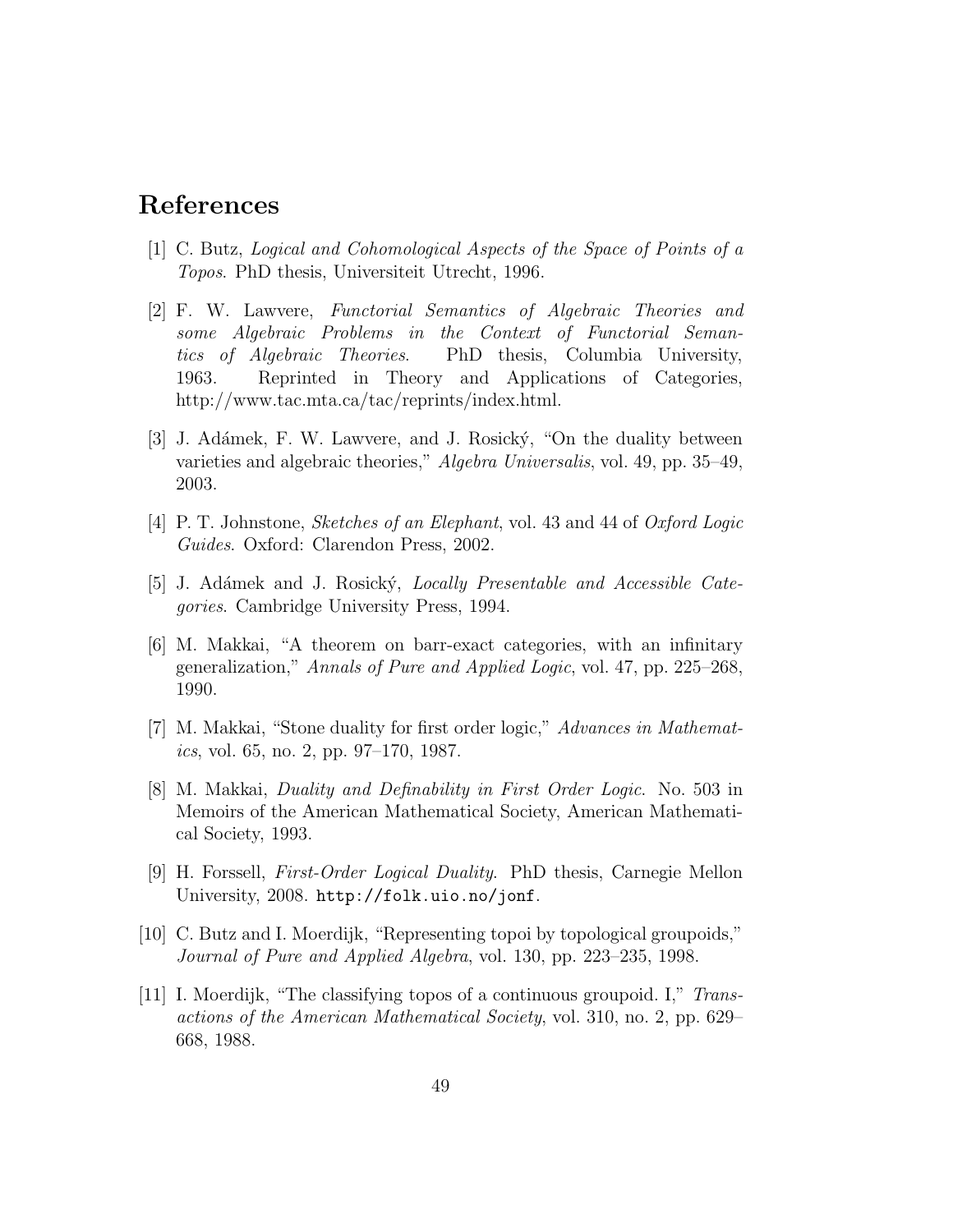## References

- [1] C. Butz, Logical and Cohomological Aspects of the Space of Points of a Topos. PhD thesis, Universiteit Utrecht, 1996.
- [2] F. W. Lawvere, Functorial Semantics of Algebraic Theories and some Algebraic Problems in the Context of Functorial Semantics of Algebraic Theories. PhD thesis, Columbia University, 1963. Reprinted in Theory and Applications of Categories, http://www.tac.mta.ca/tac/reprints/index.html.
- [3] J. Adámek, F. W. Lawvere, and J. Rosický, "On the duality between varieties and algebraic theories," Algebra Universalis, vol. 49, pp. 35–49, 2003.
- [4] P. T. Johnstone, Sketches of an Elephant, vol. 43 and 44 of Oxford Logic Guides. Oxford: Clarendon Press, 2002.
- [5] J. Adámek and J. Rosický, *Locally Presentable and Accessible Cate*gories. Cambridge University Press, 1994.
- [6] M. Makkai, "A theorem on barr-exact categories, with an infinitary generalization," Annals of Pure and Applied Logic, vol. 47, pp. 225–268, 1990.
- [7] M. Makkai, "Stone duality for first order logic," Advances in Mathematics, vol. 65, no. 2, pp. 97–170, 1987.
- [8] M. Makkai, Duality and Definability in First Order Logic. No. 503 in Memoirs of the American Mathematical Society, American Mathematical Society, 1993.
- [9] H. Forssell, First-Order Logical Duality. PhD thesis, Carnegie Mellon University, 2008. http://folk.uio.no/jonf.
- [10] C. Butz and I. Moerdijk, "Representing topoi by topological groupoids," Journal of Pure and Applied Algebra, vol. 130, pp. 223–235, 1998.
- [11] I. Moerdijk, "The classifying topos of a continuous groupoid. I," Transactions of the American Mathematical Society, vol. 310, no. 2, pp. 629– 668, 1988.